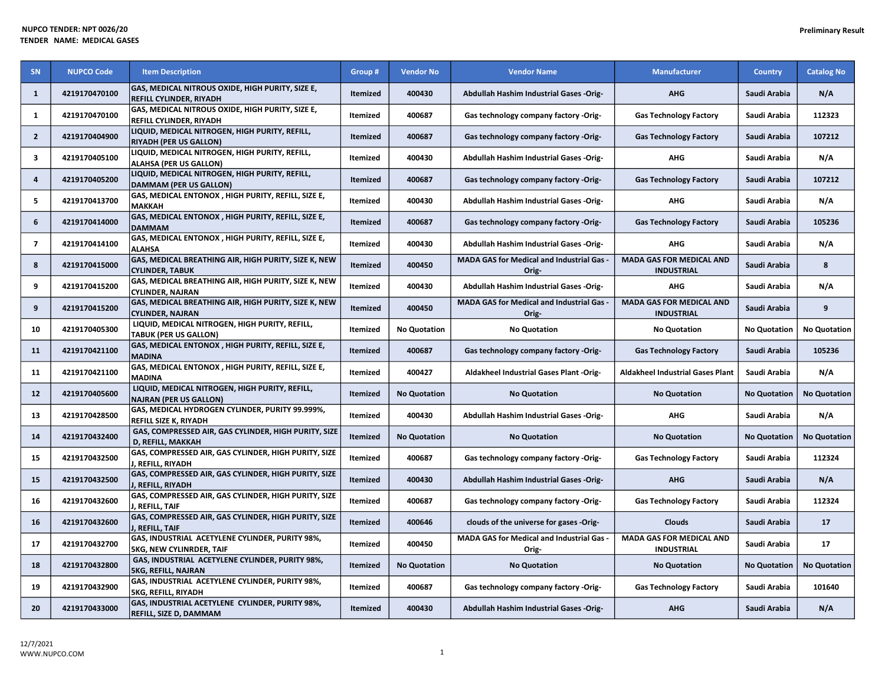| <b>SN</b>               | <b>NUPCO Code</b> | <b>Item Description</b>                                                          | Group #         | <b>Vendor No</b>    | <b>Vendor Name</b>                                 | <b>Manufacturer</b>                                  | <b>Country</b>      | <b>Catalog No</b>   |
|-------------------------|-------------------|----------------------------------------------------------------------------------|-----------------|---------------------|----------------------------------------------------|------------------------------------------------------|---------------------|---------------------|
| $\mathbf{1}$            | 4219170470100     | GAS, MEDICAL NITROUS OXIDE, HIGH PURITY, SIZE E,<br>REFILL CYLINDER, RIYADH      | <b>Itemized</b> | 400430              | Abdullah Hashim Industrial Gases -Orig-            | <b>AHG</b>                                           | Saudi Arabia        | N/A                 |
| 1                       | 4219170470100     | GAS, MEDICAL NITROUS OXIDE, HIGH PURITY, SIZE E,<br>REFILL CYLINDER, RIYADH      | Itemized        | 400687              | Gas technology company factory -Orig-              | <b>Gas Technology Factory</b>                        | Saudi Arabia        | 112323              |
| $\overline{2}$          | 4219170404900     | LIQUID, MEDICAL NITROGEN, HIGH PURITY, REFILL,<br><b>RIYADH (PER US GALLON)</b>  | <b>Itemized</b> | 400687              | Gas technology company factory -Orig-              | <b>Gas Technology Factory</b>                        | Saudi Arabia        | 107212              |
| 3                       | 4219170405100     | LIQUID, MEDICAL NITROGEN, HIGH PURITY, REFILL,<br>ALAHSA (PER US GALLON)         | Itemized        | 400430              | Abdullah Hashim Industrial Gases -Orig-            | <b>AHG</b>                                           | Saudi Arabia        | N/A                 |
| 4                       | 4219170405200     | LIQUID, MEDICAL NITROGEN, HIGH PURITY, REFILL,<br><b>DAMMAM (PER US GALLON)</b>  | Itemized        | 400687              | Gas technology company factory -Orig-              | <b>Gas Technology Factory</b>                        | Saudi Arabia        | 107212              |
| 5                       | 4219170413700     | GAS, MEDICAL ENTONOX, HIGH PURITY, REFILL, SIZE E,<br><b>MAKKAH</b>              | Itemized        | 400430              | Abdullah Hashim Industrial Gases -Orig-            | <b>AHG</b>                                           | Saudi Arabia        | N/A                 |
| 6                       | 4219170414000     | GAS, MEDICAL ENTONOX, HIGH PURITY, REFILL, SIZE E,<br><b>DAMMAM</b>              | <b>Itemized</b> | 400687              | Gas technology company factory -Orig-              | <b>Gas Technology Factory</b>                        | Saudi Arabia        | 105236              |
| $\overline{\mathbf{z}}$ | 4219170414100     | GAS, MEDICAL ENTONOX, HIGH PURITY, REFILL, SIZE E,<br><b>ALAHSA</b>              | Itemized        | 400430              | Abdullah Hashim Industrial Gases -Orig-            | <b>AHG</b>                                           | Saudi Arabia        | N/A                 |
| 8                       | 4219170415000     | GAS, MEDICAL BREATHING AIR, HIGH PURITY, SIZE K, NEW<br><b>CYLINDER, TABUK</b>   | Itemized        | 400450              | MADA GAS for Medical and Industrial Gas -<br>Orig- | <b>MADA GAS FOR MEDICAL AND</b><br><b>INDUSTRIAL</b> | Saudi Arabia        | 8                   |
| 9                       | 4219170415200     | GAS, MEDICAL BREATHING AIR, HIGH PURITY, SIZE K, NEW<br><b>CYLINDER, NAJRAN</b>  | <b>Itemized</b> | 400430              | Abdullah Hashim Industrial Gases -Orig-            | <b>AHG</b>                                           | Saudi Arabia        | N/A                 |
| 9                       | 4219170415200     | GAS, MEDICAL BREATHING AIR, HIGH PURITY, SIZE K, NEW<br><b>CYLINDER, NAJRAN</b>  | Itemized        | 400450              | MADA GAS for Medical and Industrial Gas -<br>Orig- | <b>MADA GAS FOR MEDICAL AND</b><br><b>INDUSTRIAL</b> | Saudi Arabia        | 9                   |
| 10                      | 4219170405300     | LIQUID, MEDICAL NITROGEN, HIGH PURITY, REFILL,<br><b>TABUK (PER US GALLON)</b>   | Itemized        | <b>No Quotation</b> | <b>No Quotation</b>                                | <b>No Quotation</b>                                  | <b>No Quotation</b> | <b>No Quotation</b> |
| 11                      | 4219170421100     | GAS, MEDICAL ENTONOX, HIGH PURITY, REFILL, SIZE E,<br><b>MADINA</b>              | <b>Itemized</b> | 400687              | Gas technology company factory -Orig-              | <b>Gas Technology Factory</b>                        | Saudi Arabia        | 105236              |
| 11                      | 4219170421100     | GAS, MEDICAL ENTONOX, HIGH PURITY, REFILL, SIZE E,<br><b>MADINA</b>              | Itemized        | 400427              | Aldakheel Industrial Gases Plant -Orig-            | <b>Aldakheel Industrial Gases Plant</b>              | Saudi Arabia        | N/A                 |
| 12 <sup>2</sup>         | 4219170405600     | LIQUID, MEDICAL NITROGEN, HIGH PURITY, REFILL,<br><b>NAJRAN (PER US GALLON)</b>  | <b>Itemized</b> | <b>No Quotation</b> | <b>No Quotation</b>                                | <b>No Quotation</b>                                  | <b>No Quotation</b> | <b>No Quotation</b> |
| 13                      | 4219170428500     | GAS, MEDICAL HYDROGEN CYLINDER, PURITY 99.999%,<br>REFILL SIZE K. RIYADH         | Itemized        | 400430              | Abdullah Hashim Industrial Gases -Orig-            | AHG                                                  | Saudi Arabia        | N/A                 |
| 14                      | 4219170432400     | GAS, COMPRESSED AIR, GAS CYLINDER, HIGH PURITY, SIZE<br>D, REFILL, MAKKAH        | Itemized        | <b>No Quotation</b> | <b>No Quotation</b>                                | <b>No Quotation</b>                                  | <b>No Quotation</b> | <b>No Quotation</b> |
| 15                      | 4219170432500     | GAS, COMPRESSED AIR, GAS CYLINDER, HIGH PURITY, SIZE<br>J, REFILL, RIYADH        | Itemized        | 400687              | Gas technology company factory -Orig-              | <b>Gas Technology Factory</b>                        | Saudi Arabia        | 112324              |
| 15                      | 4219170432500     | GAS, COMPRESSED AIR, GAS CYLINDER, HIGH PURITY, SIZE<br>J, REFILL, RIYADH        | Itemized        | 400430              | <b>Abdullah Hashim Industrial Gases -Orig-</b>     | <b>AHG</b>                                           | Saudi Arabia        | N/A                 |
| 16                      | 4219170432600     | GAS, COMPRESSED AIR, GAS CYLINDER, HIGH PURITY, SIZE<br>J, REFILL, TAIF          | Itemized        | 400687              | Gas technology company factory -Orig-              | <b>Gas Technology Factory</b>                        | Saudi Arabia        | 112324              |
| 16                      | 4219170432600     | GAS, COMPRESSED AIR, GAS CYLINDER, HIGH PURITY, SIZE<br>J. REFILL. TAIF          | Itemized        | 400646              | clouds of the universe for gases -Orig-            | <b>Clouds</b>                                        | Saudi Arabia        | 17                  |
| 17                      | 4219170432700     | GAS, INDUSTRIAL ACETYLENE CYLINDER, PURITY 98%,<br>5KG, NEW CYLINRDER, TAIF      | Itemized        | 400450              | MADA GAS for Medical and Industrial Gas<br>Orig-   | <b>MADA GAS FOR MEDICAL AND</b><br><b>INDUSTRIAL</b> | Saudi Arabia        | 17                  |
| 18                      | 4219170432800     | GAS, INDUSTRIAL ACETYLENE CYLINDER, PURITY 98%,<br><b>5KG, REFILL, NAJRAN</b>    | <b>Itemized</b> | <b>No Quotation</b> | <b>No Quotation</b>                                | <b>No Quotation</b>                                  | <b>No Quotation</b> | <b>No Quotation</b> |
| 19                      | 4219170432900     | GAS, INDUSTRIAL ACETYLENE CYLINDER, PURITY 98%,<br>5KG, REFILL, RIYADH           | Itemized        | 400687              | Gas technology company factory -Orig-              | <b>Gas Technology Factory</b>                        | Saudi Arabia        | 101640              |
| 20                      | 4219170433000     | GAS, INDUSTRIAL ACETYLENE CYLINDER, PURITY 98%,<br><b>REFILL, SIZE D, DAMMAM</b> | <b>Itemized</b> | 400430              | Abdullah Hashim Industrial Gases -Orig-            | <b>AHG</b>                                           | Saudi Arabia        | N/A                 |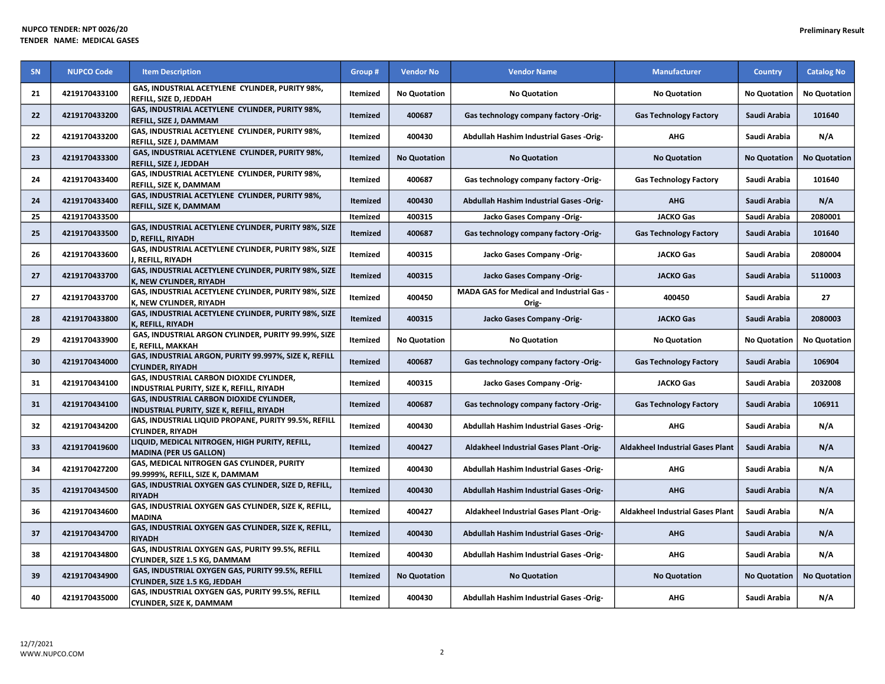| SN | <b>NUPCO Code</b> | <b>Item Description</b>                                                               | Group #         | <b>Vendor No</b>    | <b>Vendor Name</b>                                        | <b>Manufacturer</b>                     | <b>Country</b>      | <b>Catalog No</b>   |
|----|-------------------|---------------------------------------------------------------------------------------|-----------------|---------------------|-----------------------------------------------------------|-----------------------------------------|---------------------|---------------------|
| 21 | 4219170433100     | GAS, INDUSTRIAL ACETYLENE CYLINDER, PURITY 98%,<br>REFILL, SIZE D, JEDDAH             | Itemized        | <b>No Quotation</b> | <b>No Quotation</b>                                       | <b>No Quotation</b>                     | <b>No Quotation</b> | <b>No Quotation</b> |
| 22 | 4219170433200     | GAS, INDUSTRIAL ACETYLENE CYLINDER, PURITY 98%,<br>REFILL. SIZE J. DAMMAM             | <b>Itemized</b> | 400687              | Gas technology company factory -Orig-                     | <b>Gas Technology Factory</b>           | Saudi Arabia        | 101640              |
| 22 | 4219170433200     | GAS, INDUSTRIAL ACETYLENE CYLINDER, PURITY 98%,<br>REFILL, SIZE J, DAMMAM             | Itemized        | 400430              | <b>Abdullah Hashim Industrial Gases -Orig-</b>            | <b>AHG</b>                              | Saudi Arabia        | N/A                 |
| 23 | 4219170433300     | GAS, INDUSTRIAL ACETYLENE CYLINDER, PURITY 98%,<br>REFILL, SIZE J, JEDDAH             | Itemized        | <b>No Quotation</b> | <b>No Quotation</b>                                       | <b>No Quotation</b>                     | <b>No Quotation</b> | <b>No Quotation</b> |
| 24 | 4219170433400     | GAS, INDUSTRIAL ACETYLENE CYLINDER, PURITY 98%,<br>REFILL, SIZE K, DAMMAM             | Itemized        | 400687              | Gas technology company factory -Orig-                     | <b>Gas Technology Factory</b>           | Saudi Arabia        | 101640              |
| 24 | 4219170433400     | GAS, INDUSTRIAL ACETYLENE CYLINDER, PURITY 98%,<br>REFILL, SIZE K, DAMMAM             | <b>Itemized</b> | 400430              | Abdullah Hashim Industrial Gases -Orig-                   | <b>AHG</b>                              | Saudi Arabia        | N/A                 |
| 25 | 4219170433500     |                                                                                       | Itemized        | 400315              | Jacko Gases Company -Orig-                                | <b>JACKO Gas</b>                        | Saudi Arabia        | 2080001             |
| 25 | 4219170433500     | GAS, INDUSTRIAL ACETYLENE CYLINDER, PURITY 98%, SIZE<br>D, REFILL, RIYADH             | <b>Itemized</b> | 400687              | Gas technology company factory -Orig-                     | <b>Gas Technology Factory</b>           | Saudi Arabia        | 101640              |
| 26 | 4219170433600     | GAS, INDUSTRIAL ACETYLENE CYLINDER, PURITY 98%, SIZE<br>J, REFILL, RIYADH             | Itemized        | 400315              | Jacko Gases Company -Orig-                                | <b>JACKO Gas</b>                        | Saudi Arabia        | 2080004             |
| 27 | 4219170433700     | GAS, INDUSTRIAL ACETYLENE CYLINDER, PURITY 98%, SIZE<br>K, NEW CYLINDER, RIYADH       | <b>Itemized</b> | 400315              | Jacko Gases Company -Orig-                                | <b>JACKO Gas</b>                        | Saudi Arabia        | 5110003             |
| 27 | 4219170433700     | GAS, INDUSTRIAL ACETYLENE CYLINDER, PURITY 98%, SIZE<br>K, NEW CYLINDER, RIYADH       | Itemized        | 400450              | <b>MADA GAS for Medical and Industrial Gas -</b><br>Orig- | 400450                                  | Saudi Arabia        | 27                  |
| 28 | 4219170433800     | GAS, INDUSTRIAL ACETYLENE CYLINDER, PURITY 98%, SIZE<br>K, REFILL, RIYADH             | <b>Itemized</b> | 400315              | Jacko Gases Company -Orig-                                | <b>JACKO Gas</b>                        | Saudi Arabia        | 2080003             |
| 29 | 4219170433900     | GAS, INDUSTRIAL ARGON CYLINDER, PURITY 99.99%, SIZE<br>E, REFILL, MAKKAH              | Itemized        | <b>No Quotation</b> | <b>No Quotation</b>                                       | <b>No Quotation</b>                     | <b>No Quotation</b> | <b>No Quotation</b> |
| 30 | 4219170434000     | GAS, INDUSTRIAL ARGON, PURITY 99.997%, SIZE K, REFILL<br><b>CYLINDER, RIYADH</b>      | Itemized        | 400687              | Gas technology company factory -Orig-                     | <b>Gas Technology Factory</b>           | Saudi Arabia        | 106904              |
| 31 | 4219170434100     | GAS, INDUSTRIAL CARBON DIOXIDE CYLINDER,<br>INDUSTRIAL PURITY, SIZE K, REFILL, RIYADH | <b>Itemized</b> | 400315              | Jacko Gases Company -Orig-                                | <b>JACKO Gas</b>                        | Saudi Arabia        | 2032008             |
| 31 | 4219170434100     | GAS, INDUSTRIAL CARBON DIOXIDE CYLINDER,<br>INDUSTRIAL PURITY, SIZE K, REFILL, RIYADH | Itemized        | 400687              | Gas technology company factory -Orig-                     | <b>Gas Technology Factory</b>           | Saudi Arabia        | 106911              |
| 32 | 4219170434200     | GAS, INDUSTRIAL LIQUID PROPANE, PURITY 99.5%, REFILL<br><b>CYLINDER, RIYADH</b>       | <b>Itemized</b> | 400430              | <b>Abdullah Hashim Industrial Gases -Orig-</b>            | <b>AHG</b>                              | Saudi Arabia        | N/A                 |
| 33 | 4219170419600     | LIQUID, MEDICAL NITROGEN, HIGH PURITY, REFILL,<br><b>MADINA (PER US GALLON)</b>       | Itemized        | 400427              | Aldakheel Industrial Gases Plant -Orig-                   | <b>Aldakheel Industrial Gases Plant</b> | Saudi Arabia        | N/A                 |
| 34 | 4219170427200     | GAS, MEDICAL NITROGEN GAS CYLINDER, PURITY<br>99.9999%, REFILL, SIZE K, DAMMAM        | Itemized        | 400430              | <b>Abdullah Hashim Industrial Gases -Orig-</b>            | <b>AHG</b>                              | Saudi Arabia        | N/A                 |
| 35 | 4219170434500     | GAS, INDUSTRIAL OXYGEN GAS CYLINDER, SIZE D, REFILL,<br><b>RIYADH</b>                 | Itemized        | 400430              | Abdullah Hashim Industrial Gases -Orig-                   | <b>AHG</b>                              | Saudi Arabia        | N/A                 |
| 36 | 4219170434600     | GAS, INDUSTRIAL OXYGEN GAS CYLINDER, SIZE K, REFILL,<br><b>MADINA</b>                 | Itemized        | 400427              | Aldakheel Industrial Gases Plant -Orig-                   | <b>Aldakheel Industrial Gases Plant</b> | Saudi Arabia        | N/A                 |
| 37 | 4219170434700     | GAS, INDUSTRIAL OXYGEN GAS CYLINDER, SIZE K, REFILL,<br><b>RIYADH</b>                 | Itemized        | 400430              | Abdullah Hashim Industrial Gases -Orig-                   | <b>AHG</b>                              | Saudi Arabia        | N/A                 |
| 38 | 4219170434800     | GAS, INDUSTRIAL OXYGEN GAS, PURITY 99.5%, REFILL<br>CYLINDER, SIZE 1.5 KG, DAMMAM     | Itemized        | 400430              | Abdullah Hashim Industrial Gases -Orig-                   | <b>AHG</b>                              | Saudi Arabia        | N/A                 |
| 39 | 4219170434900     | GAS, INDUSTRIAL OXYGEN GAS, PURITY 99.5%, REFILL<br>CYLINDER, SIZE 1.5 KG, JEDDAH     | Itemized        | <b>No Quotation</b> | <b>No Quotation</b>                                       | <b>No Quotation</b>                     | <b>No Quotation</b> | <b>No Quotation</b> |
| 40 | 4219170435000     | GAS, INDUSTRIAL OXYGEN GAS, PURITY 99.5%, REFILL<br><b>CYLINDER, SIZE K, DAMMAM</b>   | Itemized        | 400430              | Abdullah Hashim Industrial Gases -Orig-                   | <b>AHG</b>                              | Saudi Arabia        | N/A                 |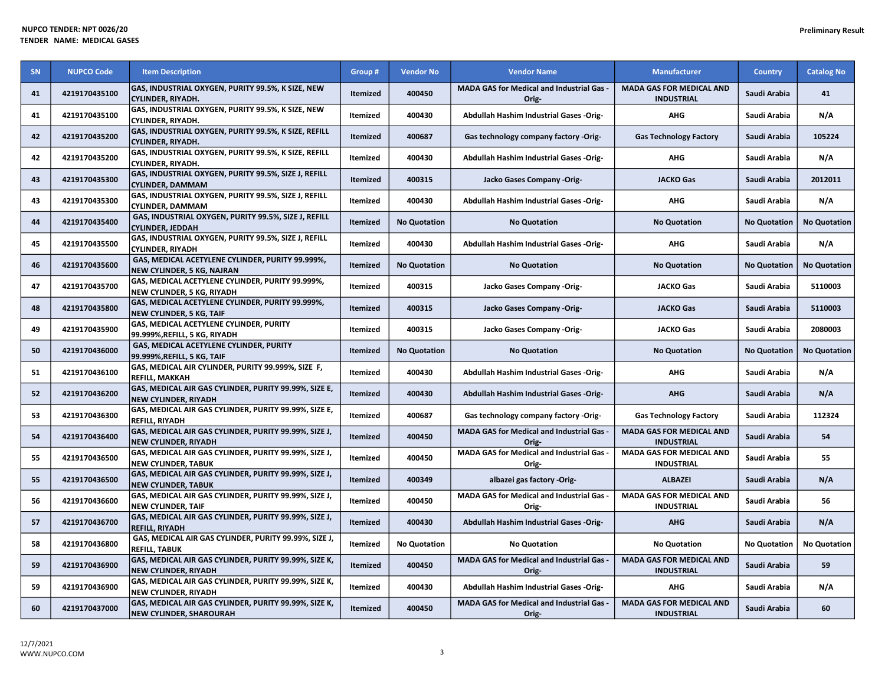| SN | <b>NUPCO Code</b> | <b>Item Description</b>                                                                 | Group #         | <b>Vendor No</b>    | <b>Vendor Name</b>                                        | <b>Manufacturer</b>                                  | <b>Country</b>      | <b>Catalog No</b>   |
|----|-------------------|-----------------------------------------------------------------------------------------|-----------------|---------------------|-----------------------------------------------------------|------------------------------------------------------|---------------------|---------------------|
| 41 | 4219170435100     | GAS, INDUSTRIAL OXYGEN, PURITY 99.5%, K SIZE, NEW<br>CYLINDER, RIYADH.                  | Itemized        | 400450              | MADA GAS for Medical and Industrial Gas -<br>Orig-        | <b>MADA GAS FOR MEDICAL AND</b><br><b>INDUSTRIAL</b> | Saudi Arabia        | 41                  |
| 41 | 4219170435100     | GAS, INDUSTRIAL OXYGEN, PURITY 99.5%, K SIZE, NEW<br>CYLINDER, RIYADH.                  | Itemized        | 400430              | Abdullah Hashim Industrial Gases -Orig-                   | AHG                                                  | Saudi Arabia        | N/A                 |
| 42 | 4219170435200     | GAS, INDUSTRIAL OXYGEN, PURITY 99.5%, K SIZE, REFILL<br><b>CYLINDER, RIYADH.</b>        | Itemized        | 400687              | Gas technology company factory -Orig-                     | <b>Gas Technology Factory</b>                        | Saudi Arabia        | 105224              |
| 42 | 4219170435200     | GAS, INDUSTRIAL OXYGEN, PURITY 99.5%, K SIZE, REFILL<br>CYLINDER, RIYADH.               | Itemized        | 400430              | Abdullah Hashim Industrial Gases -Orig-                   | AHG                                                  | Saudi Arabia        | N/A                 |
| 43 | 4219170435300     | GAS, INDUSTRIAL OXYGEN, PURITY 99.5%, SIZE J, REFILL<br><b>CYLINDER, DAMMAM</b>         | Itemized        | 400315              | Jacko Gases Company -Orig-                                | <b>JACKO Gas</b>                                     | Saudi Arabia        | 2012011             |
| 43 | 4219170435300     | GAS, INDUSTRIAL OXYGEN, PURITY 99.5%, SIZE J, REFILL<br><b>CYLINDER, DAMMAM</b>         | Itemized        | 400430              | Abdullah Hashim Industrial Gases -Orig-                   | AHG                                                  | Saudi Arabia        | N/A                 |
| 44 | 4219170435400     | GAS, INDUSTRIAL OXYGEN, PURITY 99.5%, SIZE J, REFILL<br><b>CYLINDER, JEDDAH</b>         | <b>Itemized</b> | <b>No Quotation</b> | <b>No Quotation</b>                                       | <b>No Quotation</b>                                  | <b>No Quotation</b> | <b>No Quotation</b> |
| 45 | 4219170435500     | GAS, INDUSTRIAL OXYGEN, PURITY 99.5%, SIZE J, REFILL<br><b>CYLINDER, RIYADH</b>         | Itemized        | 400430              | Abdullah Hashim Industrial Gases -Orig-                   | <b>AHG</b>                                           | Saudi Arabia        | N/A                 |
| 46 | 4219170435600     | GAS, MEDICAL ACETYLENE CYLINDER, PURITY 99.999%,<br>NEW CYLINDER, 5 KG, NAJRAN          | Itemized        | <b>No Quotation</b> | <b>No Quotation</b>                                       | <b>No Quotation</b>                                  | <b>No Quotation</b> | <b>No Quotation</b> |
| 47 | 4219170435700     | GAS, MEDICAL ACETYLENE CYLINDER, PURITY 99.999%,<br>NEW CYLINDER, 5 KG, RIYADH          | Itemized        | 400315              | Jacko Gases Company -Orig-                                | <b>JACKO Gas</b>                                     | Saudi Arabia        | 5110003             |
| 48 | 4219170435800     | GAS, MEDICAL ACETYLENE CYLINDER, PURITY 99.999%,<br>NEW CYLINDER, 5 KG, TAIF            | Itemized        | 400315              | Jacko Gases Company -Orig-                                | <b>JACKO Gas</b>                                     | Saudi Arabia        | 5110003             |
| 49 | 4219170435900     | GAS, MEDICAL ACETYLENE CYLINDER, PURITY<br>99.999%, REFILL, 5 KG, RIYADH                | Itemized        | 400315              | Jacko Gases Company -Orig-                                | <b>JACKO Gas</b>                                     | Saudi Arabia        | 2080003             |
| 50 | 4219170436000     | GAS, MEDICAL ACETYLENE CYLINDER, PURITY<br>99.999%, REFILL, 5 KG, TAIF                  | Itemized        | <b>No Quotation</b> | <b>No Quotation</b>                                       | <b>No Quotation</b>                                  | <b>No Quotation</b> | <b>No Quotation</b> |
| 51 | 4219170436100     | GAS, MEDICAL AIR CYLINDER, PURITY 99.999%, SIZE F,<br><b>REFILL, MAKKAH</b>             | Itemized        | 400430              | Abdullah Hashim Industrial Gases -Orig-                   | AHG                                                  | Saudi Arabia        | N/A                 |
| 52 | 4219170436200     | GAS, MEDICAL AIR GAS CYLINDER, PURITY 99.99%, SIZE E,<br><b>NEW CYLINDER, RIYADH</b>    | <b>Itemized</b> | 400430              | Abdullah Hashim Industrial Gases -Orig-                   | <b>AHG</b>                                           | Saudi Arabia        | N/A                 |
| 53 | 4219170436300     | GAS, MEDICAL AIR GAS CYLINDER, PURITY 99.99%, SIZE E,<br><b>REFILL, RIYADH</b>          | Itemized        | 400687              | Gas technology company factory -Orig-                     | <b>Gas Technology Factory</b>                        | Saudi Arabia        | 112324              |
| 54 | 4219170436400     | GAS, MEDICAL AIR GAS CYLINDER, PURITY 99.99%, SIZE J,<br>NEW CYLINDER, RIYADH           | <b>Itemized</b> | 400450              | MADA GAS for Medical and Industrial Gas -<br>Orig-        | <b>MADA GAS FOR MEDICAL AND</b><br><b>INDUSTRIAL</b> | Saudi Arabia        | 54                  |
| 55 | 4219170436500     | GAS, MEDICAL AIR GAS CYLINDER, PURITY 99.99%, SIZE J,<br><b>NEW CYLINDER, TABUK</b>     | Itemized        | 400450              | MADA GAS for Medical and Industrial Gas -<br>Orig-        | MADA GAS FOR MEDICAL AND<br><b>INDUSTRIAL</b>        | Saudi Arabia        | 55                  |
| 55 | 4219170436500     | GAS, MEDICAL AIR GAS CYLINDER, PURITY 99.99%, SIZE J,<br>NEW CYLINDER, TABUK            | <b>Itemized</b> | 400349              | albazei gas factory -Orig-                                | <b>ALBAZEI</b>                                       | Saudi Arabia        | N/A                 |
| 56 | 4219170436600     | GAS, MEDICAL AIR GAS CYLINDER, PURITY 99.99%, SIZE J,<br><b>NEW CYLINDER, TAIF</b>      | Itemized        | 400450              | MADA GAS for Medical and Industrial Gas -<br>Orig-        | <b>MADA GAS FOR MEDICAL AND</b><br><b>INDUSTRIAL</b> | Saudi Arabia        | 56                  |
| 57 | 4219170436700     | GAS, MEDICAL AIR GAS CYLINDER, PURITY 99.99%, SIZE J,<br><b>REFILL, RIYADH</b>          | <b>Itemized</b> | 400430              | Abdullah Hashim Industrial Gases -Orig-                   | <b>AHG</b>                                           | Saudi Arabia        | N/A                 |
| 58 | 4219170436800     | GAS, MEDICAL AIR GAS CYLINDER, PURITY 99.99%, SIZE J,<br><b>REFILL, TABUK</b>           | Itemized        | <b>No Quotation</b> | <b>No Quotation</b>                                       | <b>No Quotation</b>                                  | <b>No Quotation</b> | <b>No Quotation</b> |
| 59 | 4219170436900     | GAS, MEDICAL AIR GAS CYLINDER, PURITY 99.99%, SIZE K,<br>NEW CYLINDER, RIYADH           | Itemized        | 400450              | <b>MADA GAS for Medical and Industrial Gas -</b><br>Orig- | <b>MADA GAS FOR MEDICAL AND</b><br><b>INDUSTRIAL</b> | Saudi Arabia        | 59                  |
| 59 | 4219170436900     | GAS, MEDICAL AIR GAS CYLINDER, PURITY 99.99%, SIZE K,<br><b>NEW CYLINDER, RIYADH</b>    | Itemized        | 400430              | Abdullah Hashim Industrial Gases -Orig-                   | <b>AHG</b>                                           | Saudi Arabia        | N/A                 |
| 60 | 4219170437000     | GAS, MEDICAL AIR GAS CYLINDER, PURITY 99.99%, SIZE K,<br><b>NEW CYLINDER, SHAROURAH</b> | Itemized        | 400450              | MADA GAS for Medical and Industrial Gas -<br>Orig-        | <b>MADA GAS FOR MEDICAL AND</b><br><b>INDUSTRIAL</b> | Saudi Arabia        | 60                  |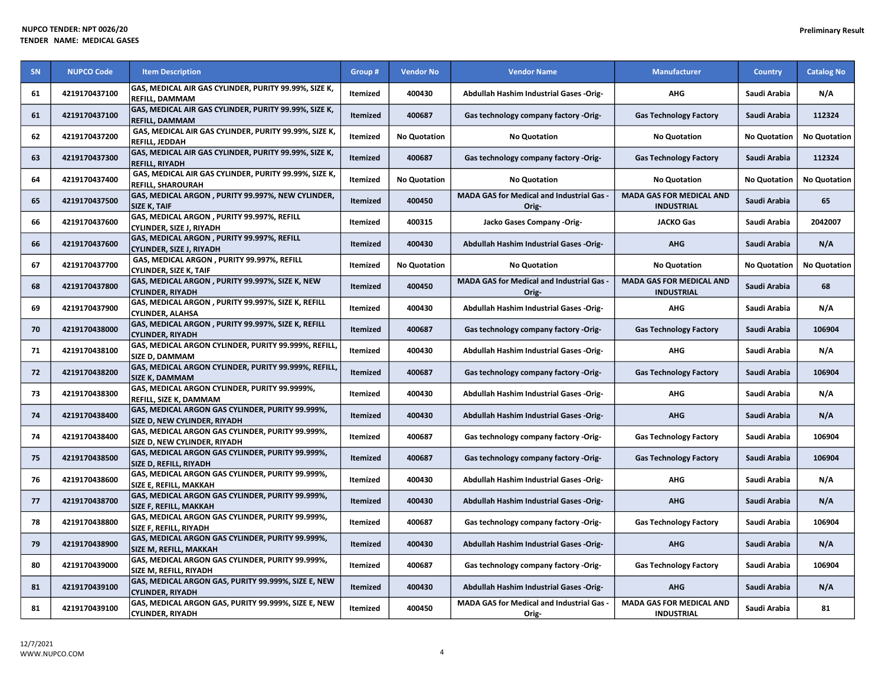| SN | <b>NUPCO Code</b> | <b>Item Description</b>                                                           | Group #         | <b>Vendor No</b>    | <b>Vendor Name</b>                                 | <b>Manufacturer</b>                                  | <b>Country</b>      | <b>Catalog No</b>   |
|----|-------------------|-----------------------------------------------------------------------------------|-----------------|---------------------|----------------------------------------------------|------------------------------------------------------|---------------------|---------------------|
| 61 | 4219170437100     | GAS, MEDICAL AIR GAS CYLINDER, PURITY 99.99%, SIZE K,<br>REFILL, DAMMAM           | Itemized        | 400430              | <b>Abdullah Hashim Industrial Gases -Orig-</b>     | <b>AHG</b>                                           | Saudi Arabia        | N/A                 |
| 61 | 4219170437100     | GAS, MEDICAL AIR GAS CYLINDER, PURITY 99.99%, SIZE K,<br><b>REFILL, DAMMAM</b>    | Itemized        | 400687              | Gas technology company factory -Orig-              | <b>Gas Technology Factory</b>                        | Saudi Arabia        | 112324              |
| 62 | 4219170437200     | GAS, MEDICAL AIR GAS CYLINDER, PURITY 99.99%, SIZE K,<br>REFILL, JEDDAH           | Itemized        | <b>No Quotation</b> | <b>No Quotation</b>                                | <b>No Quotation</b>                                  | <b>No Quotation</b> | <b>No Quotation</b> |
| 63 | 4219170437300     | GAS, MEDICAL AIR GAS CYLINDER, PURITY 99.99%, SIZE K,<br><b>REFILL, RIYADH</b>    | Itemized        | 400687              | Gas technology company factory -Orig-              | <b>Gas Technology Factory</b>                        | Saudi Arabia        | 112324              |
| 64 | 4219170437400     | GAS, MEDICAL AIR GAS CYLINDER, PURITY 99.99%, SIZE K,<br><b>REFILL, SHAROURAH</b> | Itemized        | <b>No Quotation</b> | <b>No Quotation</b>                                | <b>No Quotation</b>                                  | <b>No Quotation</b> | <b>No Quotation</b> |
| 65 | 4219170437500     | GAS, MEDICAL ARGON, PURITY 99.997%, NEW CYLINDER,<br><b>SIZE K, TAIF</b>          | Itemized        | 400450              | MADA GAS for Medical and Industrial Gas -<br>Orig- | <b>MADA GAS FOR MEDICAL AND</b><br><b>INDUSTRIAL</b> | Saudi Arabia        | 65                  |
| 66 | 4219170437600     | GAS, MEDICAL ARGON, PURITY 99.997%, REFILL<br>CYLINDER, SIZE J, RIYADH            | Itemized        | 400315              | Jacko Gases Company -Orig-                         | <b>JACKO Gas</b>                                     | Saudi Arabia        | 2042007             |
| 66 | 4219170437600     | GAS, MEDICAL ARGON, PURITY 99.997%, REFILL<br><b>CYLINDER, SIZE J, RIYADH</b>     | Itemized        | 400430              | Abdullah Hashim Industrial Gases -Orig-            | <b>AHG</b>                                           | Saudi Arabia        | N/A                 |
| 67 | 4219170437700     | GAS, MEDICAL ARGON, PURITY 99.997%, REFILL<br><b>CYLINDER, SIZE K, TAIF</b>       | Itemized        | <b>No Quotation</b> | <b>No Quotation</b>                                | <b>No Quotation</b>                                  | <b>No Quotation</b> | <b>No Quotation</b> |
| 68 | 4219170437800     | GAS, MEDICAL ARGON, PURITY 99.997%, SIZE K, NEW<br><b>CYLINDER, RIYADH</b>        | Itemized        | 400450              | MADA GAS for Medical and Industrial Gas -<br>Orig- | <b>MADA GAS FOR MEDICAL AND</b><br><b>INDUSTRIAL</b> | Saudi Arabia        | 68                  |
| 69 | 4219170437900     | GAS, MEDICAL ARGON, PURITY 99.997%, SIZE K, REFILL<br>CYLINDER. ALAHSA            | Itemized        | 400430              | Abdullah Hashim Industrial Gases -Orig-            | <b>AHG</b>                                           | Saudi Arabia        | N/A                 |
| 70 | 4219170438000     | GAS, MEDICAL ARGON, PURITY 99.997%, SIZE K, REFILL<br>CYLINDER, RIYADH            | <b>Itemized</b> | 400687              | Gas technology company factory -Orig-              | <b>Gas Technology Factory</b>                        | Saudi Arabia        | 106904              |
| 71 | 4219170438100     | GAS, MEDICAL ARGON CYLINDER, PURITY 99.999%, REFILL,<br>SIZE D, DAMMAM            | Itemized        | 400430              | Abdullah Hashim Industrial Gases -Orig-            | <b>AHG</b>                                           | Saudi Arabia        | N/A                 |
| 72 | 4219170438200     | GAS, MEDICAL ARGON CYLINDER, PURITY 99.999%, REFILL,<br><b>SIZE K, DAMMAM</b>     | Itemized        | 400687              | Gas technology company factory -Orig-              | <b>Gas Technology Factory</b>                        | Saudi Arabia        | 106904              |
| 73 | 4219170438300     | GAS, MEDICAL ARGON CYLINDER, PURITY 99.9999%,<br>REFILL, SIZE K, DAMMAM           | Itemized        | 400430              | Abdullah Hashim Industrial Gases -Orig-            | AHG                                                  | Saudi Arabia        | N/A                 |
| 74 | 4219170438400     | GAS, MEDICAL ARGON GAS CYLINDER, PURITY 99.999%,<br>SIZE D, NEW CYLINDER, RIYADH  | Itemized        | 400430              | Abdullah Hashim Industrial Gases -Orig-            | <b>AHG</b>                                           | Saudi Arabia        | N/A                 |
| 74 | 4219170438400     | GAS, MEDICAL ARGON GAS CYLINDER, PURITY 99.999%,<br>SIZE D, NEW CYLINDER, RIYADH  | Itemized        | 400687              | Gas technology company factory -Orig-              | <b>Gas Technology Factory</b>                        | Saudi Arabia        | 106904              |
| 75 | 4219170438500     | GAS, MEDICAL ARGON GAS CYLINDER, PURITY 99.999%,<br>SIZE D, REFILL, RIYADH        | <b>Itemized</b> | 400687              | Gas technology company factory -Orig-              | <b>Gas Technology Factory</b>                        | Saudi Arabia        | 106904              |
| 76 | 4219170438600     | GAS, MEDICAL ARGON GAS CYLINDER, PURITY 99.999%,<br>SIZE E, REFILL, MAKKAH        | Itemized        | 400430              | Abdullah Hashim Industrial Gases -Orig-            | AHG                                                  | Saudi Arabia        | N/A                 |
| 77 | 4219170438700     | GAS, MEDICAL ARGON GAS CYLINDER, PURITY 99.999%,<br>SIZE F, REFILL, MAKKAH        | <b>Itemized</b> | 400430              | Abdullah Hashim Industrial Gases -Orig-            | <b>AHG</b>                                           | Saudi Arabia        | N/A                 |
| 78 | 4219170438800     | GAS, MEDICAL ARGON GAS CYLINDER, PURITY 99.999%,<br>SIZE F, REFILL, RIYADH        | Itemized        | 400687              | Gas technology company factory -Orig-              | <b>Gas Technology Factory</b>                        | Saudi Arabia        | 106904              |
| 79 | 4219170438900     | GAS, MEDICAL ARGON GAS CYLINDER, PURITY 99.999%,<br>SIZE M, REFILL, MAKKAH        | <b>Itemized</b> | 400430              | <b>Abdullah Hashim Industrial Gases -Orig-</b>     | <b>AHG</b>                                           | Saudi Arabia        | N/A                 |
| 80 | 4219170439000     | GAS, MEDICAL ARGON GAS CYLINDER, PURITY 99.999%,<br>SIZE M, REFILL, RIYADH        | Itemized        | 400687              | Gas technology company factory -Orig-              | <b>Gas Technology Factory</b>                        | Saudi Arabia        | 106904              |
| 81 | 4219170439100     | GAS, MEDICAL ARGON GAS, PURITY 99.999%, SIZE E, NEW<br>CYLINDER, RIYADH           | Itemized        | 400430              | Abdullah Hashim Industrial Gases -Orig-            | <b>AHG</b>                                           | Saudi Arabia        | N/A                 |
| 81 | 4219170439100     | GAS, MEDICAL ARGON GAS, PURITY 99.999%, SIZE E, NEW<br><b>CYLINDER, RIYADH</b>    | Itemized        | 400450              | MADA GAS for Medical and Industrial Gas -<br>Orig- | MADA GAS FOR MEDICAL AND<br><b>INDUSTRIAL</b>        | Saudi Arabia        | 81                  |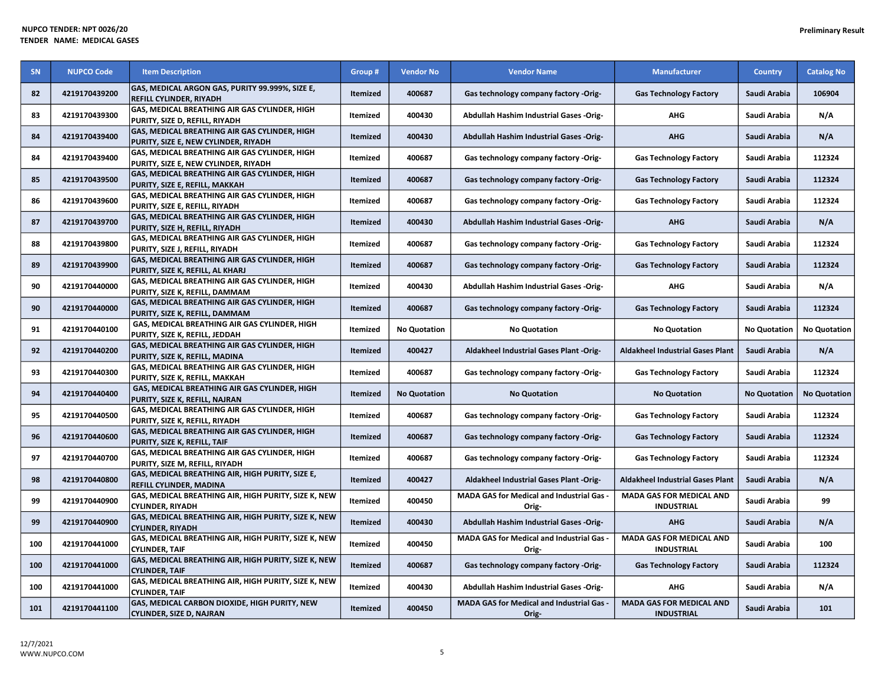| SN  | <b>NUPCO Code</b> | <b>Item Description</b>                                                                      | Group #         | <b>Vendor No</b>    | <b>Vendor Name</b>                                 | <b>Manufacturer</b>                                  | <b>Country</b>      | <b>Catalog No</b>   |
|-----|-------------------|----------------------------------------------------------------------------------------------|-----------------|---------------------|----------------------------------------------------|------------------------------------------------------|---------------------|---------------------|
| 82  | 4219170439200     | GAS, MEDICAL ARGON GAS, PURITY 99.999%, SIZE E,<br><b>REFILL CYLINDER, RIYADH</b>            | Itemized        | 400687              | Gas technology company factory -Orig-              | <b>Gas Technology Factory</b>                        | Saudi Arabia        | 106904              |
| 83  | 4219170439300     | <b>GAS, MEDICAL BREATHING AIR GAS CYLINDER, HIGH</b><br>PURITY, SIZE D, REFILL, RIYADH       | Itemized        | 400430              | <b>Abdullah Hashim Industrial Gases -Orig-</b>     | <b>AHG</b>                                           | Saudi Arabia        | N/A                 |
| 84  | 4219170439400     | <b>GAS, MEDICAL BREATHING AIR GAS CYLINDER, HIGH</b><br>PURITY, SIZE E, NEW CYLINDER, RIYADH | <b>Itemized</b> | 400430              | Abdullah Hashim Industrial Gases -Orig-            | <b>AHG</b>                                           | Saudi Arabia        | N/A                 |
| 84  | 4219170439400     | <b>GAS, MEDICAL BREATHING AIR GAS CYLINDER, HIGH</b><br>PURITY, SIZE E, NEW CYLINDER, RIYADH | Itemized        | 400687              | Gas technology company factory -Orig-              | <b>Gas Technology Factory</b>                        | Saudi Arabia        | 112324              |
| 85  | 4219170439500     | GAS, MEDICAL BREATHING AIR GAS CYLINDER, HIGH<br>PURITY, SIZE E, REFILL, MAKKAH              | <b>Itemized</b> | 400687              | Gas technology company factory -Orig-              | <b>Gas Technology Factory</b>                        | Saudi Arabia        | 112324              |
| 86  | 4219170439600     | <b>GAS, MEDICAL BREATHING AIR GAS CYLINDER, HIGH</b><br>PURITY, SIZE E, REFILL, RIYADH       | Itemized        | 400687              | Gas technology company factory -Orig-              | <b>Gas Technology Factory</b>                        | Saudi Arabia        | 112324              |
| 87  | 4219170439700     | <b>GAS, MEDICAL BREATHING AIR GAS CYLINDER, HIGH</b><br>PURITY, SIZE H, REFILL, RIYADH       | <b>Itemized</b> | 400430              | Abdullah Hashim Industrial Gases -Orig-            | <b>AHG</b>                                           | Saudi Arabia        | N/A                 |
| 88  | 4219170439800     | <b>GAS, MEDICAL BREATHING AIR GAS CYLINDER, HIGH</b><br>PURITY, SIZE J, REFILL, RIYADH       | Itemized        | 400687              | Gas technology company factory -Orig-              | <b>Gas Technology Factory</b>                        | Saudi Arabia        | 112324              |
| 89  | 4219170439900     | <b>GAS, MEDICAL BREATHING AIR GAS CYLINDER, HIGH</b><br>PURITY, SIZE K, REFILL, AL KHARJ     | Itemized        | 400687              | Gas technology company factory -Orig-              | <b>Gas Technology Factory</b>                        | Saudi Arabia        | 112324              |
| 90  | 4219170440000     | <b>GAS, MEDICAL BREATHING AIR GAS CYLINDER, HIGH</b><br>PURITY, SIZE K, REFILL, DAMMAM       | Itemized        | 400430              | Abdullah Hashim Industrial Gases -Orig-            | <b>AHG</b>                                           | Saudi Arabia        | N/A                 |
| 90  | 4219170440000     | <b>GAS, MEDICAL BREATHING AIR GAS CYLINDER, HIGH</b><br>PURITY, SIZE K, REFILL, DAMMAM       | Itemized        | 400687              | Gas technology company factory -Orig-              | <b>Gas Technology Factory</b>                        | Saudi Arabia        | 112324              |
| 91  | 4219170440100     | GAS, MEDICAL BREATHING AIR GAS CYLINDER, HIGH<br>PURITY, SIZE K, REFILL, JEDDAH              | Itemized        | <b>No Quotation</b> | <b>No Quotation</b>                                | <b>No Quotation</b>                                  | <b>No Quotation</b> | <b>No Quotation</b> |
| 92  | 4219170440200     | <b>GAS, MEDICAL BREATHING AIR GAS CYLINDER, HIGH</b><br>PURITY, SIZE K, REFILL, MADINA       | <b>Itemized</b> | 400427              | Aldakheel Industrial Gases Plant -Orig-            | <b>Aldakheel Industrial Gases Plant</b>              | Saudi Arabia        | N/A                 |
| 93  | 4219170440300     | <b>GAS, MEDICAL BREATHING AIR GAS CYLINDER, HIGH</b><br>PURITY, SIZE K, REFILL, MAKKAH       | Itemized        | 400687              | Gas technology company factory -Orig-              | <b>Gas Technology Factory</b>                        | Saudi Arabia        | 112324              |
| 94  | 4219170440400     | GAS, MEDICAL BREATHING AIR GAS CYLINDER, HIGH<br>PURITY, SIZE K, REFILL, NAJRAN              | <b>Itemized</b> | <b>No Quotation</b> | <b>No Quotation</b>                                | <b>No Quotation</b>                                  | <b>No Quotation</b> | <b>No Quotation</b> |
| 95  | 4219170440500     | GAS, MEDICAL BREATHING AIR GAS CYLINDER, HIGH<br>PURITY, SIZE K, REFILL, RIYADH              | Itemized        | 400687              | Gas technology company factory -Orig-              | <b>Gas Technology Factory</b>                        | Saudi Arabia        | 112324              |
| 96  | 4219170440600     | <b>GAS, MEDICAL BREATHING AIR GAS CYLINDER, HIGH</b><br>PURITY, SIZE K, REFILL, TAIF         | <b>Itemized</b> | 400687              | Gas technology company factory -Orig-              | <b>Gas Technology Factory</b>                        | Saudi Arabia        | 112324              |
| 97  | 4219170440700     | <b>GAS, MEDICAL BREATHING AIR GAS CYLINDER, HIGH</b><br>PURITY, SIZE M, REFILL, RIYADH       | Itemized        | 400687              | Gas technology company factory -Orig-              | <b>Gas Technology Factory</b>                        | Saudi Arabia        | 112324              |
| 98  | 4219170440800     | <b>GAS, MEDICAL BREATHING AIR, HIGH PURITY, SIZE E,</b><br><b>REFILL CYLINDER, MADINA</b>    | Itemized        | 400427              | <b>Aldakheel Industrial Gases Plant -Orig-</b>     | Aldakheel Industrial Gases Plant                     | Saudi Arabia        | N/A                 |
| 99  | 4219170440900     | GAS, MEDICAL BREATHING AIR, HIGH PURITY, SIZE K, NEW<br><b>CYLINDER, RIYADH</b>              | Itemized        | 400450              | MADA GAS for Medical and Industrial Gas -<br>Orig- | <b>MADA GAS FOR MEDICAL AND</b><br><b>INDUSTRIAL</b> | Saudi Arabia        | 99                  |
| 99  | 4219170440900     | GAS, MEDICAL BREATHING AIR, HIGH PURITY, SIZE K, NEW<br><b>CYLINDER, RIYADH</b>              | <b>Itemized</b> | 400430              | Abdullah Hashim Industrial Gases -Orig-            | <b>AHG</b>                                           | Saudi Arabia        | N/A                 |
| 100 | 4219170441000     | GAS, MEDICAL BREATHING AIR, HIGH PURITY, SIZE K, NEW<br><b>CYLINDER, TAIF</b>                | Itemized        | 400450              | MADA GAS for Medical and Industrial Gas -<br>Orig- | <b>MADA GAS FOR MEDICAL AND</b><br><b>INDUSTRIAL</b> | Saudi Arabia        | 100                 |
| 100 | 4219170441000     | GAS, MEDICAL BREATHING AIR, HIGH PURITY, SIZE K, NEW<br><b>CYLINDER, TAIF</b>                | <b>Itemized</b> | 400687              | Gas technology company factory -Orig-              | <b>Gas Technology Factory</b>                        | Saudi Arabia        | 112324              |
| 100 | 4219170441000     | GAS, MEDICAL BREATHING AIR, HIGH PURITY, SIZE K, NEW<br><b>CYLINDER, TAIF</b>                | Itemized        | 400430              | Abdullah Hashim Industrial Gases -Orig-            | <b>AHG</b>                                           | Saudi Arabia        | N/A                 |
| 101 | 4219170441100     | <b>GAS, MEDICAL CARBON DIOXIDE, HIGH PURITY, NEW</b><br><b>CYLINDER, SIZE D, NAJRAN</b>      | Itemized        | 400450              | MADA GAS for Medical and Industrial Gas -<br>Orig- | <b>MADA GAS FOR MEDICAL AND</b><br><b>INDUSTRIAL</b> | Saudi Arabia        | 101                 |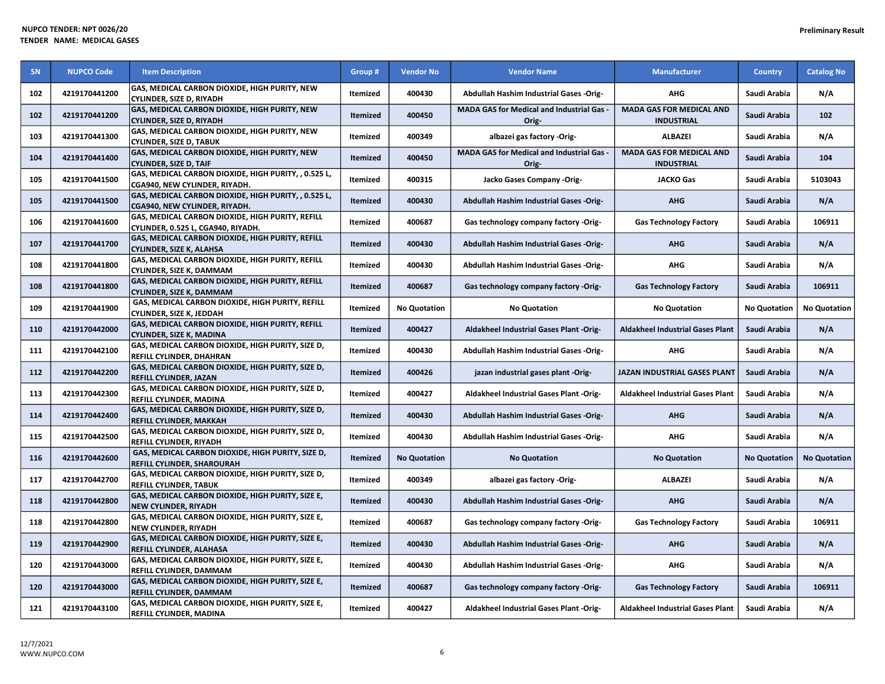| <b>SN</b> | <b>NUPCO Code</b> | <b>Item Description</b>                                                                | Group #         | <b>Vendor No</b>    | <b>Vendor Name</b>                                      | <b>Manufacturer</b>                                  | <b>Country</b>      | <b>Catalog No</b>   |
|-----------|-------------------|----------------------------------------------------------------------------------------|-----------------|---------------------|---------------------------------------------------------|------------------------------------------------------|---------------------|---------------------|
| 102       | 4219170441200     | GAS, MEDICAL CARBON DIOXIDE, HIGH PURITY, NEW<br>CYLINDER, SIZE D, RIYADH              | Itemized        | 400430              | Abdullah Hashim Industrial Gases -Orig-                 | AHG                                                  | Saudi Arabia        | N/A                 |
| 102       | 4219170441200     | GAS, MEDICAL CARBON DIOXIDE, HIGH PURITY, NEW<br>CYLINDER, SIZE D, RIYADH              | <b>Itemized</b> | 400450              | MADA GAS for Medical and Industrial Gas -<br>Orig-      | <b>MADA GAS FOR MEDICAL AND</b><br><b>INDUSTRIAL</b> | Saudi Arabia        | 102                 |
| 103       | 4219170441300     | GAS, MEDICAL CARBON DIOXIDE, HIGH PURITY, NEW<br><b>CYLINDER, SIZE D, TABUK</b>        | Itemized        | 400349              | albazei gas factory -Orig-                              | <b>ALBAZEI</b>                                       | Saudi Arabia        | N/A                 |
| 104       | 4219170441400     | GAS, MEDICAL CARBON DIOXIDE, HIGH PURITY, NEW<br><b>CYLINDER, SIZE D, TAIF</b>         | <b>Itemized</b> | 400450              | <b>MADA GAS for Medical and Industrial Gas</b><br>Orig- | <b>MADA GAS FOR MEDICAL AND</b><br><b>INDUSTRIAL</b> | Saudi Arabia        | 104                 |
| 105       | 4219170441500     | GAS, MEDICAL CARBON DIOXIDE, HIGH PURITY, , 0.525 L,<br>CGA940, NEW CYLINDER, RIYADH.  | Itemized        | 400315              | Jacko Gases Company -Orig-                              | <b>JACKO Gas</b>                                     | Saudi Arabia        | 5103043             |
| 105       | 4219170441500     | GAS, MEDICAL CARBON DIOXIDE, HIGH PURITY, , 0.525 L,<br>CGA940, NEW CYLINDER, RIYADH.  | <b>Itemized</b> | 400430              | Abdullah Hashim Industrial Gases -Orig-                 | <b>AHG</b>                                           | Saudi Arabia        | N/A                 |
| 106       | 4219170441600     | GAS, MEDICAL CARBON DIOXIDE, HIGH PURITY, REFILL<br>CYLINDER, 0.525 L, CGA940, RIYADH. | Itemized        | 400687              | Gas technology company factory -Orig-                   | <b>Gas Technology Factory</b>                        | Saudi Arabia        | 106911              |
| 107       | 4219170441700     | GAS, MEDICAL CARBON DIOXIDE, HIGH PURITY, REFILL<br>CYLINDER, SIZE K, ALAHSA           | <b>Itemized</b> | 400430              | Abdullah Hashim Industrial Gases -Orig-                 | <b>AHG</b>                                           | Saudi Arabia        | N/A                 |
| 108       | 4219170441800     | GAS, MEDICAL CARBON DIOXIDE, HIGH PURITY, REFILL<br>CYLINDER, SIZE K, DAMMAM           | Itemized        | 400430              | <b>Abdullah Hashim Industrial Gases -Orig-</b>          | AHG                                                  | Saudi Arabia        | N/A                 |
| 108       | 4219170441800     | GAS, MEDICAL CARBON DIOXIDE, HIGH PURITY, REFILL<br>CYLINDER, SIZE K, DAMMAM           | <b>Itemized</b> | 400687              | Gas technology company factory -Orig-                   | <b>Gas Technology Factory</b>                        | Saudi Arabia        | 106911              |
| 109       | 4219170441900     | GAS, MEDICAL CARBON DIOXIDE, HIGH PURITY, REFILL<br>CYLINDER, SIZE K, JEDDAH           | Itemized        | <b>No Quotation</b> | <b>No Quotation</b>                                     | <b>No Quotation</b>                                  | <b>No Quotation</b> | <b>No Quotation</b> |
| 110       | 4219170442000     | GAS, MEDICAL CARBON DIOXIDE, HIGH PURITY, REFILL<br>CYLINDER, SIZE K, MADINA           | <b>Itemized</b> | 400427              | Aldakheel Industrial Gases Plant -Orig-                 | <b>Aldakheel Industrial Gases Plant</b>              | Saudi Arabia        | N/A                 |
| 111       | 4219170442100     | GAS, MEDICAL CARBON DIOXIDE, HIGH PURITY, SIZE D,<br>REFILL CYLINDER, DHAHRAN          | Itemized        | 400430              | Abdullah Hashim Industrial Gases -Orig-                 | <b>AHG</b>                                           | Saudi Arabia        | N/A                 |
| 112       | 4219170442200     | GAS, MEDICAL CARBON DIOXIDE, HIGH PURITY, SIZE D,<br>REFILL CYLINDER, JAZAN            | <b>Itemized</b> | 400426              | jazan industrial gases plant -Orig-                     | JAZAN INDUSTRIAL GASES PLANT                         | Saudi Arabia        | N/A                 |
| 113       | 4219170442300     | GAS, MEDICAL CARBON DIOXIDE, HIGH PURITY, SIZE D,<br>REFILL CYLINDER, MADINA           | Itemized        | 400427              | Aldakheel Industrial Gases Plant -Orig-                 | <b>Aldakheel Industrial Gases Plant</b>              | Saudi Arabia        | N/A                 |
| 114       | 4219170442400     | GAS, MEDICAL CARBON DIOXIDE, HIGH PURITY, SIZE D,<br>REFILL CYLINDER, MAKKAH           | Itemized        | 400430              | Abdullah Hashim Industrial Gases -Orig-                 | <b>AHG</b>                                           | Saudi Arabia        | N/A                 |
| 115       | 4219170442500     | GAS, MEDICAL CARBON DIOXIDE, HIGH PURITY, SIZE D,<br>REFILL CYLINDER, RIYADH           | <b>Itemized</b> | 400430              | Abdullah Hashim Industrial Gases -Orig-                 | <b>AHG</b>                                           | Saudi Arabia        | N/A                 |
| 116       | 4219170442600     | GAS, MEDICAL CARBON DIOXIDE, HIGH PURITY, SIZE D,<br>REFILL CYLINDER, SHAROURAH        | Itemized        | <b>No Quotation</b> | <b>No Quotation</b>                                     | <b>No Quotation</b>                                  | <b>No Quotation</b> | <b>No Quotation</b> |
| 117       | 4219170442700     | GAS, MEDICAL CARBON DIOXIDE, HIGH PURITY, SIZE D,<br><b>REFILL CYLINDER, TABUK</b>     | Itemized        | 400349              | albazei gas factory -Orig-                              | <b>ALBAZEI</b>                                       | Saudi Arabia        | N/A                 |
| 118       | 4219170442800     | GAS, MEDICAL CARBON DIOXIDE, HIGH PURITY, SIZE E,<br>NEW CYLINDER, RIYADH              | Itemized        | 400430              | Abdullah Hashim Industrial Gases -Orig-                 | <b>AHG</b>                                           | Saudi Arabia        | N/A                 |
| 118       | 4219170442800     | GAS, MEDICAL CARBON DIOXIDE, HIGH PURITY, SIZE E,<br>NEW CYLINDER, RIYADH              | Itemized        | 400687              | Gas technology company factory -Orig-                   | <b>Gas Technology Factory</b>                        | Saudi Arabia        | 106911              |
| 119       | 4219170442900     | GAS, MEDICAL CARBON DIOXIDE, HIGH PURITY, SIZE E,<br>REFILL CYLINDER, ALAHASA          | Itemized        | 400430              | Abdullah Hashim Industrial Gases -Orig-                 | <b>AHG</b>                                           | Saudi Arabia        | N/A                 |
| 120       | 4219170443000     | GAS, MEDICAL CARBON DIOXIDE, HIGH PURITY, SIZE E,<br>REFILL CYLINDER, DAMMAM           | Itemized        | 400430              | Abdullah Hashim Industrial Gases -Orig-                 | AHG                                                  | Saudi Arabia        | N/A                 |
| 120       | 4219170443000     | GAS, MEDICAL CARBON DIOXIDE, HIGH PURITY, SIZE E,<br>REFILL CYLINDER, DAMMAM           | <b>Itemized</b> | 400687              | Gas technology company factory -Orig-                   | <b>Gas Technology Factory</b>                        | Saudi Arabia        | 106911              |
| 121       | 4219170443100     | GAS, MEDICAL CARBON DIOXIDE, HIGH PURITY, SIZE E,<br>REFILL CYLINDER, MADINA           | Itemized        | 400427              | Aldakheel Industrial Gases Plant -Orig-                 | <b>Aldakheel Industrial Gases Plant</b>              | Saudi Arabia        | N/A                 |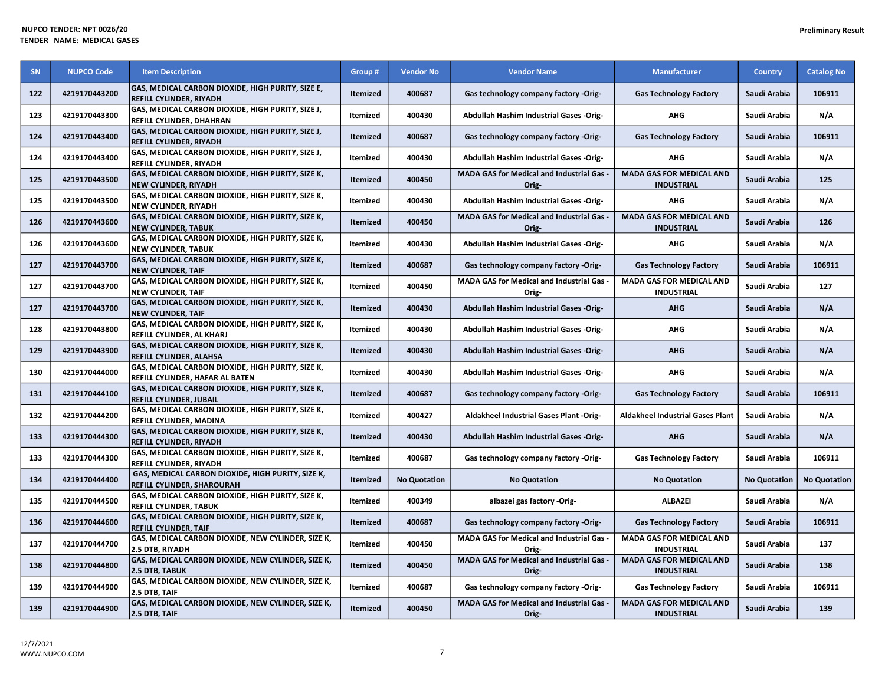| <b>SN</b> | <b>NUPCO Code</b> | <b>Item Description</b>                                                                     | Group #         | <b>Vendor No</b>    | <b>Vendor Name</b>                                 | <b>Manufacturer</b>                                  | <b>Country</b>      | <b>Catalog No</b>   |
|-----------|-------------------|---------------------------------------------------------------------------------------------|-----------------|---------------------|----------------------------------------------------|------------------------------------------------------|---------------------|---------------------|
| 122       | 4219170443200     | GAS, MEDICAL CARBON DIOXIDE, HIGH PURITY, SIZE E,<br><b>REFILL CYLINDER, RIYADH</b>         | Itemized        | 400687              | Gas technology company factory -Orig-              | <b>Gas Technology Factory</b>                        | Saudi Arabia        | 106911              |
| 123       | 4219170443300     | <b>GAS, MEDICAL CARBON DIOXIDE, HIGH PURITY, SIZE J,</b><br><b>REFILL CYLINDER, DHAHRAN</b> | Itemized        | 400430              | Abdullah Hashim Industrial Gases -Orig-            | <b>AHG</b>                                           | Saudi Arabia        | N/A                 |
| 124       | 4219170443400     | <b>GAS, MEDICAL CARBON DIOXIDE, HIGH PURITY, SIZE J,</b><br><b>REFILL CYLINDER, RIYADH</b>  | <b>Itemized</b> | 400687              | Gas technology company factory -Orig-              | <b>Gas Technology Factory</b>                        | Saudi Arabia        | 106911              |
| 124       | 4219170443400     | <b>GAS, MEDICAL CARBON DIOXIDE, HIGH PURITY, SIZE J,</b><br><b>REFILL CYLINDER, RIYADH</b>  | Itemized        | 400430              | Abdullah Hashim Industrial Gases -Orig-            | <b>AHG</b>                                           | Saudi Arabia        | N/A                 |
| 125       | 4219170443500     | GAS, MEDICAL CARBON DIOXIDE, HIGH PURITY, SIZE K,<br><b>NEW CYLINDER, RIYADH</b>            | Itemized        | 400450              | MADA GAS for Medical and Industrial Gas -<br>Orig- | <b>MADA GAS FOR MEDICAL AND</b><br><b>INDUSTRIAL</b> | Saudi Arabia        | 125                 |
| 125       | 4219170443500     | GAS, MEDICAL CARBON DIOXIDE, HIGH PURITY, SIZE K,<br><b>NEW CYLINDER, RIYADH</b>            | Itemized        | 400430              | Abdullah Hashim Industrial Gases -Orig-            | AHG                                                  | Saudi Arabia        | N/A                 |
| 126       | 4219170443600     | GAS, MEDICAL CARBON DIOXIDE, HIGH PURITY, SIZE K,<br><b>NEW CYLINDER, TABUK</b>             | <b>Itemized</b> | 400450              | MADA GAS for Medical and Industrial Gas -<br>Orig- | <b>MADA GAS FOR MEDICAL AND</b><br><b>INDUSTRIAL</b> | Saudi Arabia        | 126                 |
| 126       | 4219170443600     | <b>GAS, MEDICAL CARBON DIOXIDE, HIGH PURITY, SIZE K,</b><br>NEW CYLINDER, TABUK             | Itemized        | 400430              | Abdullah Hashim Industrial Gases -Orig-            | AHG                                                  | Saudi Arabia        | N/A                 |
| 127       | 4219170443700     | GAS, MEDICAL CARBON DIOXIDE, HIGH PURITY, SIZE K,<br><b>NEW CYLINDER, TAIF</b>              | Itemized        | 400687              | Gas technology company factory -Orig-              | <b>Gas Technology Factory</b>                        | Saudi Arabia        | 106911              |
| 127       | 4219170443700     | GAS, MEDICAL CARBON DIOXIDE, HIGH PURITY, SIZE K,<br><b>NEW CYLINDER, TAIF</b>              | <b>Itemized</b> | 400450              | MADA GAS for Medical and Industrial Gas -<br>Orig- | <b>MADA GAS FOR MEDICAL AND</b><br><b>INDUSTRIAL</b> | Saudi Arabia        | 127                 |
| 127       | 4219170443700     | GAS, MEDICAL CARBON DIOXIDE, HIGH PURITY, SIZE K,<br><b>NEW CYLINDER, TAIF</b>              | Itemized        | 400430              | Abdullah Hashim Industrial Gases -Orig-            | <b>AHG</b>                                           | Saudi Arabia        | N/A                 |
| 128       | 4219170443800     | GAS, MEDICAL CARBON DIOXIDE, HIGH PURITY, SIZE K,<br>REFILL CYLINDER, AL KHARJ              | Itemized        | 400430              | Abdullah Hashim Industrial Gases -Orig-            | <b>AHG</b>                                           | Saudi Arabia        | N/A                 |
| 129       | 4219170443900     | GAS, MEDICAL CARBON DIOXIDE, HIGH PURITY, SIZE K,<br><b>REFILL CYLINDER, ALAHSA</b>         | <b>Itemized</b> | 400430              | Abdullah Hashim Industrial Gases -Orig-            | <b>AHG</b>                                           | Saudi Arabia        | N/A                 |
| 130       | 4219170444000     | <b>GAS, MEDICAL CARBON DIOXIDE, HIGH PURITY, SIZE K,</b><br>REFILL CYLINDER, HAFAR AL BATEN | Itemized        | 400430              | Abdullah Hashim Industrial Gases -Orig-            | AHG                                                  | Saudi Arabia        | N/A                 |
| 131       | 4219170444100     | <b>GAS, MEDICAL CARBON DIOXIDE, HIGH PURITY, SIZE K,</b><br><b>REFILL CYLINDER, JUBAIL</b>  | <b>Itemized</b> | 400687              | Gas technology company factory -Orig-              | <b>Gas Technology Factory</b>                        | Saudi Arabia        | 106911              |
| 132       | 4219170444200     | GAS, MEDICAL CARBON DIOXIDE, HIGH PURITY, SIZE K,<br><b>REFILL CYLINDER, MADINA</b>         | Itemized        | 400427              | Aldakheel Industrial Gases Plant -Orig-            | <b>Aldakheel Industrial Gases Plant</b>              | Saudi Arabia        | N/A                 |
| 133       | 4219170444300     | <b>GAS, MEDICAL CARBON DIOXIDE, HIGH PURITY, SIZE K,</b><br>REFILL CYLINDER, RIYADH         | Itemized        | 400430              | Abdullah Hashim Industrial Gases -Orig-            | <b>AHG</b>                                           | Saudi Arabia        | N/A                 |
| 133       | 4219170444300     | GAS, MEDICAL CARBON DIOXIDE, HIGH PURITY, SIZE K,<br><b>REFILL CYLINDER, RIYADH</b>         | Itemized        | 400687              | Gas technology company factory -Orig-              | <b>Gas Technology Factory</b>                        | Saudi Arabia        | 106911              |
| 134       | 4219170444400     | GAS, MEDICAL CARBON DIOXIDE, HIGH PURITY, SIZE K,<br><b>REFILL CYLINDER, SHAROURAH</b>      | <b>Itemized</b> | <b>No Quotation</b> | <b>No Quotation</b>                                | <b>No Quotation</b>                                  | <b>No Quotation</b> | <b>No Quotation</b> |
| 135       | 4219170444500     | GAS, MEDICAL CARBON DIOXIDE, HIGH PURITY, SIZE K,<br><b>REFILL CYLINDER, TABUK</b>          | Itemized        | 400349              | albazei gas factory -Orig-                         | <b>ALBAZEI</b>                                       | Saudi Arabia        | N/A                 |
| 136       | 4219170444600     | GAS, MEDICAL CARBON DIOXIDE, HIGH PURITY, SIZE K,<br><b>REFILL CYLINDER, TAIF</b>           | <b>Itemized</b> | 400687              | Gas technology company factory -Orig-              | <b>Gas Technology Factory</b>                        | Saudi Arabia        | 106911              |
| 137       | 4219170444700     | GAS, MEDICAL CARBON DIOXIDE, NEW CYLINDER, SIZE K,<br>2.5 DTB, RIYADH                       | Itemized        | 400450              | MADA GAS for Medical and Industrial Gas -<br>Orig- | <b>MADA GAS FOR MEDICAL AND</b><br><b>INDUSTRIAL</b> | Saudi Arabia        | 137                 |
| 138       | 4219170444800     | GAS, MEDICAL CARBON DIOXIDE, NEW CYLINDER, SIZE K,<br>2.5 DTB, TABUK                        | Itemized        | 400450              | MADA GAS for Medical and Industrial Gas -<br>Orig- | <b>MADA GAS FOR MEDICAL AND</b><br><b>INDUSTRIAL</b> | Saudi Arabia        | 138                 |
| 139       | 4219170444900     | GAS, MEDICAL CARBON DIOXIDE, NEW CYLINDER, SIZE K,<br>2.5 DTB, TAIF                         | Itemized        | 400687              | Gas technology company factory -Orig-              | <b>Gas Technology Factory</b>                        | Saudi Arabia        | 106911              |
| 139       | 4219170444900     | GAS, MEDICAL CARBON DIOXIDE, NEW CYLINDER, SIZE K,<br>2.5 DTB, TAIF                         | Itemized        | 400450              | MADA GAS for Medical and Industrial Gas -<br>Orig- | <b>MADA GAS FOR MEDICAL AND</b><br><b>INDUSTRIAL</b> | Saudi Arabia        | 139                 |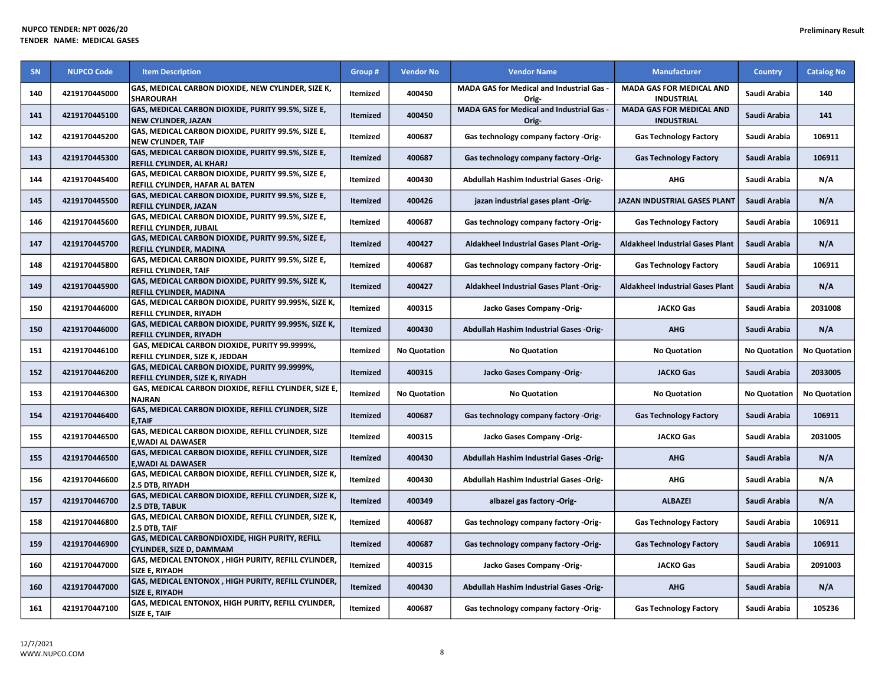| <b>SN</b> | <b>NUPCO Code</b> | <b>Item Description</b>                                                               | Group #         | <b>Vendor No</b>    | <b>Vendor Name</b>                                        | <b>Manufacturer</b>                                  | <b>Country</b>      | <b>Catalog No</b>   |
|-----------|-------------------|---------------------------------------------------------------------------------------|-----------------|---------------------|-----------------------------------------------------------|------------------------------------------------------|---------------------|---------------------|
| 140       | 4219170445000     | GAS, MEDICAL CARBON DIOXIDE, NEW CYLINDER, SIZE K,<br><b>SHAROURAH</b>                | Itemized        | 400450              | <b>MADA GAS for Medical and Industrial Gas -</b><br>Orig- | <b>MADA GAS FOR MEDICAL AND</b><br><b>INDUSTRIAL</b> | Saudi Arabia        | 140                 |
| 141       | 4219170445100     | GAS, MEDICAL CARBON DIOXIDE, PURITY 99.5%, SIZE E,<br><b>NEW CYLINDER, JAZAN</b>      | <b>Itemized</b> | 400450              | MADA GAS for Medical and Industrial Gas -<br>Orig-        | <b>MADA GAS FOR MEDICAL AND</b><br><b>INDUSTRIAL</b> | Saudi Arabia        | 141                 |
| 142       | 4219170445200     | GAS, MEDICAL CARBON DIOXIDE, PURITY 99.5%, SIZE E,<br><b>NEW CYLINDER, TAIF</b>       | Itemized        | 400687              | Gas technology company factory -Orig-                     | <b>Gas Technology Factory</b>                        | Saudi Arabia        | 106911              |
| 143       | 4219170445300     | GAS, MEDICAL CARBON DIOXIDE, PURITY 99.5%, SIZE E,<br>REFILL CYLINDER, AL KHARJ       | Itemized        | 400687              | Gas technology company factory -Orig-                     | <b>Gas Technology Factory</b>                        | Saudi Arabia        | 106911              |
| 144       | 4219170445400     | GAS, MEDICAL CARBON DIOXIDE, PURITY 99.5%, SIZE E,<br>REFILL CYLINDER, HAFAR AL BATEN | Itemized        | 400430              | <b>Abdullah Hashim Industrial Gases -Orig-</b>            | AHG                                                  | Saudi Arabia        | N/A                 |
| 145       | 4219170445500     | GAS, MEDICAL CARBON DIOXIDE, PURITY 99.5%, SIZE E,<br>REFILL CYLINDER, JAZAN          | <b>Itemized</b> | 400426              | jazan industrial gases plant -Orig-                       | JAZAN INDUSTRIAL GASES PLANT                         | Saudi Arabia        | N/A                 |
| 146       | 4219170445600     | GAS, MEDICAL CARBON DIOXIDE, PURITY 99.5%, SIZE E,<br><b>REFILL CYLINDER, JUBAIL</b>  | Itemized        | 400687              | Gas technology company factory -Orig-                     | <b>Gas Technology Factory</b>                        | Saudi Arabia        | 106911              |
| 147       | 4219170445700     | GAS, MEDICAL CARBON DIOXIDE, PURITY 99.5%, SIZE E,<br>REFILL CYLINDER, MADINA         | <b>Itemized</b> | 400427              | <b>Aldakheel Industrial Gases Plant -Orig-</b>            | <b>Aldakheel Industrial Gases Plant</b>              | Saudi Arabia        | N/A                 |
| 148       | 4219170445800     | GAS, MEDICAL CARBON DIOXIDE, PURITY 99.5%, SIZE E,<br><b>REFILL CYLINDER, TAIF</b>    | Itemized        | 400687              | Gas technology company factory -Orig-                     | <b>Gas Technology Factory</b>                        | Saudi Arabia        | 106911              |
| 149       | 4219170445900     | GAS, MEDICAL CARBON DIOXIDE, PURITY 99.5%, SIZE K,<br>REFILL CYLINDER, MADINA         | <b>Itemized</b> | 400427              | Aldakheel Industrial Gases Plant -Orig-                   | <b>Aldakheel Industrial Gases Plant</b>              | Saudi Arabia        | N/A                 |
| 150       | 4219170446000     | GAS, MEDICAL CARBON DIOXIDE, PURITY 99.995%, SIZE K,<br>REFILL CYLINDER, RIYADH       | Itemized        | 400315              | Jacko Gases Company -Orig-                                | <b>JACKO Gas</b>                                     | Saudi Arabia        | 2031008             |
| 150       | 4219170446000     | GAS, MEDICAL CARBON DIOXIDE, PURITY 99.995%, SIZE K,<br>REFILL CYLINDER, RIYADH       | Itemized        | 400430              | Abdullah Hashim Industrial Gases -Orig-                   | <b>AHG</b>                                           | Saudi Arabia        | N/A                 |
| 151       | 4219170446100     | GAS, MEDICAL CARBON DIOXIDE, PURITY 99.9999%,<br>REFILL CYLINDER, SIZE K, JEDDAH      | Itemized        | <b>No Quotation</b> | <b>No Quotation</b>                                       | <b>No Quotation</b>                                  | <b>No Quotation</b> | <b>No Quotation</b> |
| 152       | 4219170446200     | GAS, MEDICAL CARBON DIOXIDE, PURITY 99.9999%,<br>REFILL CYLINDER, SIZE K, RIYADH      | <b>Itemized</b> | 400315              | Jacko Gases Company -Orig-                                | <b>JACKO Gas</b>                                     | Saudi Arabia        | 2033005             |
| 153       | 4219170446300     | GAS, MEDICAL CARBON DIOXIDE, REFILL CYLINDER, SIZE E,<br><b>NAJRAN</b>                | Itemized        | <b>No Quotation</b> | <b>No Quotation</b>                                       | <b>No Quotation</b>                                  | <b>No Quotation</b> | <b>No Quotation</b> |
| 154       | 4219170446400     | GAS, MEDICAL CARBON DIOXIDE, REFILL CYLINDER, SIZE<br><b>E,TAIF</b>                   | <b>Itemized</b> | 400687              | Gas technology company factory -Orig-                     | <b>Gas Technology Factory</b>                        | Saudi Arabia        | 106911              |
| 155       | 4219170446500     | GAS, MEDICAL CARBON DIOXIDE, REFILL CYLINDER, SIZE<br><b>E.WADI AL DAWASER</b>        | Itemized        | 400315              | Jacko Gases Company -Orig-                                | <b>JACKO Gas</b>                                     | Saudi Arabia        | 2031005             |
| 155       | 4219170446500     | GAS, MEDICAL CARBON DIOXIDE, REFILL CYLINDER, SIZE<br><b>E.WADI AL DAWASER</b>        | Itemized        | 400430              | Abdullah Hashim Industrial Gases -Orig-                   | <b>AHG</b>                                           | Saudi Arabia        | N/A                 |
| 156       | 4219170446600     | GAS, MEDICAL CARBON DIOXIDE, REFILL CYLINDER, SIZE K,<br>2.5 DTB, RIYADH              | Itemized        | 400430              | Abdullah Hashim Industrial Gases -Orig-                   | <b>AHG</b>                                           | Saudi Arabia        | N/A                 |
| 157       | 4219170446700     | GAS, MEDICAL CARBON DIOXIDE, REFILL CYLINDER, SIZE K,<br><b>2.5 DTB. TABUK</b>        | <b>Itemized</b> | 400349              | albazei gas factory -Orig-                                | <b>ALBAZEI</b>                                       | Saudi Arabia        | N/A                 |
| 158       | 4219170446800     | GAS, MEDICAL CARBON DIOXIDE, REFILL CYLINDER, SIZE K,<br>2.5 DTB, TAIF                | Itemized        | 400687              | Gas technology company factory -Orig-                     | <b>Gas Technology Factory</b>                        | Saudi Arabia        | 106911              |
| 159       | 4219170446900     | GAS, MEDICAL CARBONDIOXIDE, HIGH PURITY, REFILL<br><b>CYLINDER, SIZE D, DAMMAM</b>    | Itemized        | 400687              | Gas technology company factory -Orig-                     | <b>Gas Technology Factory</b>                        | Saudi Arabia        | 106911              |
| 160       | 4219170447000     | GAS, MEDICAL ENTONOX, HIGH PURITY, REFILL CYLINDER,<br>SIZE E, RIYADH                 | Itemized        | 400315              | Jacko Gases Company -Orig-                                | <b>JACKO Gas</b>                                     | Saudi Arabia        | 2091003             |
| 160       | 4219170447000     | GAS, MEDICAL ENTONOX, HIGH PURITY, REFILL CYLINDER,<br><b>SIZE E, RIYADH</b>          | <b>Itemized</b> | 400430              | Abdullah Hashim Industrial Gases -Orig-                   | <b>AHG</b>                                           | Saudi Arabia        | N/A                 |
| 161       | 4219170447100     | GAS, MEDICAL ENTONOX, HIGH PURITY, REFILL CYLINDER,<br><b>SIZE E, TAIF</b>            | Itemized        | 400687              | Gas technology company factory -Orig-                     | <b>Gas Technology Factory</b>                        | Saudi Arabia        | 105236              |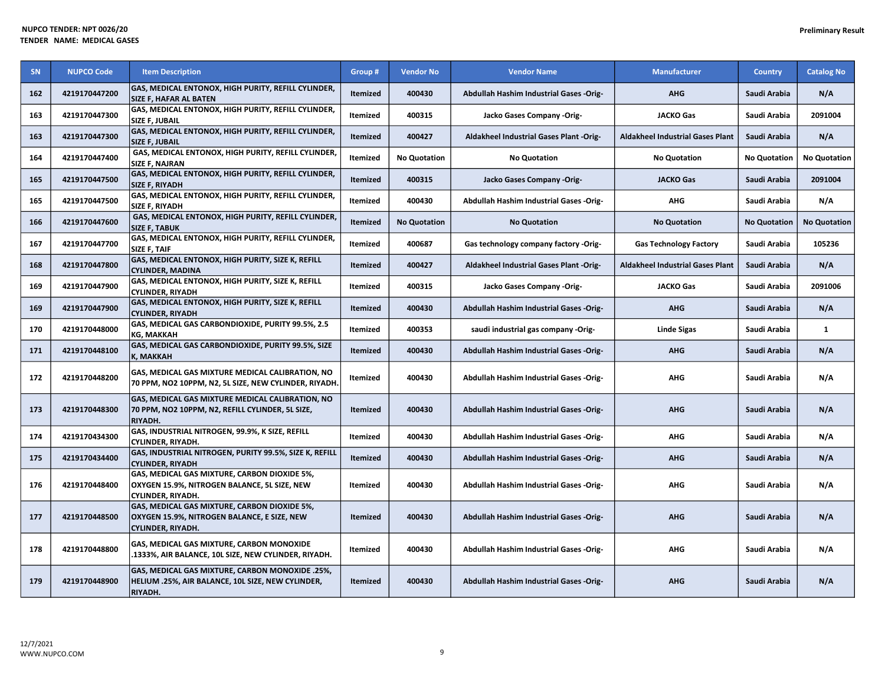| <b>SN</b> | <b>NUPCO Code</b> | <b>Item Description</b>                                                                                                                | Group #         | <b>Vendor No</b>    | <b>Vendor Name</b>                             | <b>Manufacturer</b>                     | <b>Country</b>      | <b>Catalog No</b>   |
|-----------|-------------------|----------------------------------------------------------------------------------------------------------------------------------------|-----------------|---------------------|------------------------------------------------|-----------------------------------------|---------------------|---------------------|
| 162       | 4219170447200     | GAS, MEDICAL ENTONOX, HIGH PURITY, REFILL CYLINDER,<br><b>SIZE F. HAFAR AL BATEN</b>                                                   | Itemized        | 400430              | Abdullah Hashim Industrial Gases -Orig-        | <b>AHG</b>                              | Saudi Arabia        | N/A                 |
| 163       | 4219170447300     | GAS, MEDICAL ENTONOX, HIGH PURITY, REFILL CYLINDER,<br><b>SIZE F, JUBAIL</b>                                                           | <b>Itemized</b> | 400315              | Jacko Gases Company -Orig-                     | <b>JACKO Gas</b>                        | Saudi Arabia        | 2091004             |
| 163       | 4219170447300     | GAS, MEDICAL ENTONOX, HIGH PURITY, REFILL CYLINDER,<br><b>SIZE F, JUBAIL</b>                                                           | <b>Itemized</b> | 400427              | Aldakheel Industrial Gases Plant -Orig-        | <b>Aldakheel Industrial Gases Plant</b> | Saudi Arabia        | N/A                 |
| 164       | 4219170447400     | GAS, MEDICAL ENTONOX, HIGH PURITY, REFILL CYLINDER,<br><b>SIZE F, NAJRAN</b>                                                           | <b>Itemized</b> | <b>No Quotation</b> | <b>No Quotation</b>                            | <b>No Quotation</b>                     | <b>No Quotation</b> | <b>No Quotation</b> |
| 165       | 4219170447500     | GAS, MEDICAL ENTONOX, HIGH PURITY, REFILL CYLINDER,<br><b>SIZE F, RIYADH</b>                                                           | <b>Itemized</b> | 400315              | Jacko Gases Company -Orig-                     | <b>JACKO Gas</b>                        | Saudi Arabia        | 2091004             |
| 165       | 4219170447500     | GAS, MEDICAL ENTONOX, HIGH PURITY, REFILL CYLINDER,<br>SIZE F, RIYADH                                                                  | <b>Itemized</b> | 400430              | <b>Abdullah Hashim Industrial Gases -Orig-</b> | <b>AHG</b>                              | Saudi Arabia        | N/A                 |
| 166       | 4219170447600     | GAS, MEDICAL ENTONOX, HIGH PURITY, REFILL CYLINDER,<br><b>SIZE F, TABUK</b>                                                            | <b>Itemized</b> | <b>No Quotation</b> | <b>No Quotation</b>                            | <b>No Quotation</b>                     | <b>No Quotation</b> | <b>No Quotation</b> |
| 167       | 4219170447700     | GAS, MEDICAL ENTONOX, HIGH PURITY, REFILL CYLINDER,<br><b>SIZE F, TAIF</b>                                                             | <b>Itemized</b> | 400687              | Gas technology company factory -Orig-          | <b>Gas Technology Factory</b>           | Saudi Arabia        | 105236              |
| 168       | 4219170447800     | <b>GAS, MEDICAL ENTONOX, HIGH PURITY, SIZE K, REFILL</b><br><b>CYLINDER, MADINA</b>                                                    | <b>Itemized</b> | 400427              | Aldakheel Industrial Gases Plant -Orig-        | <b>Aldakheel Industrial Gases Plant</b> | Saudi Arabia        | N/A                 |
| 169       | 4219170447900     | GAS, MEDICAL ENTONOX, HIGH PURITY, SIZE K, REFILL<br><b>CYLINDER. RIYADH</b>                                                           | Itemized        | 400315              | Jacko Gases Company -Orig-                     | <b>JACKO Gas</b>                        | Saudi Arabia        | 2091006             |
| 169       | 4219170447900     | <b>GAS, MEDICAL ENTONOX, HIGH PURITY, SIZE K, REFILL</b><br><b>CYLINDER. RIYADH</b>                                                    | <b>Itemized</b> | 400430              | Abdullah Hashim Industrial Gases -Orig-        | <b>AHG</b>                              | Saudi Arabia        | N/A                 |
| 170       | 4219170448000     | GAS, MEDICAL GAS CARBONDIOXIDE, PURITY 99.5%, 2.5<br><b>KG, MAKKAH</b>                                                                 | Itemized        | 400353              | saudi industrial gas company -Orig-            | <b>Linde Sigas</b>                      | Saudi Arabia        | 1                   |
| 171       | 4219170448100     | GAS, MEDICAL GAS CARBONDIOXIDE, PURITY 99.5%, SIZE<br>K, MAKKAH                                                                        | Itemized        | 400430              | <b>Abdullah Hashim Industrial Gases -Orig-</b> | <b>AHG</b>                              | Saudi Arabia        | N/A                 |
| 172       | 4219170448200     | GAS, MEDICAL GAS MIXTURE MEDICAL CALIBRATION, NO<br>70 PPM, NO2 10PPM, N2, 5L SIZE, NEW CYLINDER, RIYADH.                              | <b>Itemized</b> | 400430              | Abdullah Hashim Industrial Gases -Orig-        | <b>AHG</b>                              | Saudi Arabia        | N/A                 |
| 173       | 4219170448300     | <b>GAS, MEDICAL GAS MIXTURE MEDICAL CALIBRATION, NO</b><br>70 PPM, NO2 10PPM, N2, REFILL CYLINDER, 5L SIZE,<br><b>RIYADH.</b>          | <b>Itemized</b> | 400430              | <b>Abdullah Hashim Industrial Gases -Orig-</b> | <b>AHG</b>                              | Saudi Arabia        | N/A                 |
| 174       | 4219170434300     | GAS, INDUSTRIAL NITROGEN, 99.9%, K SIZE, REFILL<br><b>CYLINDER, RIYADH.</b>                                                            | <b>Itemized</b> | 400430              | <b>Abdullah Hashim Industrial Gases -Orig-</b> | <b>AHG</b>                              | Saudi Arabia        | N/A                 |
| 175       | 4219170434400     | GAS, INDUSTRIAL NITROGEN, PURITY 99.5%, SIZE K, REFILL<br><b>CYLINDER, RIYADH</b>                                                      | <b>Itemized</b> | 400430              | <b>Abdullah Hashim Industrial Gases -Orig-</b> | <b>AHG</b>                              | Saudi Arabia        | N/A                 |
| 176       | 4219170448400     | <b>GAS, MEDICAL GAS MIXTURE, CARBON DIOXIDE 5%,</b><br><b>OXYGEN 15.9%, NITROGEN BALANCE, 5L SIZE, NEW</b><br><b>CYLINDER, RIYADH.</b> | Itemized        | 400430              | Abdullah Hashim Industrial Gases -Orig-        | <b>AHG</b>                              | Saudi Arabia        | N/A                 |
| 177       | 4219170448500     | GAS, MEDICAL GAS MIXTURE, CARBON DIOXIDE 5%,<br>OXYGEN 15.9%, NITROGEN BALANCE, E SIZE, NEW<br><b>CYLINDER, RIYADH.</b>                | <b>Itemized</b> | 400430              | Abdullah Hashim Industrial Gases -Orig-        | <b>AHG</b>                              | Saudi Arabia        | N/A                 |
| 178       | 4219170448800     | GAS, MEDICAL GAS MIXTURE, CARBON MONOXIDE<br>.1333%, AIR BALANCE, 10L SIZE, NEW CYLINDER, RIYADH.                                      | Itemized        | 400430              | <b>Abdullah Hashim Industrial Gases -Orig-</b> | <b>AHG</b>                              | Saudi Arabia        | N/A                 |
| 179       | 4219170448900     | <b>GAS, MEDICAL GAS MIXTURE, CARBON MONOXIDE .25%,</b><br>HELIUM .25%, AIR BALANCE, 10L SIZE, NEW CYLINDER,<br><b>RIYADH.</b>          | <b>Itemized</b> | 400430              | Abdullah Hashim Industrial Gases -Orig-        | <b>AHG</b>                              | Saudi Arabia        | N/A                 |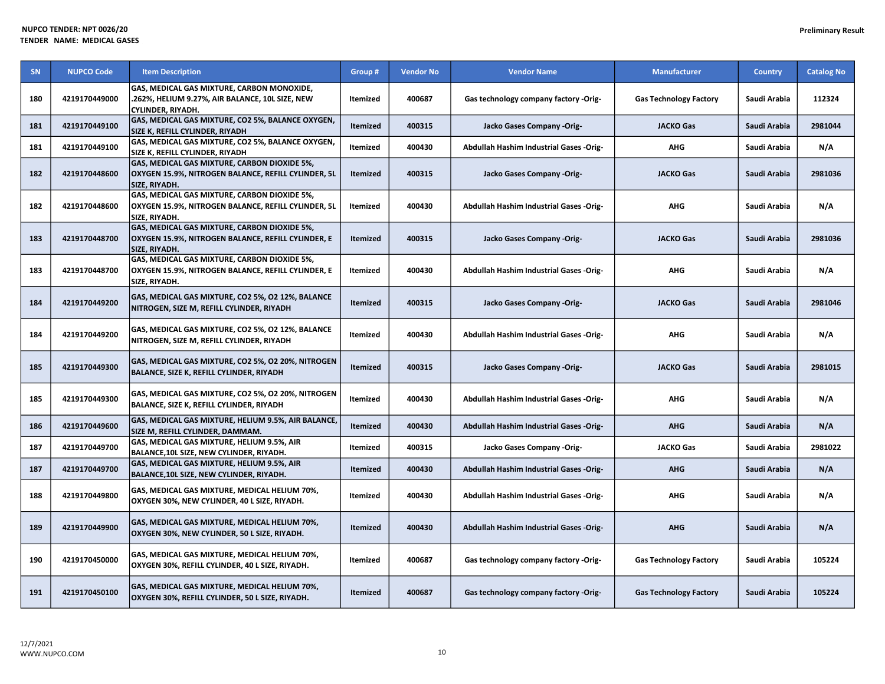| SN  | <b>NUPCO Code</b> | <b>Item Description</b>                                                                                              | Group #         | <b>Vendor No</b> | <b>Vendor Name</b>                           | <b>Manufacturer</b>           | <b>Country</b> | <b>Catalog No</b> |
|-----|-------------------|----------------------------------------------------------------------------------------------------------------------|-----------------|------------------|----------------------------------------------|-------------------------------|----------------|-------------------|
| 180 | 4219170449000     | GAS, MEDICAL GAS MIXTURE, CARBON MONOXIDE,<br>.262%, HELIUM 9.27%, AIR BALANCE, 10L SIZE, NEW<br>CYLINDER, RIYADH.   | Itemized        | 400687           | Gas technology company factory -Orig-        | <b>Gas Technology Factory</b> | Saudi Arabia   | 112324            |
| 181 | 4219170449100     | GAS, MEDICAL GAS MIXTURE, CO2 5%, BALANCE OXYGEN,<br>SIZE K, REFILL CYLINDER, RIYADH                                 | Itemized        | 400315           | Jacko Gases Company -Orig-                   | <b>JACKO Gas</b>              | Saudi Arabia   | 2981044           |
| 181 | 4219170449100     | GAS, MEDICAL GAS MIXTURE, CO2 5%, BALANCE OXYGEN,<br>SIZE K, REFILL CYLINDER, RIYADH                                 | Itemized        | 400430           | Abdullah Hashim Industrial Gases -Orig-      | AHG                           | Saudi Arabia   | N/A               |
| 182 | 4219170448600     | GAS, MEDICAL GAS MIXTURE, CARBON DIOXIDE 5%,<br>OXYGEN 15.9%, NITROGEN BALANCE, REFILL CYLINDER, 5L<br>SIZE. RIYADH. | <b>Itemized</b> | 400315           | Jacko Gases Company -Orig-                   | <b>JACKO Gas</b>              | Saudi Arabia   | 2981036           |
| 182 | 4219170448600     | GAS, MEDICAL GAS MIXTURE, CARBON DIOXIDE 5%,<br>OXYGEN 15.9%, NITROGEN BALANCE, REFILL CYLINDER, 5L<br>SIZE, RIYADH. | Itemized        | 400430           | Abdullah Hashim Industrial Gases -Orig-      | AHG                           | Saudi Arabia   | N/A               |
| 183 | 4219170448700     | GAS, MEDICAL GAS MIXTURE, CARBON DIOXIDE 5%,<br>OXYGEN 15.9%, NITROGEN BALANCE, REFILL CYLINDER, E<br>SIZE, RIYADH.  | <b>Itemized</b> | 400315           | Jacko Gases Company -Orig-                   | <b>JACKO Gas</b>              | Saudi Arabia   | 2981036           |
| 183 | 4219170448700     | GAS, MEDICAL GAS MIXTURE, CARBON DIOXIDE 5%,<br>OXYGEN 15.9%, NITROGEN BALANCE, REFILL CYLINDER, E<br>SIZE, RIYADH.  | Itemized        | 400430           | Abdullah Hashim Industrial Gases -Orig-      | <b>AHG</b>                    | Saudi Arabia   | N/A               |
| 184 | 4219170449200     | GAS, MEDICAL GAS MIXTURE, CO2 5%, O2 12%, BALANCE<br>NITROGEN, SIZE M, REFILL CYLINDER, RIYADH                       | <b>Itemized</b> | 400315           | Jacko Gases Company -Orig-                   | <b>JACKO Gas</b>              | Saudi Arabia   | 2981046           |
| 184 | 4219170449200     | GAS, MEDICAL GAS MIXTURE, CO2 5%, O2 12%, BALANCE<br>NITROGEN, SIZE M, REFILL CYLINDER, RIYADH                       | Itemized        | 400430           | Abdullah Hashim Industrial Gases -Orig-      | <b>AHG</b>                    | Saudi Arabia   | N/A               |
| 185 | 4219170449300     | GAS, MEDICAL GAS MIXTURE, CO2 5%, O2 20%, NITROGEN<br>BALANCE, SIZE K, REFILL CYLINDER, RIYADH                       | <b>Itemized</b> | 400315           | Jacko Gases Company -Orig-                   | <b>JACKO Gas</b>              | Saudi Arabia   | 2981015           |
| 185 | 4219170449300     | GAS, MEDICAL GAS MIXTURE, CO2 5%, O2 20%, NITROGEN<br>BALANCE, SIZE K, REFILL CYLINDER, RIYADH                       | Itemized        | 400430           | Abdullah Hashim Industrial Gases -Orig-      | AHG                           | Saudi Arabia   | N/A               |
| 186 | 4219170449600     | GAS, MEDICAL GAS MIXTURE, HELIUM 9.5%, AIR BALANCE,<br>SIZE M, REFILL CYLINDER, DAMMAM.                              | <b>Itemized</b> | 400430           | Abdullah Hashim Industrial Gases -Orig-      | <b>AHG</b>                    | Saudi Arabia   | N/A               |
| 187 | 4219170449700     | GAS, MEDICAL GAS MIXTURE, HELIUM 9.5%, AIR<br>BALANCE,10L SIZE, NEW CYLINDER, RIYADH.                                | Itemized        | 400315           | Jacko Gases Company -Orig-                   | <b>JACKO Gas</b>              | Saudi Arabia   | 2981022           |
| 187 | 4219170449700     | GAS, MEDICAL GAS MIXTURE, HELIUM 9.5%, AIR<br>BALANCE,10L SIZE, NEW CYLINDER, RIYADH.                                | <b>Itemized</b> | 400430           | Abdullah Hashim Industrial Gases -Orig-      | <b>AHG</b>                    | Saudi Arabia   | N/A               |
| 188 | 4219170449800     | GAS, MEDICAL GAS MIXTURE, MEDICAL HELIUM 70%,<br>OXYGEN 30%, NEW CYLINDER, 40 L SIZE, RIYADH.                        | Itemized        | 400430           | Abdullah Hashim Industrial Gases -Orig-      | AHG                           | Saudi Arabia   | N/A               |
| 189 | 4219170449900     | GAS, MEDICAL GAS MIXTURE, MEDICAL HELIUM 70%,<br>OXYGEN 30%, NEW CYLINDER, 50 L SIZE, RIYADH.                        | <b>Itemized</b> | 400430           | Abdullah Hashim Industrial Gases -Orig-      | <b>AHG</b>                    | Saudi Arabia   | N/A               |
| 190 | 4219170450000     | GAS, MEDICAL GAS MIXTURE, MEDICAL HELIUM 70%,<br>OXYGEN 30%, REFILL CYLINDER, 40 L SIZE, RIYADH.                     | Itemized        | 400687           | Gas technology company factory -Orig-        | <b>Gas Technology Factory</b> | Saudi Arabia   | 105224            |
| 191 | 4219170450100     | GAS, MEDICAL GAS MIXTURE, MEDICAL HELIUM 70%,<br>OXYGEN 30%, REFILL CYLINDER, 50 L SIZE, RIYADH.                     | Itemized        | 400687           | <b>Gas technology company factory -Orig-</b> | <b>Gas Technology Factory</b> | Saudi Arabia   | 105224            |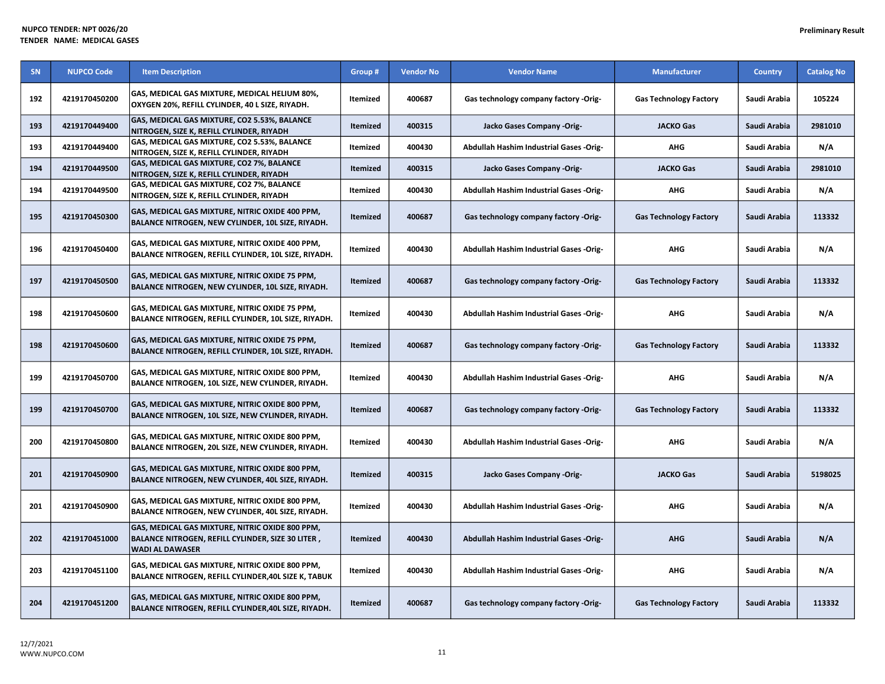| <b>SN</b> | <b>NUPCO Code</b> | <b>Item Description</b>                                                                                                        | Group #         | <b>Vendor No</b> | <b>Vendor Name</b>                             | <b>Manufacturer</b>           | <b>Country</b> | <b>Catalog No</b> |
|-----------|-------------------|--------------------------------------------------------------------------------------------------------------------------------|-----------------|------------------|------------------------------------------------|-------------------------------|----------------|-------------------|
| 192       | 4219170450200     | GAS, MEDICAL GAS MIXTURE, MEDICAL HELIUM 80%,<br>OXYGEN 20%, REFILL CYLINDER, 40 L SIZE, RIYADH.                               | Itemized        | 400687           | Gas technology company factory -Orig-          | <b>Gas Technology Factory</b> | Saudi Arabia   | 105224            |
| 193       | 4219170449400     | GAS, MEDICAL GAS MIXTURE, CO2 5.53%, BALANCE<br>NITROGEN, SIZE K, REFILL CYLINDER, RIYADH                                      | Itemized        | 400315           | Jacko Gases Company -Orig-                     | <b>JACKO Gas</b>              | Saudi Arabia   | 2981010           |
| 193       | 4219170449400     | GAS, MEDICAL GAS MIXTURE, CO2 5.53%, BALANCE<br>NITROGEN, SIZE K, REFILL CYLINDER, RIYADH                                      | Itemized        | 400430           | Abdullah Hashim Industrial Gases -Orig-        | <b>AHG</b>                    | Saudi Arabia   | N/A               |
| 194       | 4219170449500     | GAS, MEDICAL GAS MIXTURE, CO2 7%, BALANCE<br>NITROGEN, SIZE K, REFILL CYLINDER, RIYADH                                         | Itemized        | 400315           | Jacko Gases Company -Orig-                     | <b>JACKO Gas</b>              | Saudi Arabia   | 2981010           |
| 194       | 4219170449500     | GAS, MEDICAL GAS MIXTURE, CO2 7%, BALANCE<br>NITROGEN, SIZE K, REFILL CYLINDER, RIYADH                                         | Itemized        | 400430           | Abdullah Hashim Industrial Gases -Orig-        | AHG                           | Saudi Arabia   | N/A               |
| 195       | 4219170450300     | GAS, MEDICAL GAS MIXTURE, NITRIC OXIDE 400 PPM,<br>BALANCE NITROGEN, NEW CYLINDER, 10L SIZE, RIYADH.                           | Itemized        | 400687           | Gas technology company factory -Orig-          | <b>Gas Technology Factory</b> | Saudi Arabia   | 113332            |
| 196       | 4219170450400     | GAS, MEDICAL GAS MIXTURE, NITRIC OXIDE 400 PPM,<br>BALANCE NITROGEN, REFILL CYLINDER, 10L SIZE, RIYADH.                        | Itemized        | 400430           | Abdullah Hashim Industrial Gases -Orig-        | <b>AHG</b>                    | Saudi Arabia   | N/A               |
| 197       | 4219170450500     | GAS, MEDICAL GAS MIXTURE, NITRIC OXIDE 75 PPM,<br>BALANCE NITROGEN, NEW CYLINDER, 10L SIZE, RIYADH.                            | <b>Itemized</b> | 400687           | Gas technology company factory -Orig-          | <b>Gas Technology Factory</b> | Saudi Arabia   | 113332            |
| 198       | 4219170450600     | GAS, MEDICAL GAS MIXTURE, NITRIC OXIDE 75 PPM,<br>BALANCE NITROGEN, REFILL CYLINDER, 10L SIZE, RIYADH.                         | <b>Itemized</b> | 400430           | <b>Abdullah Hashim Industrial Gases -Orig-</b> | <b>AHG</b>                    | Saudi Arabia   | N/A               |
| 198       | 4219170450600     | GAS, MEDICAL GAS MIXTURE, NITRIC OXIDE 75 PPM,<br>BALANCE NITROGEN, REFILL CYLINDER, 10L SIZE, RIYADH.                         | Itemized        | 400687           | Gas technology company factory -Orig-          | <b>Gas Technology Factory</b> | Saudi Arabia   | 113332            |
| 199       | 4219170450700     | GAS, MEDICAL GAS MIXTURE, NITRIC OXIDE 800 PPM,<br>BALANCE NITROGEN, 10L SIZE, NEW CYLINDER, RIYADH.                           | Itemized        | 400430           | <b>Abdullah Hashim Industrial Gases -Orig-</b> | <b>AHG</b>                    | Saudi Arabia   | N/A               |
| 199       | 4219170450700     | GAS, MEDICAL GAS MIXTURE, NITRIC OXIDE 800 PPM,<br>BALANCE NITROGEN, 10L SIZE, NEW CYLINDER, RIYADH.                           | <b>Itemized</b> | 400687           | Gas technology company factory -Orig-          | <b>Gas Technology Factory</b> | Saudi Arabia   | 113332            |
| 200       | 4219170450800     | GAS, MEDICAL GAS MIXTURE, NITRIC OXIDE 800 PPM,<br>BALANCE NITROGEN, 20L SIZE, NEW CYLINDER, RIYADH.                           | <b>Itemized</b> | 400430           | <b>Abdullah Hashim Industrial Gases -Orig-</b> | <b>AHG</b>                    | Saudi Arabia   | N/A               |
| 201       | 4219170450900     | GAS, MEDICAL GAS MIXTURE, NITRIC OXIDE 800 PPM,<br>BALANCE NITROGEN, NEW CYLINDER, 40L SIZE, RIYADH.                           | <b>Itemized</b> | 400315           | Jacko Gases Company -Orig-                     | <b>JACKO Gas</b>              | Saudi Arabia   | 5198025           |
| 201       | 4219170450900     | GAS, MEDICAL GAS MIXTURE, NITRIC OXIDE 800 PPM,<br>BALANCE NITROGEN, NEW CYLINDER, 40L SIZE, RIYADH.                           | Itemized        | 400430           | Abdullah Hashim Industrial Gases -Orig-        | <b>AHG</b>                    | Saudi Arabia   | N/A               |
| 202       | 4219170451000     | GAS, MEDICAL GAS MIXTURE, NITRIC OXIDE 800 PPM,<br>BALANCE NITROGEN, REFILL CYLINDER, SIZE 30 LITER,<br><b>WADI AL DAWASER</b> | <b>Itemized</b> | 400430           | <b>Abdullah Hashim Industrial Gases -Orig-</b> | <b>AHG</b>                    | Saudi Arabia   | N/A               |
| 203       | 4219170451100     | GAS, MEDICAL GAS MIXTURE, NITRIC OXIDE 800 PPM,<br>BALANCE NITROGEN, REFILL CYLINDER, 40L SIZE K, TABUK                        | Itemized        | 400430           | <b>Abdullah Hashim Industrial Gases -Orig-</b> | <b>AHG</b>                    | Saudi Arabia   | N/A               |
| 204       | 4219170451200     | GAS, MEDICAL GAS MIXTURE, NITRIC OXIDE 800 PPM,<br>BALANCE NITROGEN, REFILL CYLINDER, 40L SIZE, RIYADH.                        | <b>Itemized</b> | 400687           | Gas technology company factory -Orig-          | <b>Gas Technology Factory</b> | Saudi Arabia   | 113332            |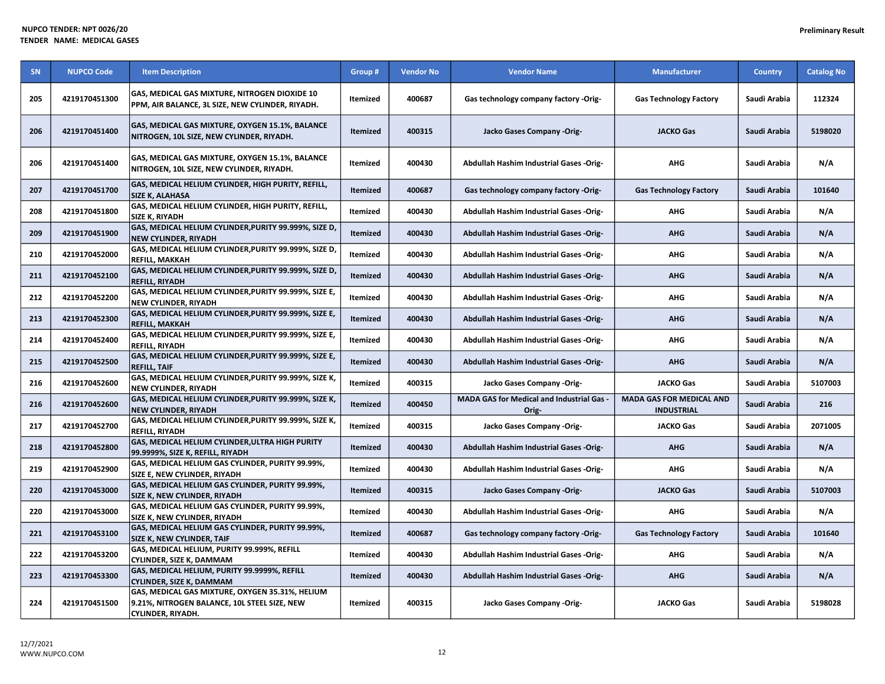| SN  | <b>NUPCO Code</b> | <b>Item Description</b>                                                                                              | Group #         | <b>Vendor No</b> | <b>Vendor Name</b>                                 | <b>Manufacturer</b>                                  | <b>Country</b> | <b>Catalog No</b> |
|-----|-------------------|----------------------------------------------------------------------------------------------------------------------|-----------------|------------------|----------------------------------------------------|------------------------------------------------------|----------------|-------------------|
| 205 | 4219170451300     | GAS, MEDICAL GAS MIXTURE, NITROGEN DIOXIDE 10<br>PPM, AIR BALANCE, 3L SIZE, NEW CYLINDER, RIYADH.                    | <b>Itemized</b> | 400687           | Gas technology company factory -Orig-              | <b>Gas Technology Factory</b>                        | Saudi Arabia   | 112324            |
| 206 | 4219170451400     | GAS, MEDICAL GAS MIXTURE, OXYGEN 15.1%, BALANCE<br>NITROGEN, 10L SIZE, NEW CYLINDER, RIYADH.                         | <b>Itemized</b> | 400315           | Jacko Gases Company -Orig-                         | <b>JACKO Gas</b>                                     | Saudi Arabia   | 5198020           |
| 206 | 4219170451400     | GAS, MEDICAL GAS MIXTURE, OXYGEN 15.1%, BALANCE<br>NITROGEN, 10L SIZE, NEW CYLINDER, RIYADH.                         | Itemized        | 400430           | <b>Abdullah Hashim Industrial Gases -Orig-</b>     | AHG                                                  | Saudi Arabia   | N/A               |
| 207 | 4219170451700     | GAS, MEDICAL HELIUM CYLINDER, HIGH PURITY, REFILL,<br><b>SIZE K, ALAHASA</b>                                         | <b>Itemized</b> | 400687           | Gas technology company factory -Orig-              | <b>Gas Technology Factory</b>                        | Saudi Arabia   | 101640            |
| 208 | 4219170451800     | GAS, MEDICAL HELIUM CYLINDER, HIGH PURITY, REFILL,<br>SIZE K, RIYADH                                                 | Itemized        | 400430           | Abdullah Hashim Industrial Gases -Orig-            | AHG                                                  | Saudi Arabia   | N/A               |
| 209 | 4219170451900     | GAS, MEDICAL HELIUM CYLINDER, PURITY 99.999%, SIZE D,<br><b>NEW CYLINDER, RIYADH</b>                                 | <b>Itemized</b> | 400430           | Abdullah Hashim Industrial Gases -Orig-            | <b>AHG</b>                                           | Saudi Arabia   | N/A               |
| 210 | 4219170452000     | GAS, MEDICAL HELIUM CYLINDER, PURITY 99.999%, SIZE D<br><b>REFILL, MAKKAH</b>                                        | Itemized        | 400430           | Abdullah Hashim Industrial Gases -Orig-            | <b>AHG</b>                                           | Saudi Arabia   | N/A               |
| 211 | 4219170452100     | GAS, MEDICAL HELIUM CYLINDER, PURITY 99.999%, SIZE D,<br><b>REFILL, RIYADH</b>                                       | <b>Itemized</b> | 400430           | Abdullah Hashim Industrial Gases -Orig-            | <b>AHG</b>                                           | Saudi Arabia   | N/A               |
| 212 | 4219170452200     | GAS, MEDICAL HELIUM CYLINDER, PURITY 99.999%, SIZE E,<br>NEW CYLINDER, RIYADH                                        | Itemized        | 400430           | Abdullah Hashim Industrial Gases -Orig-            | AHG                                                  | Saudi Arabia   | N/A               |
| 213 | 4219170452300     | GAS, MEDICAL HELIUM CYLINDER, PURITY 99.999%, SIZE E,<br><b>REFILL, MAKKAH</b>                                       | <b>Itemized</b> | 400430           | <b>Abdullah Hashim Industrial Gases -Orig-</b>     | <b>AHG</b>                                           | Saudi Arabia   | N/A               |
| 214 | 4219170452400     | GAS, MEDICAL HELIUM CYLINDER, PURITY 99.999%, SIZE E,<br><b>REFILL, RIYADH</b>                                       | Itemized        | 400430           | Abdullah Hashim Industrial Gases -Orig-            | AHG                                                  | Saudi Arabia   | N/A               |
| 215 | 4219170452500     | GAS, MEDICAL HELIUM CYLINDER, PURITY 99.999%, SIZE E,<br><b>REFILL, TAIF</b>                                         | <b>Itemized</b> | 400430           | Abdullah Hashim Industrial Gases -Orig-            | <b>AHG</b>                                           | Saudi Arabia   | N/A               |
| 216 | 4219170452600     | GAS, MEDICAL HELIUM CYLINDER, PURITY 99.999%, SIZE K,<br>NEW CYLINDER, RIYADH                                        | Itemized        | 400315           | Jacko Gases Company -Orig-                         | <b>JACKO Gas</b>                                     | Saudi Arabia   | 5107003           |
| 216 | 4219170452600     | GAS, MEDICAL HELIUM CYLINDER, PURITY 99.999%, SIZE K,<br><b>NEW CYLINDER, RIYADH</b>                                 | Itemized        | 400450           | MADA GAS for Medical and Industrial Gas -<br>Orig- | <b>MADA GAS FOR MEDICAL AND</b><br><b>INDUSTRIAL</b> | Saudi Arabia   | 216               |
| 217 | 4219170452700     | GAS, MEDICAL HELIUM CYLINDER, PURITY 99.999%, SIZE K,<br><b>REFILL, RIYADH</b>                                       | Itemized        | 400315           | Jacko Gases Company -Orig-                         | <b>JACKO Gas</b>                                     | Saudi Arabia   | 2071005           |
| 218 | 4219170452800     | GAS, MEDICAL HELIUM CYLINDER, ULTRA HIGH PURITY<br>99.9999%, SIZE K, REFILL, RIYADH                                  | <b>Itemized</b> | 400430           | Abdullah Hashim Industrial Gases -Orig-            | <b>AHG</b>                                           | Saudi Arabia   | N/A               |
| 219 | 4219170452900     | GAS, MEDICAL HELIUM GAS CYLINDER, PURITY 99.99%,<br>SIZE E, NEW CYLINDER, RIYADH                                     | Itemized        | 400430           | Abdullah Hashim Industrial Gases -Orig-            | <b>AHG</b>                                           | Saudi Arabia   | N/A               |
| 220 | 4219170453000     | GAS, MEDICAL HELIUM GAS CYLINDER, PURITY 99.99%,<br>SIZE K, NEW CYLINDER, RIYADH                                     | <b>Itemized</b> | 400315           | Jacko Gases Company -Orig-                         | <b>JACKO Gas</b>                                     | Saudi Arabia   | 5107003           |
| 220 | 4219170453000     | GAS, MEDICAL HELIUM GAS CYLINDER, PURITY 99.99%,<br>SIZE K, NEW CYLINDER, RIYADH                                     | Itemized        | 400430           | Abdullah Hashim Industrial Gases -Orig-            | AHG                                                  | Saudi Arabia   | N/A               |
| 221 | 4219170453100     | GAS, MEDICAL HELIUM GAS CYLINDER, PURITY 99.99%,<br><b>SIZE K. NEW CYLINDER. TAIF</b>                                | <b>Itemized</b> | 400687           | Gas technology company factory -Orig-              | <b>Gas Technology Factory</b>                        | Saudi Arabia   | 101640            |
| 222 | 4219170453200     | GAS, MEDICAL HELIUM, PURITY 99.999%, REFILL<br><b>CYLINDER, SIZE K, DAMMAM</b>                                       | Itemized        | 400430           | Abdullah Hashim Industrial Gases -Orig-            | <b>AHG</b>                                           | Saudi Arabia   | N/A               |
| 223 | 4219170453300     | GAS, MEDICAL HELIUM, PURITY 99.9999%, REFILL<br>CYLINDER, SIZE K, DAMMAM                                             | <b>Itemized</b> | 400430           | <b>Abdullah Hashim Industrial Gases -Orig-</b>     | <b>AHG</b>                                           | Saudi Arabia   | N/A               |
| 224 | 4219170451500     | GAS, MEDICAL GAS MIXTURE, OXYGEN 35.31%, HELIUM<br>9.21%, NITROGEN BALANCE, 10L STEEL SIZE, NEW<br>CYLINDER, RIYADH. | Itemized        | 400315           | Jacko Gases Company -Orig-                         | <b>JACKO Gas</b>                                     | Saudi Arabia   | 5198028           |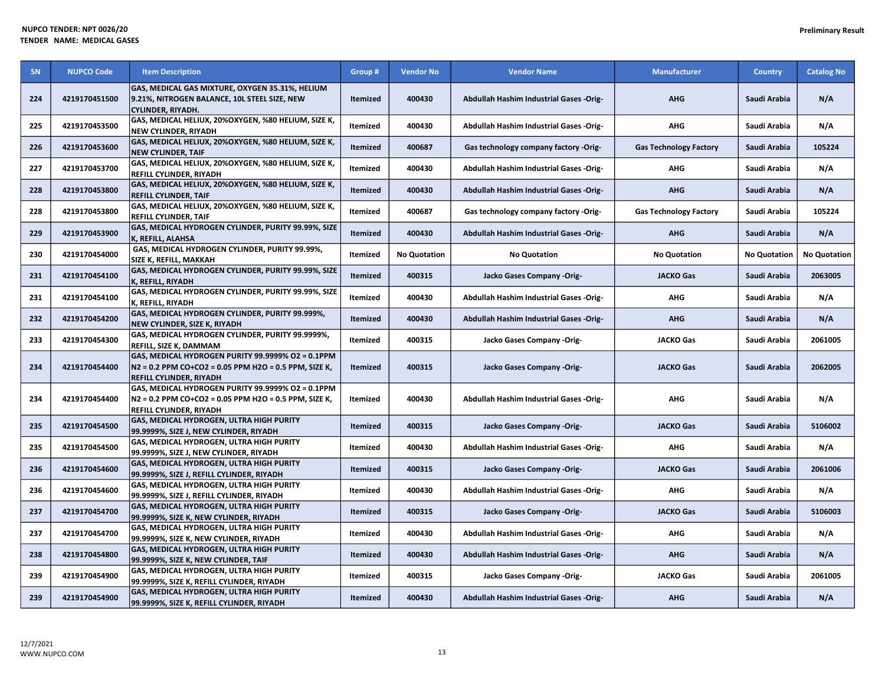| <b>SN</b> | <b>NUPCO Code</b> | <b>Item Description</b>                                                                                                               | Group #         | <b>Vendor No</b>    | <b>Vendor Name</b>                             | <b>Manufacturer</b>           | <b>Country</b>      | <b>Catalog No</b>   |
|-----------|-------------------|---------------------------------------------------------------------------------------------------------------------------------------|-----------------|---------------------|------------------------------------------------|-------------------------------|---------------------|---------------------|
| 224       | 4219170451500     | GAS, MEDICAL GAS MIXTURE, OXYGEN 35.31%, HELIUM<br>9.21%, NITROGEN BALANCE, 10L STEEL SIZE, NEW<br><b>CYLINDER, RIYADH.</b>           | Itemized        | 400430              | <b>Abdullah Hashim Industrial Gases -Orig-</b> | <b>AHG</b>                    | Saudi Arabia        | N/A                 |
| 225       | 4219170453500     | GAS, MEDICAL HELIUX, 20%OXYGEN, %80 HELIUM, SIZE K,<br>NEW CYLINDER, RIYADH                                                           | Itemized        | 400430              | Abdullah Hashim Industrial Gases -Orig-        | <b>AHG</b>                    | Saudi Arabia        | N/A                 |
| 226       | 4219170453600     | GAS, MEDICAL HELIUX, 20%OXYGEN, %80 HELIUM, SIZE K,<br><b>NEW CYLINDER, TAIF</b>                                                      | Itemized        | 400687              | Gas technology company factory -Orig-          | <b>Gas Technology Factory</b> | Saudi Arabia        | 105224              |
| 227       | 4219170453700     | GAS, MEDICAL HELIUX, 20%OXYGEN, %80 HELIUM, SIZE K,<br>REFILL CYLINDER, RIYADH                                                        | Itemized        | 400430              | Abdullah Hashim Industrial Gases -Orig-        | <b>AHG</b>                    | Saudi Arabia        | N/A                 |
| 228       | 4219170453800     | GAS, MEDICAL HELIUX, 20%OXYGEN, %80 HELIUM, SIZE K,<br><b>REFILL CYLINDER, TAIF</b>                                                   | Itemized        | 400430              | Abdullah Hashim Industrial Gases -Orig-        | <b>AHG</b>                    | Saudi Arabia        | N/A                 |
| 228       | 4219170453800     | GAS, MEDICAL HELIUX, 20%OXYGEN, %80 HELIUM, SIZE K,<br>REFILL CYLINDER, TAIF                                                          | Itemized        | 400687              | Gas technology company factory -Orig-          | <b>Gas Technology Factory</b> | Saudi Arabia        | 105224              |
| 229       | 4219170453900     | GAS, MEDICAL HYDROGEN CYLINDER, PURITY 99.99%, SIZE<br>K, REFILL, ALAHSA                                                              | Itemized        | 400430              | Abdullah Hashim Industrial Gases -Orig-        | <b>AHG</b>                    | Saudi Arabia        | N/A                 |
| 230       | 4219170454000     | GAS, MEDICAL HYDROGEN CYLINDER, PURITY 99.99%,<br>SIZE K, REFILL, MAKKAH                                                              | Itemized        | <b>No Quotation</b> | <b>No Quotation</b>                            | <b>No Quotation</b>           | <b>No Quotation</b> | <b>No Quotation</b> |
| 231       | 4219170454100     | GAS, MEDICAL HYDROGEN CYLINDER, PURITY 99.99%, SIZE<br>K, REFILL, RIYADH                                                              | Itemized        | 400315              | Jacko Gases Company -Orig-                     | <b>JACKO Gas</b>              | Saudi Arabia        | 2063005             |
| 231       | 4219170454100     | GAS, MEDICAL HYDROGEN CYLINDER, PURITY 99.99%, SIZE<br>K, REFILL, RIYADH                                                              | Itemized        | 400430              | Abdullah Hashim Industrial Gases -Orig-        | <b>AHG</b>                    | Saudi Arabia        | N/A                 |
| 232       | 4219170454200     | GAS, MEDICAL HYDROGEN CYLINDER, PURITY 99.999%,<br>NEW CYLINDER, SIZE K, RIYADH                                                       | <b>Itemized</b> | 400430              | Abdullah Hashim Industrial Gases -Orig-        | <b>AHG</b>                    | Saudi Arabia        | N/A                 |
| 233       | 4219170454300     | GAS, MEDICAL HYDROGEN CYLINDER, PURITY 99.9999%,<br>REFILL, SIZE K, DAMMAM                                                            | Itemized        | 400315              | Jacko Gases Company -Orig-                     | <b>JACKO Gas</b>              | Saudi Arabia        | 2061005             |
| 234       | 4219170454400     | GAS, MEDICAL HYDROGEN PURITY 99.9999% O2 = 0.1PPM<br>N2 = 0.2 PPM CO+CO2 = 0.05 PPM H2O = 0.5 PPM, SIZE K,<br>REFILL CYLINDER, RIYADH | <b>Itemized</b> | 400315              | Jacko Gases Company -Orig-                     | <b>JACKO Gas</b>              | Saudi Arabia        | 2062005             |
| 234       | 4219170454400     | GAS, MEDICAL HYDROGEN PURITY 99.9999% O2 = 0.1PPM<br>N2 = 0.2 PPM CO+CO2 = 0.05 PPM H2O = 0.5 PPM, SIZE K,<br>REFILL CYLINDER, RIYADH | Itemized        | 400430              | Abdullah Hashim Industrial Gases -Orig-        | <b>AHG</b>                    | Saudi Arabia        | N/A                 |
| 235       | 4219170454500     | GAS, MEDICAL HYDROGEN, ULTRA HIGH PURITY<br>99.9999%, SIZE J, NEW CYLINDER, RIYADH                                                    | <b>Itemized</b> | 400315              | Jacko Gases Company -Orig-                     | <b>JACKO Gas</b>              | Saudi Arabia        | 5106002             |
| 235       | 4219170454500     | GAS, MEDICAL HYDROGEN, ULTRA HIGH PURITY<br>99.9999%, SIZE J, NEW CYLINDER, RIYADH                                                    | Itemized        | 400430              | Abdullah Hashim Industrial Gases -Orig-        | <b>AHG</b>                    | Saudi Arabia        | N/A                 |
| 236       | 4219170454600     | <b>GAS, MEDICAL HYDROGEN, ULTRA HIGH PURITY</b><br>99.9999%, SIZE J, REFILL CYLINDER, RIYADH                                          | Itemized        | 400315              | Jacko Gases Company -Orig-                     | <b>JACKO Gas</b>              | Saudi Arabia        | 2061006             |
| 236       | 4219170454600     | GAS, MEDICAL HYDROGEN, ULTRA HIGH PURITY<br>99.9999%, SIZE J, REFILL CYLINDER, RIYADH                                                 | Itemized        | 400430              | Abdullah Hashim Industrial Gases -Orig-        | <b>AHG</b>                    | Saudi Arabia        | N/A                 |
| 237       | 4219170454700     | GAS, MEDICAL HYDROGEN, ULTRA HIGH PURITY<br>99.9999%, SIZE K, NEW CYLINDER, RIYADH                                                    | <b>Itemized</b> | 400315              | Jacko Gases Company -Orig-                     | <b>JACKO Gas</b>              | Saudi Arabia        | 5106003             |
| 237       | 4219170454700     | GAS, MEDICAL HYDROGEN, ULTRA HIGH PURITY<br>99.9999%, SIZE K, NEW CYLINDER, RIYADH                                                    | Itemized        | 400430              | Abdullah Hashim Industrial Gases -Orig-        | <b>AHG</b>                    | Saudi Arabia        | N/A                 |
| 238       | 4219170454800     | GAS, MEDICAL HYDROGEN, ULTRA HIGH PURITY<br>99.9999%, SIZE K, NEW CYLINDER, TAIF                                                      | Itemized        | 400430              | Abdullah Hashim Industrial Gases -Orig-        | <b>AHG</b>                    | Saudi Arabia        | N/A                 |
| 239       | 4219170454900     | GAS, MEDICAL HYDROGEN, ULTRA HIGH PURITY<br>99.9999%, SIZE K, REFILL CYLINDER, RIYADH                                                 | Itemized        | 400315              | Jacko Gases Company -Orig-                     | <b>JACKO Gas</b>              | Saudi Arabia        | 2061005             |
| 239       | 4219170454900     | GAS, MEDICAL HYDROGEN, ULTRA HIGH PURITY<br>99.9999%, SIZE K, REFILL CYLINDER, RIYADH                                                 | Itemized        | 400430              | Abdullah Hashim Industrial Gases -Orig-        | <b>AHG</b>                    | Saudi Arabia        | N/A                 |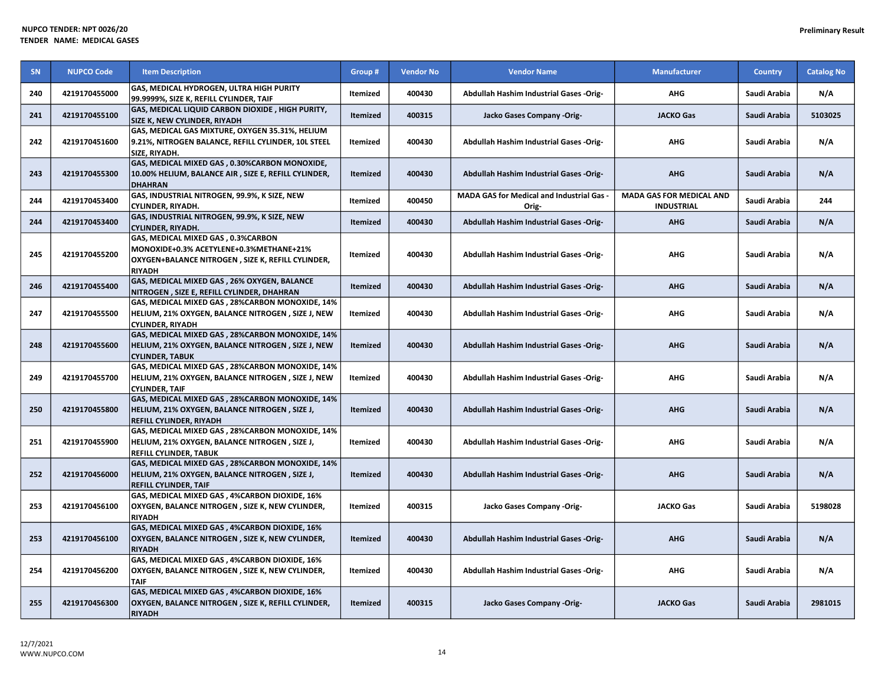| SN  | <b>NUPCO Code</b> | <b>Item Description</b>                                                                                                                             | Group #         | <b>Vendor No</b> | <b>Vendor Name</b>                               | <b>Manufacturer</b>                                  | <b>Country</b> | <b>Catalog No</b> |
|-----|-------------------|-----------------------------------------------------------------------------------------------------------------------------------------------------|-----------------|------------------|--------------------------------------------------|------------------------------------------------------|----------------|-------------------|
| 240 | 4219170455000     | GAS, MEDICAL HYDROGEN, ULTRA HIGH PURITY<br>99.9999%, SIZE K, REFILL CYLINDER, TAIF                                                                 | <b>Itemized</b> | 400430           | Abdullah Hashim Industrial Gases -Orig-          | <b>AHG</b>                                           | Saudi Arabia   | N/A               |
| 241 | 4219170455100     | GAS, MEDICAL LIQUID CARBON DIOXIDE, HIGH PURITY,<br>SIZE K, NEW CYLINDER, RIYADH                                                                    | <b>Itemized</b> | 400315           | Jacko Gases Company -Orig-                       | <b>JACKO Gas</b>                                     | Saudi Arabia   | 5103025           |
| 242 | 4219170451600     | GAS, MEDICAL GAS MIXTURE, OXYGEN 35.31%, HELIUM<br>9.21%, NITROGEN BALANCE, REFILL CYLINDER, 10L STEEL<br>SIZE. RIYADH.                             | <b>Itemized</b> | 400430           | Abdullah Hashim Industrial Gases -Orig-          | <b>AHG</b>                                           | Saudi Arabia   | N/A               |
| 243 | 4219170455300     | GAS, MEDICAL MIXED GAS, 0.30%CARBON MONOXIDE,<br>10.00% HELIUM, BALANCE AIR, SIZE E, REFILL CYLINDER,<br><b>DHAHRAN</b>                             | <b>Itemized</b> | 400430           | <b>Abdullah Hashim Industrial Gases -Orig-</b>   | <b>AHG</b>                                           | Saudi Arabia   | N/A               |
| 244 | 4219170453400     | GAS, INDUSTRIAL NITROGEN, 99.9%, K SIZE, NEW<br>CYLINDER, RIYADH.                                                                                   | Itemized        | 400450           | MADA GAS for Medical and Industrial Gas<br>Orig- | <b>MADA GAS FOR MEDICAL AND</b><br><b>INDUSTRIAL</b> | Saudi Arabia   | 244               |
| 244 | 4219170453400     | GAS, INDUSTRIAL NITROGEN, 99.9%, K SIZE, NEW<br><b>CYLINDER, RIYADH.</b>                                                                            | <b>Itemized</b> | 400430           | Abdullah Hashim Industrial Gases -Orig-          | <b>AHG</b>                                           | Saudi Arabia   | N/A               |
| 245 | 4219170455200     | GAS, MEDICAL MIXED GAS, 0.3%CARBON<br>MONOXIDE+0.3% ACETYLENE+0.3%METHANE+21%<br>OXYGEN+BALANCE NITROGEN, SIZE K, REFILL CYLINDER,<br><b>RIYADH</b> | Itemized        | 400430           | Abdullah Hashim Industrial Gases -Orig-          | AHG                                                  | Saudi Arabia   | N/A               |
| 246 | 4219170455400     | GAS, MEDICAL MIXED GAS, 26% OXYGEN, BALANCE<br>NITROGEN, SIZE E, REFILL CYLINDER, DHAHRAN                                                           | Itemized        | 400430           | Abdullah Hashim Industrial Gases -Orig-          | <b>AHG</b>                                           | Saudi Arabia   | N/A               |
| 247 | 4219170455500     | GAS, MEDICAL MIXED GAS, 28%CARBON MONOXIDE, 14%<br>HELIUM, 21% OXYGEN, BALANCE NITROGEN, SIZE J, NEW<br><b>CYLINDER, RIYADH</b>                     | Itemized        | 400430           | Abdullah Hashim Industrial Gases -Orig-          | AHG                                                  | Saudi Arabia   | N/A               |
| 248 | 4219170455600     | GAS, MEDICAL MIXED GAS, 28%CARBON MONOXIDE, 14%<br>HELIUM, 21% OXYGEN, BALANCE NITROGEN, SIZE J, NEW<br><b>CYLINDER, TABUK</b>                      | <b>Itemized</b> | 400430           | Abdullah Hashim Industrial Gases -Orig-          | <b>AHG</b>                                           | Saudi Arabia   | N/A               |
| 249 | 4219170455700     | GAS, MEDICAL MIXED GAS, 28%CARBON MONOXIDE, 14%<br>HELIUM, 21% OXYGEN, BALANCE NITROGEN, SIZE J, NEW<br><b>CYLINDER, TAIF</b>                       | Itemized        | 400430           | Abdullah Hashim Industrial Gases -Orig-          | AHG                                                  | Saudi Arabia   | N/A               |
| 250 | 4219170455800     | GAS, MEDICAL MIXED GAS, 28%CARBON MONOXIDE, 14%<br>HELIUM, 21% OXYGEN, BALANCE NITROGEN, SIZE J,<br>REFILL CYLINDER, RIYADH                         | <b>Itemized</b> | 400430           | Abdullah Hashim Industrial Gases -Orig-          | <b>AHG</b>                                           | Saudi Arabia   | N/A               |
| 251 | 4219170455900     | GAS, MEDICAL MIXED GAS, 28%CARBON MONOXIDE, 14%<br>HELIUM, 21% OXYGEN, BALANCE NITROGEN, SIZE J,<br><b>REFILL CYLINDER, TABUK</b>                   | Itemized        | 400430           | Abdullah Hashim Industrial Gases -Orig-          | AHG                                                  | Saudi Arabia   | N/A               |
| 252 | 4219170456000     | GAS, MEDICAL MIXED GAS, 28%CARBON MONOXIDE, 14%<br>HELIUM, 21% OXYGEN, BALANCE NITROGEN, SIZE J,<br><b>REFILL CYLINDER, TAIF</b>                    | <b>Itemized</b> | 400430           | Abdullah Hashim Industrial Gases -Orig-          | <b>AHG</b>                                           | Saudi Arabia   | N/A               |
| 253 | 4219170456100     | GAS, MEDICAL MIXED GAS, 4%CARBON DIOXIDE, 16%<br>OXYGEN, BALANCE NITROGEN, SIZE K, NEW CYLINDER,<br><b>RIYADH</b>                                   | Itemized        | 400315           | Jacko Gases Company -Orig-                       | <b>JACKO Gas</b>                                     | Saudi Arabia   | 5198028           |
| 253 | 4219170456100     | GAS, MEDICAL MIXED GAS, 4%CARBON DIOXIDE, 16%<br>OXYGEN, BALANCE NITROGEN, SIZE K, NEW CYLINDER,<br><b>RIYADH</b>                                   | <b>Itemized</b> | 400430           | Abdullah Hashim Industrial Gases -Orig-          | <b>AHG</b>                                           | Saudi Arabia   | N/A               |
| 254 | 4219170456200     | GAS, MEDICAL MIXED GAS, 4%CARBON DIOXIDE, 16%<br>OXYGEN, BALANCE NITROGEN, SIZE K, NEW CYLINDER,<br>TAIF                                            | <b>Itemized</b> | 400430           | Abdullah Hashim Industrial Gases -Orig-          | <b>AHG</b>                                           | Saudi Arabia   | N/A               |
| 255 | 4219170456300     | GAS, MEDICAL MIXED GAS, 4%CARBON DIOXIDE, 16%<br>OXYGEN, BALANCE NITROGEN, SIZE K, REFILL CYLINDER,<br><b>RIYADH</b>                                | <b>Itemized</b> | 400315           | Jacko Gases Company -Orig-                       | <b>JACKO Gas</b>                                     | Saudi Arabia   | 2981015           |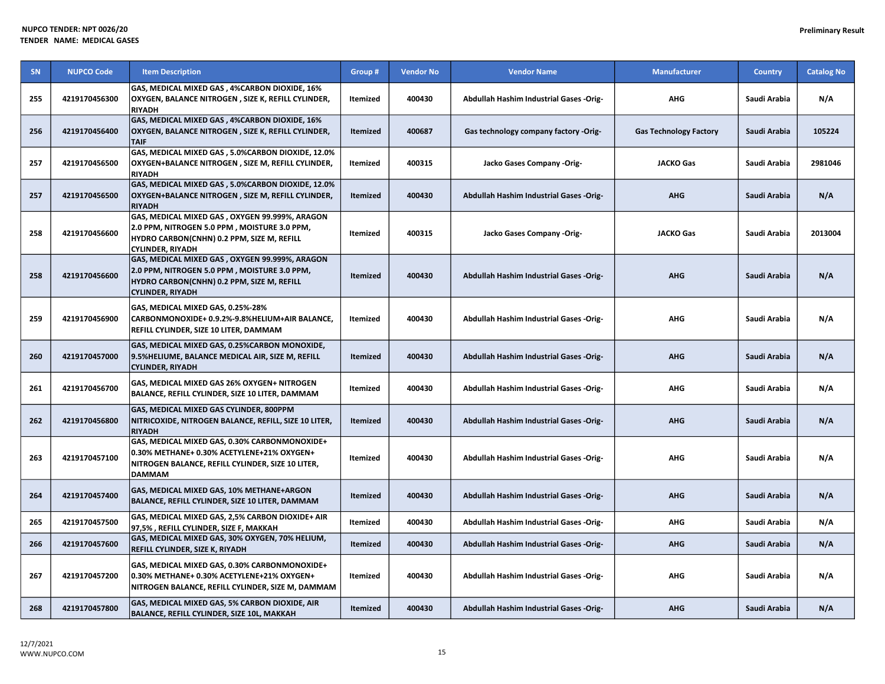| SN  | <b>NUPCO Code</b> | <b>Item Description</b>                                                                                                                                                 | Group #         | <b>Vendor No</b> | <b>Vendor Name</b>                             | <b>Manufacturer</b>           | <b>Country</b> | <b>Catalog No</b> |
|-----|-------------------|-------------------------------------------------------------------------------------------------------------------------------------------------------------------------|-----------------|------------------|------------------------------------------------|-------------------------------|----------------|-------------------|
| 255 | 4219170456300     | GAS, MEDICAL MIXED GAS, 4%CARBON DIOXIDE, 16%<br>OXYGEN, BALANCE NITROGEN, SIZE K, REFILL CYLINDER,<br><b>RIYADH</b>                                                    | Itemized        | 400430           | Abdullah Hashim Industrial Gases -Orig-        | AHG                           | Saudi Arabia   | N/A               |
| 256 | 4219170456400     | GAS, MEDICAL MIXED GAS, 4%CARBON DIOXIDE, 16%<br>OXYGEN, BALANCE NITROGEN, SIZE K, REFILL CYLINDER,<br><b>TAIF</b>                                                      | Itemized        | 400687           | Gas technology company factory -Orig-          | <b>Gas Technology Factory</b> | Saudi Arabia   | 105224            |
| 257 | 4219170456500     | GAS, MEDICAL MIXED GAS, 5.0%CARBON DIOXIDE, 12.0%<br>OXYGEN+BALANCE NITROGEN, SIZE M, REFILL CYLINDER,<br><b>RIYADH</b>                                                 | Itemized        | 400315           | Jacko Gases Company -Orig-                     | <b>JACKO Gas</b>              | Saudi Arabia   | 2981046           |
| 257 | 4219170456500     | GAS, MEDICAL MIXED GAS, 5.0%CARBON DIOXIDE, 12.0%<br>OXYGEN+BALANCE NITROGEN, SIZE M, REFILL CYLINDER,<br><b>RIYADH</b>                                                 | <b>Itemized</b> | 400430           | Abdullah Hashim Industrial Gases -Orig-        | <b>AHG</b>                    | Saudi Arabia   | N/A               |
| 258 | 4219170456600     | GAS, MEDICAL MIXED GAS, OXYGEN 99.999%, ARAGON<br>2.0 PPM, NITROGEN 5.0 PPM, MOISTURE 3.0 PPM,<br>HYDRO CARBON(CNHN) 0.2 PPM, SIZE M, REFILL<br><b>CYLINDER, RIYADH</b> | Itemized        | 400315           | Jacko Gases Company -Orig-                     | <b>JACKO Gas</b>              | Saudi Arabia   | 2013004           |
| 258 | 4219170456600     | GAS, MEDICAL MIXED GAS, OXYGEN 99.999%, ARAGON<br>2.0 PPM, NITROGEN 5.0 PPM, MOISTURE 3.0 PPM,<br>HYDRO CARBON(CNHN) 0.2 PPM, SIZE M, REFILL<br><b>CYLINDER, RIYADH</b> | <b>Itemized</b> | 400430           | <b>Abdullah Hashim Industrial Gases -Orig-</b> | <b>AHG</b>                    | Saudi Arabia   | N/A               |
| 259 | 4219170456900     | GAS, MEDICAL MIXED GAS, 0.25%-28%<br>CARBONMONOXIDE+ 0.9.2%-9.8%HELIUM+AIR BALANCE,<br>REFILL CYLINDER, SIZE 10 LITER, DAMMAM                                           | Itemized        | 400430           | <b>Abdullah Hashim Industrial Gases -Orig-</b> | AHG                           | Saudi Arabia   | N/A               |
| 260 | 4219170457000     | GAS, MEDICAL MIXED GAS, 0.25%CARBON MONOXIDE,<br>9.5%HELIUME, BALANCE MEDICAL AIR, SIZE M, REFILL<br>CYLINDER, RIYADH                                                   | <b>Itemized</b> | 400430           | Abdullah Hashim Industrial Gases -Orig-        | <b>AHG</b>                    | Saudi Arabia   | N/A               |
| 261 | 4219170456700     | GAS, MEDICAL MIXED GAS 26% OXYGEN+ NITROGEN<br>BALANCE, REFILL CYLINDER, SIZE 10 LITER, DAMMAM                                                                          | Itemized        | 400430           | <b>Abdullah Hashim Industrial Gases -Orig-</b> | <b>AHG</b>                    | Saudi Arabia   | N/A               |
| 262 | 4219170456800     | GAS, MEDICAL MIXED GAS CYLINDER, 800PPM<br>NITRICOXIDE, NITROGEN BALANCE, REFILL, SIZE 10 LITER,<br><b>RIYADH</b>                                                       | <b>Itemized</b> | 400430           | Abdullah Hashim Industrial Gases -Orig-        | <b>AHG</b>                    | Saudi Arabia   | N/A               |
| 263 | 4219170457100     | GAS, MEDICAL MIXED GAS, 0.30% CARBONMONOXIDE+<br>0.30% METHANE+ 0.30% ACETYLENE+21% OXYGEN+<br>NITROGEN BALANCE, REFILL CYLINDER, SIZE 10 LITER,<br>DAMMAM              | Itemized        | 400430           | Abdullah Hashim Industrial Gases -Orig-        | AHG                           | Saudi Arabia   | N/A               |
| 264 | 4219170457400     | GAS, MEDICAL MIXED GAS, 10% METHANE+ARGON<br>BALANCE, REFILL CYLINDER, SIZE 10 LITER, DAMMAM                                                                            | <b>Itemized</b> | 400430           | Abdullah Hashim Industrial Gases -Orig-        | <b>AHG</b>                    | Saudi Arabia   | N/A               |
| 265 | 4219170457500     | GAS, MEDICAL MIXED GAS, 2,5% CARBON DIOXIDE+ AIR<br>97,5%, REFILL CYLINDER, SIZE F, MAKKAH                                                                              | Itemized        | 400430           | Abdullah Hashim Industrial Gases -Orig-        | <b>AHG</b>                    | Saudi Arabia   | N/A               |
| 266 | 4219170457600     | GAS, MEDICAL MIXED GAS, 30% OXYGEN, 70% HELIUM,<br>REFILL CYLINDER, SIZE K, RIYADH                                                                                      | <b>Itemized</b> | 400430           | Abdullah Hashim Industrial Gases -Orig-        | <b>AHG</b>                    | Saudi Arabia   | N/A               |
| 267 | 4219170457200     | GAS, MEDICAL MIXED GAS, 0.30% CARBONMONOXIDE+<br>0.30% METHANE+ 0.30% ACETYLENE+21% OXYGEN+<br>NITROGEN BALANCE, REFILL CYLINDER, SIZE M, DAMMAM                        | Itemized        | 400430           | Abdullah Hashim Industrial Gases -Orig-        | AHG                           | Saudi Arabia   | N/A               |
| 268 | 4219170457800     | GAS, MEDICAL MIXED GAS, 5% CARBON DIOXIDE, AIR<br>BALANCE, REFILL CYLINDER, SIZE 10L, MAKKAH                                                                            | Itemized        | 400430           | Abdullah Hashim Industrial Gases -Orig-        | <b>AHG</b>                    | Saudi Arabia   | N/A               |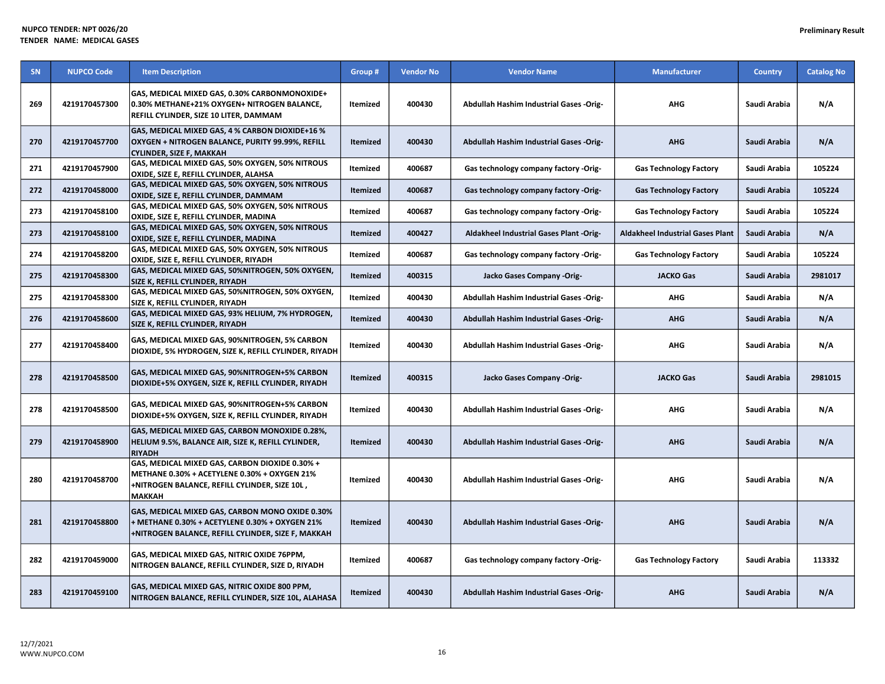| SN  | <b>NUPCO Code</b> | <b>Item Description</b>                                                                                                                                   | Group #         | <b>Vendor No</b> | <b>Vendor Name</b>                             | <b>Manufacturer</b>                     | <b>Country</b> | <b>Catalog No</b> |
|-----|-------------------|-----------------------------------------------------------------------------------------------------------------------------------------------------------|-----------------|------------------|------------------------------------------------|-----------------------------------------|----------------|-------------------|
| 269 | 4219170457300     | GAS, MEDICAL MIXED GAS, 0.30% CARBONMONOXIDE+<br>0.30% METHANE+21% OXYGEN+ NITROGEN BALANCE,<br>REFILL CYLINDER, SIZE 10 LITER, DAMMAM                    | <b>Itemized</b> | 400430           | Abdullah Hashim Industrial Gases -Orig-        | <b>AHG</b>                              | Saudi Arabia   | N/A               |
| 270 | 4219170457700     | GAS, MEDICAL MIXED GAS, 4 % CARBON DIOXIDE+16 %<br>OXYGEN + NITROGEN BALANCE, PURITY 99.99%, REFILL<br><b>CYLINDER, SIZE F, MAKKAH</b>                    | <b>Itemized</b> | 400430           | <b>Abdullah Hashim Industrial Gases -Orig-</b> | <b>AHG</b>                              | Saudi Arabia   | N/A               |
| 271 | 4219170457900     | GAS, MEDICAL MIXED GAS, 50% OXYGEN, 50% NITROUS<br>OXIDE, SIZE E, REFILL CYLINDER, ALAHSA                                                                 | Itemized        | 400687           | Gas technology company factory -Orig-          | <b>Gas Technology Factory</b>           | Saudi Arabia   | 105224            |
| 272 | 4219170458000     | GAS, MEDICAL MIXED GAS, 50% OXYGEN, 50% NITROUS<br>OXIDE, SIZE E, REFILL CYLINDER, DAMMAM                                                                 | <b>Itemized</b> | 400687           | Gas technology company factory -Orig-          | <b>Gas Technology Factory</b>           | Saudi Arabia   | 105224            |
| 273 | 4219170458100     | GAS, MEDICAL MIXED GAS, 50% OXYGEN, 50% NITROUS<br>OXIDE, SIZE E, REFILL CYLINDER, MADINA                                                                 | <b>Itemized</b> | 400687           | Gas technology company factory -Orig-          | <b>Gas Technology Factory</b>           | Saudi Arabia   | 105224            |
| 273 | 4219170458100     | GAS, MEDICAL MIXED GAS, 50% OXYGEN, 50% NITROUS<br>OXIDE, SIZE E, REFILL CYLINDER, MADINA                                                                 | <b>Itemized</b> | 400427           | Aldakheel Industrial Gases Plant -Orig-        | <b>Aldakheel Industrial Gases Plant</b> | Saudi Arabia   | N/A               |
| 274 | 4219170458200     | GAS, MEDICAL MIXED GAS, 50% OXYGEN, 50% NITROUS<br>OXIDE, SIZE E, REFILL CYLINDER, RIYADH                                                                 | Itemized        | 400687           | Gas technology company factory -Orig-          | <b>Gas Technology Factory</b>           | Saudi Arabia   | 105224            |
| 275 | 4219170458300     | GAS, MEDICAL MIXED GAS, 50%NITROGEN, 50% OXYGEN,<br>SIZE K, REFILL CYLINDER, RIYADH                                                                       | <b>Itemized</b> | 400315           | Jacko Gases Company -Orig-                     | <b>JACKO Gas</b>                        | Saudi Arabia   | 2981017           |
| 275 | 4219170458300     | GAS, MEDICAL MIXED GAS, 50%NITROGEN, 50% OXYGEN,<br>SIZE K, REFILL CYLINDER, RIYADH                                                                       | Itemized        | 400430           | Abdullah Hashim Industrial Gases -Orig-        | <b>AHG</b>                              | Saudi Arabia   | N/A               |
| 276 | 4219170458600     | GAS, MEDICAL MIXED GAS, 93% HELIUM, 7% HYDROGEN,<br>SIZE K, REFILL CYLINDER, RIYADH                                                                       | <b>Itemized</b> | 400430           | <b>Abdullah Hashim Industrial Gases -Orig-</b> | <b>AHG</b>                              | Saudi Arabia   | N/A               |
| 277 | 4219170458400     | GAS, MEDICAL MIXED GAS, 90%NITROGEN, 5% CARBON<br>DIOXIDE, 5% HYDROGEN, SIZE K, REFILL CYLINDER, RIYADH                                                   | Itemized        | 400430           | Abdullah Hashim Industrial Gases -Orig-        | AHG                                     | Saudi Arabia   | N/A               |
| 278 | 4219170458500     | GAS, MEDICAL MIXED GAS, 90%NITROGEN+5% CARBON<br>DIOXIDE+5% OXYGEN, SIZE K, REFILL CYLINDER, RIYADH                                                       | <b>Itemized</b> | 400315           | Jacko Gases Company -Orig-                     | <b>JACKO Gas</b>                        | Saudi Arabia   | 2981015           |
| 278 | 4219170458500     | GAS, MEDICAL MIXED GAS, 90%NITROGEN+5% CARBON<br>DIOXIDE+5% OXYGEN, SIZE K, REFILL CYLINDER, RIYADH                                                       | Itemized        | 400430           | Abdullah Hashim Industrial Gases -Orig-        | <b>AHG</b>                              | Saudi Arabia   | N/A               |
| 279 | 4219170458900     | GAS, MEDICAL MIXED GAS, CARBON MONOXIDE 0.28%,<br>HELIUM 9.5%, BALANCE AIR, SIZE K, REFILL CYLINDER,<br><b>RIYADH</b>                                     | Itemized        | 400430           | Abdullah Hashim Industrial Gases -Orig-        | <b>AHG</b>                              | Saudi Arabia   | N/A               |
| 280 | 4219170458700     | GAS, MEDICAL MIXED GAS, CARBON DIOXIDE 0.30% +<br>METHANE 0.30% + ACETYLENE 0.30% + OXYGEN 21%<br>+NITROGEN BALANCE, REFILL CYLINDER, SIZE 10L,<br>МАККАН | <b>Itemized</b> | 400430           | <b>Abdullah Hashim Industrial Gases -Orig-</b> | <b>AHG</b>                              | Saudi Arabia   | N/A               |
| 281 | 4219170458800     | GAS, MEDICAL MIXED GAS, CARBON MONO OXIDE 0.30%<br>+ METHANE 0.30% + ACETYLENE 0.30% + OXYGEN 21%<br>+NITROGEN BALANCE, REFILL CYLINDER, SIZE F, MAKKAH   | <b>Itemized</b> | 400430           | Abdullah Hashim Industrial Gases -Orig-        | <b>AHG</b>                              | Saudi Arabia   | N/A               |
| 282 | 4219170459000     | GAS, MEDICAL MIXED GAS, NITRIC OXIDE 76PPM,<br>NITROGEN BALANCE, REFILL CYLINDER, SIZE D, RIYADH                                                          | Itemized        | 400687           | Gas technology company factory -Orig-          | <b>Gas Technology Factory</b>           | Saudi Arabia   | 113332            |
| 283 | 4219170459100     | GAS, MEDICAL MIXED GAS, NITRIC OXIDE 800 PPM,<br>NITROGEN BALANCE, REFILL CYLINDER, SIZE 10L, ALAHASA                                                     | <b>Itemized</b> | 400430           | <b>Abdullah Hashim Industrial Gases -Orig-</b> | <b>AHG</b>                              | Saudi Arabia   | N/A               |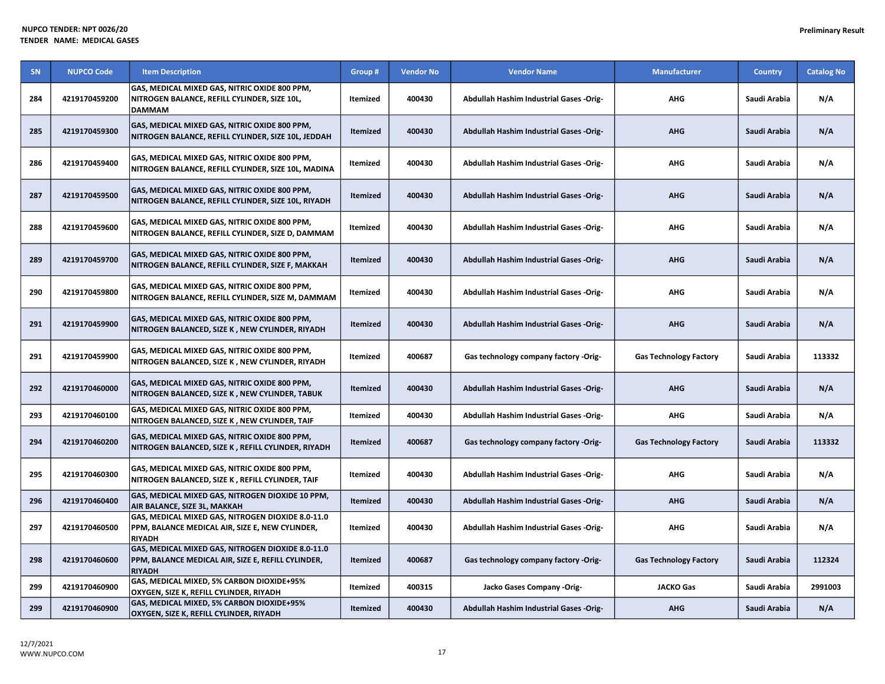| SN  | <b>NUPCO Code</b> | <b>Item Description</b>                                                                                                  | Group #         | <b>Vendor No</b> | <b>Vendor Name</b>                             | <b>Manufacturer</b>           | <b>Country</b> | <b>Catalog No</b> |
|-----|-------------------|--------------------------------------------------------------------------------------------------------------------------|-----------------|------------------|------------------------------------------------|-------------------------------|----------------|-------------------|
| 284 | 4219170459200     | GAS, MEDICAL MIXED GAS, NITRIC OXIDE 800 PPM,<br>NITROGEN BALANCE, REFILL CYLINDER, SIZE 10L,<br><b>DAMMAM</b>           | Itemized        | 400430           | <b>Abdullah Hashim Industrial Gases -Orig-</b> | <b>AHG</b>                    | Saudi Arabia   | N/A               |
| 285 | 4219170459300     | GAS, MEDICAL MIXED GAS, NITRIC OXIDE 800 PPM,<br>NITROGEN BALANCE, REFILL CYLINDER, SIZE 10L, JEDDAH                     | <b>Itemized</b> | 400430           | Abdullah Hashim Industrial Gases -Orig-        | <b>AHG</b>                    | Saudi Arabia   | N/A               |
| 286 | 4219170459400     | GAS, MEDICAL MIXED GAS, NITRIC OXIDE 800 PPM,<br>NITROGEN BALANCE, REFILL CYLINDER, SIZE 10L, MADINA                     | Itemized        | 400430           | Abdullah Hashim Industrial Gases -Orig-        | <b>AHG</b>                    | Saudi Arabia   | N/A               |
| 287 | 4219170459500     | GAS, MEDICAL MIXED GAS, NITRIC OXIDE 800 PPM,<br>NITROGEN BALANCE, REFILL CYLINDER, SIZE 10L, RIYADH                     | Itemized        | 400430           | Abdullah Hashim Industrial Gases -Orig-        | <b>AHG</b>                    | Saudi Arabia   | N/A               |
| 288 | 4219170459600     | GAS, MEDICAL MIXED GAS, NITRIC OXIDE 800 PPM,<br>NITROGEN BALANCE, REFILL CYLINDER, SIZE D, DAMMAM                       | Itemized        | 400430           | Abdullah Hashim Industrial Gases -Orig-        | <b>AHG</b>                    | Saudi Arabia   | N/A               |
| 289 | 4219170459700     | GAS, MEDICAL MIXED GAS, NITRIC OXIDE 800 PPM,<br>NITROGEN BALANCE, REFILL CYLINDER, SIZE F, MAKKAH                       | <b>Itemized</b> | 400430           | <b>Abdullah Hashim Industrial Gases -Orig-</b> | <b>AHG</b>                    | Saudi Arabia   | N/A               |
| 290 | 4219170459800     | GAS, MEDICAL MIXED GAS, NITRIC OXIDE 800 PPM,<br>NITROGEN BALANCE, REFILL CYLINDER, SIZE M, DAMMAM                       | Itemized        | 400430           | Abdullah Hashim Industrial Gases -Orig-        | <b>AHG</b>                    | Saudi Arabia   | N/A               |
| 291 | 4219170459900     | GAS, MEDICAL MIXED GAS, NITRIC OXIDE 800 PPM,<br>NITROGEN BALANCED, SIZE K, NEW CYLINDER, RIYADH                         | <b>Itemized</b> | 400430           | Abdullah Hashim Industrial Gases -Orig-        | <b>AHG</b>                    | Saudi Arabia   | N/A               |
| 291 | 4219170459900     | GAS, MEDICAL MIXED GAS, NITRIC OXIDE 800 PPM,<br>NITROGEN BALANCED, SIZE K, NEW CYLINDER, RIYADH                         | Itemized        | 400687           | Gas technology company factory -Orig-          | <b>Gas Technology Factory</b> | Saudi Arabia   | 113332            |
| 292 | 4219170460000     | GAS, MEDICAL MIXED GAS, NITRIC OXIDE 800 PPM,<br>NITROGEN BALANCED, SIZE K, NEW CYLINDER, TABUK                          | <b>Itemized</b> | 400430           | <b>Abdullah Hashim Industrial Gases -Orig-</b> | <b>AHG</b>                    | Saudi Arabia   | N/A               |
| 293 | 4219170460100     | GAS, MEDICAL MIXED GAS, NITRIC OXIDE 800 PPM,<br>NITROGEN BALANCED, SIZE K, NEW CYLINDER, TAIF                           | Itemized        | 400430           | Abdullah Hashim Industrial Gases -Orig-        | AHG                           | Saudi Arabia   | N/A               |
| 294 | 4219170460200     | GAS, MEDICAL MIXED GAS, NITRIC OXIDE 800 PPM,<br>NITROGEN BALANCED, SIZE K, REFILL CYLINDER, RIYADH                      | <b>Itemized</b> | 400687           | Gas technology company factory -Orig-          | <b>Gas Technology Factory</b> | Saudi Arabia   | 113332            |
| 295 | 4219170460300     | GAS, MEDICAL MIXED GAS, NITRIC OXIDE 800 PPM,<br>NITROGEN BALANCED, SIZE K , REFILL CYLINDER, TAIF                       | Itemized        | 400430           | Abdullah Hashim Industrial Gases -Orig-        | <b>AHG</b>                    | Saudi Arabia   | N/A               |
| 296 | 4219170460400     | GAS, MEDICAL MIXED GAS, NITROGEN DIOXIDE 10 PPM,<br>AIR BALANCE, SIZE 3L, MAKKAH                                         | <b>Itemized</b> | 400430           | Abdullah Hashim Industrial Gases -Orig-        | <b>AHG</b>                    | Saudi Arabia   | N/A               |
| 297 | 4219170460500     | GAS, MEDICAL MIXED GAS, NITROGEN DIOXIDE 8.0-11.0<br>PPM, BALANCE MEDICAL AIR, SIZE E, NEW CYLINDER,<br><b>RIYADH</b>    | Itemized        | 400430           | Abdullah Hashim Industrial Gases -Orig-        | <b>AHG</b>                    | Saudi Arabia   | N/A               |
| 298 | 4219170460600     | GAS, MEDICAL MIXED GAS, NITROGEN DIOXIDE 8.0-11.0<br>PPM, BALANCE MEDICAL AIR, SIZE E, REFILL CYLINDER,<br><b>RIYADH</b> | <b>Itemized</b> | 400687           | Gas technology company factory -Orig-          | <b>Gas Technology Factory</b> | Saudi Arabia   | 112324            |
| 299 | 4219170460900     | GAS, MEDICAL MIXED, 5% CARBON DIOXIDE+95%<br>OXYGEN, SIZE K, REFILL CYLINDER, RIYADH                                     | Itemized        | 400315           | Jacko Gases Company -Orig-                     | <b>JACKO Gas</b>              | Saudi Arabia   | 2991003           |
| 299 | 4219170460900     | GAS, MEDICAL MIXED, 5% CARBON DIOXIDE+95%<br>OXYGEN, SIZE K, REFILL CYLINDER, RIYADH                                     | Itemized        | 400430           | Abdullah Hashim Industrial Gases -Orig-        | <b>AHG</b>                    | Saudi Arabia   | N/A               |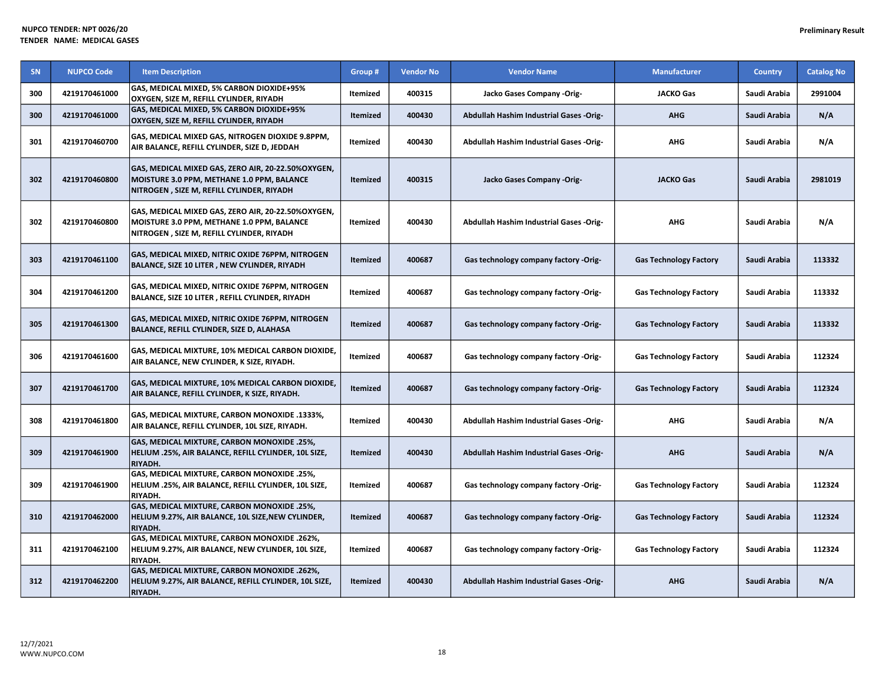| SN  | <b>NUPCO Code</b> | <b>Item Description</b>                                                                                                                       | Group #         | <b>Vendor No</b> | <b>Vendor Name</b>                             | <b>Manufacturer</b>           | <b>Country</b> | <b>Catalog No</b> |
|-----|-------------------|-----------------------------------------------------------------------------------------------------------------------------------------------|-----------------|------------------|------------------------------------------------|-------------------------------|----------------|-------------------|
| 300 | 4219170461000     | <b>GAS, MEDICAL MIXED, 5% CARBON DIOXIDE+95%</b><br>OXYGEN, SIZE M, REFILL CYLINDER, RIYADH                                                   | Itemized        | 400315           | Jacko Gases Company -Orig-                     | <b>JACKO Gas</b>              | Saudi Arabia   | 2991004           |
| 300 | 4219170461000     | GAS, MEDICAL MIXED, 5% CARBON DIOXIDE+95%<br>OXYGEN, SIZE M, REFILL CYLINDER, RIYADH                                                          | <b>Itemized</b> | 400430           | <b>Abdullah Hashim Industrial Gases -Orig-</b> | <b>AHG</b>                    | Saudi Arabia   | N/A               |
| 301 | 4219170460700     | GAS, MEDICAL MIXED GAS, NITROGEN DIOXIDE 9.8PPM,<br>AIR BALANCE, REFILL CYLINDER, SIZE D, JEDDAH                                              | Itemized        | 400430           | Abdullah Hashim Industrial Gases -Orig-        | <b>AHG</b>                    | Saudi Arabia   | N/A               |
| 302 | 4219170460800     | GAS, MEDICAL MIXED GAS, ZERO AIR, 20-22.50%OXYGEN,<br>MOISTURE 3.0 PPM, METHANE 1.0 PPM, BALANCE<br>NITROGEN, SIZE M, REFILL CYLINDER, RIYADH | <b>Itemized</b> | 400315           | Jacko Gases Company -Orig-                     | <b>JACKO Gas</b>              | Saudi Arabia   | 2981019           |
| 302 | 4219170460800     | GAS, MEDICAL MIXED GAS, ZERO AIR, 20-22.50%OXYGEN,<br>MOISTURE 3.0 PPM, METHANE 1.0 PPM, BALANCE<br>NITROGEN, SIZE M, REFILL CYLINDER, RIYADH | Itemized        | 400430           | Abdullah Hashim Industrial Gases -Orig-        | <b>AHG</b>                    | Saudi Arabia   | N/A               |
| 303 | 4219170461100     | GAS, MEDICAL MIXED, NITRIC OXIDE 76PPM, NITROGEN<br><b>BALANCE, SIZE 10 LITER, NEW CYLINDER, RIYADH</b>                                       | <b>Itemized</b> | 400687           | Gas technology company factory -Orig-          | <b>Gas Technology Factory</b> | Saudi Arabia   | 113332            |
| 304 | 4219170461200     | GAS, MEDICAL MIXED, NITRIC OXIDE 76PPM, NITROGEN<br>BALANCE, SIZE 10 LITER, REFILL CYLINDER, RIYADH                                           | Itemized        | 400687           | Gas technology company factory -Orig-          | <b>Gas Technology Factory</b> | Saudi Arabia   | 113332            |
| 305 | 4219170461300     | GAS, MEDICAL MIXED, NITRIC OXIDE 76PPM, NITROGEN<br><b>BALANCE, REFILL CYLINDER, SIZE D, ALAHASA</b>                                          | <b>Itemized</b> | 400687           | Gas technology company factory -Orig-          | <b>Gas Technology Factory</b> | Saudi Arabia   | 113332            |
| 306 | 4219170461600     | GAS, MEDICAL MIXTURE, 10% MEDICAL CARBON DIOXIDE,<br>AIR BALANCE, NEW CYLINDER, K SIZE, RIYADH.                                               | Itemized        | 400687           | Gas technology company factory -Orig-          | <b>Gas Technology Factory</b> | Saudi Arabia   | 112324            |
| 307 | 4219170461700     | GAS, MEDICAL MIXTURE, 10% MEDICAL CARBON DIOXIDE,<br>AIR BALANCE, REFILL CYLINDER, K SIZE, RIYADH.                                            | <b>Itemized</b> | 400687           | Gas technology company factory -Orig-          | <b>Gas Technology Factory</b> | Saudi Arabia   | 112324            |
| 308 | 4219170461800     | GAS, MEDICAL MIXTURE, CARBON MONOXIDE .1333%,<br>AIR BALANCE, REFILL CYLINDER, 10L SIZE, RIYADH.                                              | Itemized        | 400430           | Abdullah Hashim Industrial Gases -Orig-        | <b>AHG</b>                    | Saudi Arabia   | N/A               |
| 309 | 4219170461900     | GAS, MEDICAL MIXTURE, CARBON MONOXIDE .25%,<br>HELIUM .25%, AIR BALANCE, REFILL CYLINDER, 10L SIZE,<br><b>RIYADH.</b>                         | Itemized        | 400430           | Abdullah Hashim Industrial Gases -Orig-        | <b>AHG</b>                    | Saudi Arabia   | N/A               |
| 309 | 4219170461900     | GAS, MEDICAL MIXTURE, CARBON MONOXIDE .25%,<br>HELIUM .25%, AIR BALANCE, REFILL CYLINDER, 10L SIZE,<br><b>RIYADH.</b>                         | Itemized        | 400687           | Gas technology company factory -Orig-          | <b>Gas Technology Factory</b> | Saudi Arabia   | 112324            |
| 310 | 4219170462000     | <b>GAS, MEDICAL MIXTURE, CARBON MONOXIDE .25%,</b><br>HELIUM 9.27%, AIR BALANCE, 10L SIZE, NEW CYLINDER,<br><b>RIYADH.</b>                    | <b>Itemized</b> | 400687           | Gas technology company factory -Orig-          | <b>Gas Technology Factory</b> | Saudi Arabia   | 112324            |
| 311 | 4219170462100     | GAS, MEDICAL MIXTURE, CARBON MONOXIDE .262%,<br>HELIUM 9.27%, AIR BALANCE, NEW CYLINDER, 10L SIZE,<br><b>RIYADH.</b>                          | Itemized        | 400687           | Gas technology company factory -Orig-          | <b>Gas Technology Factory</b> | Saudi Arabia   | 112324            |
| 312 | 4219170462200     | <b>GAS, MEDICAL MIXTURE, CARBON MONOXIDE .262%,</b><br>HELIUM 9.27%, AIR BALANCE, REFILL CYLINDER, 10L SIZE,<br><b>RIYADH.</b>                | <b>Itemized</b> | 400430           | Abdullah Hashim Industrial Gases -Orig-        | <b>AHG</b>                    | Saudi Arabia   | N/A               |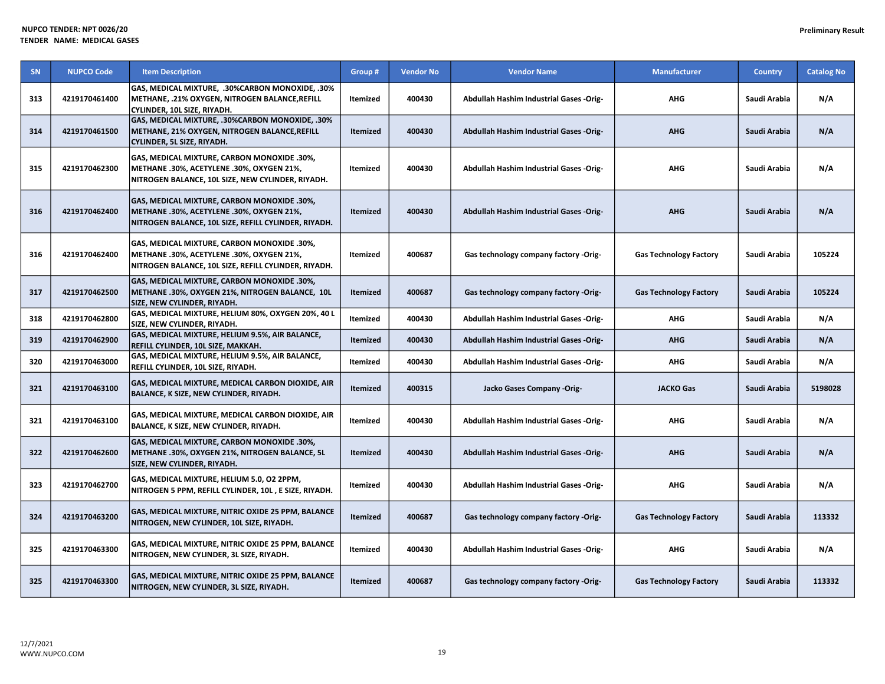| SN  | <b>NUPCO Code</b> | <b>Item Description</b>                                                                                                                          | Group #         | <b>Vendor No</b> | <b>Vendor Name</b>                             | <b>Manufacturer</b>           | <b>Country</b> | <b>Catalog No</b> |
|-----|-------------------|--------------------------------------------------------------------------------------------------------------------------------------------------|-----------------|------------------|------------------------------------------------|-------------------------------|----------------|-------------------|
| 313 | 4219170461400     | GAS, MEDICAL MIXTURE, .30%CARBON MONOXIDE, .30%<br>METHANE, .21% OXYGEN, NITROGEN BALANCE, REFILL<br>CYLINDER, 10L SIZE, RIYADH.                 | Itemized        | 400430           | Abdullah Hashim Industrial Gases -Orig-        | AHG                           | Saudi Arabia   | N/A               |
| 314 | 4219170461500     | GAS, MEDICAL MIXTURE, .30%CARBON MONOXIDE, .30%<br>METHANE, 21% OXYGEN, NITROGEN BALANCE, REFILL<br>CYLINDER, 5L SIZE, RIYADH.                   | <b>Itemized</b> | 400430           | <b>Abdullah Hashim Industrial Gases -Orig-</b> | <b>AHG</b>                    | Saudi Arabia   | N/A               |
| 315 | 4219170462300     | GAS, MEDICAL MIXTURE, CARBON MONOXIDE .30%,<br>METHANE .30%, ACETYLENE .30%, OXYGEN 21%,<br>NITROGEN BALANCE, 10L SIZE, NEW CYLINDER, RIYADH.    | Itemized        | 400430           | Abdullah Hashim Industrial Gases -Orig-        | AHG                           | Saudi Arabia   | N/A               |
| 316 | 4219170462400     | GAS, MEDICAL MIXTURE, CARBON MONOXIDE .30%,<br>METHANE .30%, ACETYLENE .30%, OXYGEN 21%,<br>NITROGEN BALANCE, 10L SIZE, REFILL CYLINDER, RIYADH. | <b>Itemized</b> | 400430           | Abdullah Hashim Industrial Gases -Orig-        | <b>AHG</b>                    | Saudi Arabia   | N/A               |
| 316 | 4219170462400     | GAS, MEDICAL MIXTURE, CARBON MONOXIDE .30%,<br>METHANE .30%, ACETYLENE .30%, OXYGEN 21%,<br>NITROGEN BALANCE, 10L SIZE, REFILL CYLINDER, RIYADH. | Itemized        | 400687           | Gas technology company factory -Orig-          | <b>Gas Technology Factory</b> | Saudi Arabia   | 105224            |
| 317 | 4219170462500     | GAS, MEDICAL MIXTURE, CARBON MONOXIDE .30%,<br>METHANE .30%, OXYGEN 21%, NITROGEN BALANCE, 10L<br>SIZE, NEW CYLINDER, RIYADH.                    | <b>Itemized</b> | 400687           | Gas technology company factory -Orig-          | <b>Gas Technology Factory</b> | Saudi Arabia   | 105224            |
| 318 | 4219170462800     | GAS, MEDICAL MIXTURE, HELIUM 80%, OXYGEN 20%, 40 L<br>SIZE, NEW CYLINDER, RIYADH.                                                                | Itemized        | 400430           | Abdullah Hashim Industrial Gases -Orig-        | <b>AHG</b>                    | Saudi Arabia   | N/A               |
| 319 | 4219170462900     | GAS, MEDICAL MIXTURE, HELIUM 9.5%, AIR BALANCE,<br>REFILL CYLINDER, 10L SIZE, MAKKAH.                                                            | <b>Itemized</b> | 400430           | <b>Abdullah Hashim Industrial Gases -Orig-</b> | AHG                           | Saudi Arabia   | N/A               |
| 320 | 4219170463000     | GAS, MEDICAL MIXTURE, HELIUM 9.5%, AIR BALANCE,<br>REFILL CYLINDER, 10L SIZE, RIYADH.                                                            | Itemized        | 400430           | <b>Abdullah Hashim Industrial Gases -Orig-</b> | AHG                           | Saudi Arabia   | N/A               |
| 321 | 4219170463100     | GAS, MEDICAL MIXTURE, MEDICAL CARBON DIOXIDE, AIR<br>BALANCE, K SIZE, NEW CYLINDER, RIYADH.                                                      | <b>Itemized</b> | 400315           | Jacko Gases Company -Orig-                     | <b>JACKO Gas</b>              | Saudi Arabia   | 5198028           |
| 321 | 4219170463100     | GAS, MEDICAL MIXTURE, MEDICAL CARBON DIOXIDE, AIR<br>BALANCE, K SIZE, NEW CYLINDER, RIYADH.                                                      | Itemized        | 400430           | <b>Abdullah Hashim Industrial Gases -Orig-</b> | <b>AHG</b>                    | Saudi Arabia   | N/A               |
| 322 | 4219170462600     | GAS, MEDICAL MIXTURE, CARBON MONOXIDE .30%,<br>METHANE .30%, OXYGEN 21%, NITROGEN BALANCE, 5L<br>SIZE, NEW CYLINDER, RIYADH.                     | <b>Itemized</b> | 400430           | Abdullah Hashim Industrial Gases -Orig-        | <b>AHG</b>                    | Saudi Arabia   | N/A               |
| 323 | 4219170462700     | GAS, MEDICAL MIXTURE, HELIUM 5.0, O2 2PPM,<br>NITROGEN 5 PPM, REFILL CYLINDER, 10L, E SIZE, RIYADH.                                              | Itemized        | 400430           | Abdullah Hashim Industrial Gases -Orig-        | <b>AHG</b>                    | Saudi Arabia   | N/A               |
| 324 | 4219170463200     | GAS, MEDICAL MIXTURE, NITRIC OXIDE 25 PPM, BALANCE<br>NITROGEN, NEW CYLINDER, 10L SIZE, RIYADH.                                                  | <b>Itemized</b> | 400687           | Gas technology company factory -Orig-          | <b>Gas Technology Factory</b> | Saudi Arabia   | 113332            |
| 325 | 4219170463300     | GAS, MEDICAL MIXTURE, NITRIC OXIDE 25 PPM, BALANCE<br>NITROGEN, NEW CYLINDER, 3L SIZE, RIYADH.                                                   | Itemized        | 400430           | Abdullah Hashim Industrial Gases -Orig-        | <b>AHG</b>                    | Saudi Arabia   | N/A               |
| 325 | 4219170463300     | GAS, MEDICAL MIXTURE, NITRIC OXIDE 25 PPM, BALANCE<br>NITROGEN, NEW CYLINDER, 3L SIZE, RIYADH.                                                   | <b>Itemized</b> | 400687           | Gas technology company factory -Orig-          | <b>Gas Technology Factory</b> | Saudi Arabia   | 113332            |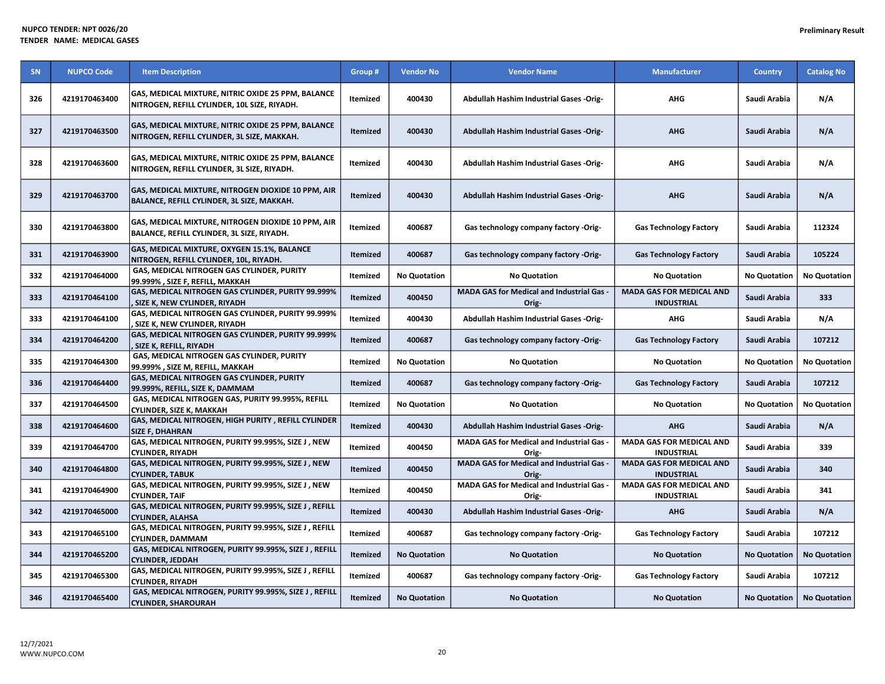| SN  | <b>NUPCO Code</b> | <b>Item Description</b>                                                                            | Group #         | <b>Vendor No</b>    | <b>Vendor Name</b>                                      | <b>Manufacturer</b>                                  | <b>Country</b>      | <b>Catalog No</b>   |
|-----|-------------------|----------------------------------------------------------------------------------------------------|-----------------|---------------------|---------------------------------------------------------|------------------------------------------------------|---------------------|---------------------|
| 326 | 4219170463400     | GAS, MEDICAL MIXTURE, NITRIC OXIDE 25 PPM, BALANCE<br>NITROGEN, REFILL CYLINDER, 10L SIZE, RIYADH. | <b>Itemized</b> | 400430              | Abdullah Hashim Industrial Gases -Orig-                 | <b>AHG</b>                                           | Saudi Arabia        | N/A                 |
| 327 | 4219170463500     | GAS, MEDICAL MIXTURE, NITRIC OXIDE 25 PPM, BALANCE<br>NITROGEN, REFILL CYLINDER, 3L SIZE, MAKKAH.  | <b>Itemized</b> | 400430              | <b>Abdullah Hashim Industrial Gases -Orig-</b>          | <b>AHG</b>                                           | Saudi Arabia        | N/A                 |
| 328 | 4219170463600     | GAS, MEDICAL MIXTURE, NITRIC OXIDE 25 PPM, BALANCE<br>NITROGEN, REFILL CYLINDER, 3L SIZE, RIYADH.  | Itemized        | 400430              | Abdullah Hashim Industrial Gases -Orig-                 | <b>AHG</b>                                           | Saudi Arabia        | N/A                 |
| 329 | 4219170463700     | GAS, MEDICAL MIXTURE, NITROGEN DIOXIDE 10 PPM, AIR<br>BALANCE, REFILL CYLINDER, 3L SIZE, MAKKAH.   | <b>Itemized</b> | 400430              | <b>Abdullah Hashim Industrial Gases -Orig-</b>          | <b>AHG</b>                                           | Saudi Arabia        | N/A                 |
| 330 | 4219170463800     | GAS, MEDICAL MIXTURE, NITROGEN DIOXIDE 10 PPM, AIR<br>BALANCE, REFILL CYLINDER, 3L SIZE, RIYADH.   | Itemized        | 400687              | Gas technology company factory -Orig-                   | <b>Gas Technology Factory</b>                        | Saudi Arabia        | 112324              |
| 331 | 4219170463900     | GAS, MEDICAL MIXTURE, OXYGEN 15.1%, BALANCE<br>NITROGEN, REFILL CYLINDER, 10L, RIYADH.             | <b>Itemized</b> | 400687              | Gas technology company factory -Orig-                   | <b>Gas Technology Factory</b>                        | Saudi Arabia        | 105224              |
| 332 | 4219170464000     | GAS, MEDICAL NITROGEN GAS CYLINDER, PURITY<br>99.999%, SIZE F, REFILL, MAKKAH                      | Itemized        | <b>No Quotation</b> | <b>No Quotation</b>                                     | <b>No Quotation</b>                                  | <b>No Quotation</b> | <b>No Quotation</b> |
| 333 | 4219170464100     | GAS, MEDICAL NITROGEN GAS CYLINDER, PURITY 99.999%<br>SIZE K, NEW CYLINDER, RIYADH                 | Itemized        | 400450              | MADA GAS for Medical and Industrial Gas -<br>Orig-      | <b>MADA GAS FOR MEDICAL AND</b><br><b>INDUSTRIAL</b> | Saudi Arabia        | 333                 |
| 333 | 4219170464100     | GAS, MEDICAL NITROGEN GAS CYLINDER, PURITY 99.999%<br>SIZE K, NEW CYLINDER, RIYADH                 | Itemized        | 400430              | Abdullah Hashim Industrial Gases -Orig-                 | <b>AHG</b>                                           | Saudi Arabia        | N/A                 |
| 334 | 4219170464200     | GAS, MEDICAL NITROGEN GAS CYLINDER, PURITY 99.999%<br>SIZE K, REFILL, RIYADH                       | Itemized        | 400687              | Gas technology company factory -Orig-                   | <b>Gas Technology Factory</b>                        | Saudi Arabia        | 107212              |
| 335 | 4219170464300     | GAS, MEDICAL NITROGEN GAS CYLINDER, PURITY<br>99.999%, SIZE M, REFILL, MAKKAH                      | Itemized        | <b>No Quotation</b> | <b>No Quotation</b>                                     | <b>No Quotation</b>                                  | <b>No Quotation</b> | <b>No Quotation</b> |
| 336 | 4219170464400     | GAS, MEDICAL NITROGEN GAS CYLINDER, PURITY<br>99.999%, REFILL, SIZE K, DAMMAM                      | Itemized        | 400687              | Gas technology company factory -Orig-                   | <b>Gas Technology Factory</b>                        | Saudi Arabia        | 107212              |
| 337 | 4219170464500     | GAS, MEDICAL NITROGEN GAS, PURITY 99.995%, REFILL<br><b>CYLINDER, SIZE K, MAKKAH</b>               | Itemized        | <b>No Quotation</b> | <b>No Quotation</b>                                     | <b>No Quotation</b>                                  | <b>No Quotation</b> | <b>No Quotation</b> |
| 338 | 4219170464600     | GAS, MEDICAL NITROGEN, HIGH PURITY, REFILL CYLINDER<br><b>SIZE F, DHAHRAN</b>                      | <b>Itemized</b> | 400430              | Abdullah Hashim Industrial Gases -Orig-                 | <b>AHG</b>                                           | Saudi Arabia        | N/A                 |
| 339 | 4219170464700     | GAS, MEDICAL NITROGEN, PURITY 99.995%, SIZE J, NEW<br><b>CYLINDER, RIYADH</b>                      | Itemized        | 400450              | MADA GAS for Medical and Industrial Gas -<br>Orig-      | MADA GAS FOR MEDICAL AND<br><b>INDUSTRIAL</b>        | Saudi Arabia        | 339                 |
| 340 | 4219170464800     | GAS, MEDICAL NITROGEN, PURITY 99.995%, SIZE J , NEW<br><b>CYLINDER, TABUK</b>                      | Itemized        | 400450              | <b>MADA GAS for Medical and Industrial Gas</b><br>Orig- | <b>MADA GAS FOR MEDICAL AND</b><br><b>INDUSTRIAL</b> | Saudi Arabia        | 340                 |
| 341 | 4219170464900     | GAS, MEDICAL NITROGEN, PURITY 99.995%, SIZE J, NEW<br><b>CYLINDER, TAIF</b>                        | Itemized        | 400450              | MADA GAS for Medical and Industrial Gas<br>Orig-        | MADA GAS FOR MEDICAL AND<br><b>INDUSTRIAL</b>        | Saudi Arabia        | 341                 |
| 342 | 4219170465000     | GAS, MEDICAL NITROGEN, PURITY 99.995%, SIZE J, REFILL<br><b>CYLINDER, ALAHSA</b>                   | <b>Itemized</b> | 400430              | Abdullah Hashim Industrial Gases -Orig-                 | <b>AHG</b>                                           | Saudi Arabia        | N/A                 |
| 343 | 4219170465100     | GAS, MEDICAL NITROGEN, PURITY 99.995%, SIZE J, REFILL<br><b>CYLINDER, DAMMAM</b>                   | Itemized        | 400687              | Gas technology company factory -Orig-                   | <b>Gas Technology Factory</b>                        | Saudi Arabia        | 107212              |
| 344 | 4219170465200     | GAS, MEDICAL NITROGEN, PURITY 99.995%, SIZE J, REFILL<br><b>CYLINDER, JEDDAH</b>                   | Itemized        | <b>No Quotation</b> | <b>No Quotation</b>                                     | <b>No Quotation</b>                                  | <b>No Quotation</b> | <b>No Quotation</b> |
| 345 | 4219170465300     | GAS, MEDICAL NITROGEN, PURITY 99.995%, SIZE J, REFILL<br><b>CYLINDER, RIYADH</b>                   | Itemized        | 400687              | Gas technology company factory -Orig-                   | <b>Gas Technology Factory</b>                        | Saudi Arabia        | 107212              |
| 346 | 4219170465400     | GAS, MEDICAL NITROGEN, PURITY 99.995%, SIZE J, REFILL<br><b>CYLINDER, SHAROURAH</b>                | Itemized        | <b>No Quotation</b> | <b>No Quotation</b>                                     | <b>No Quotation</b>                                  | <b>No Quotation</b> | <b>No Quotation</b> |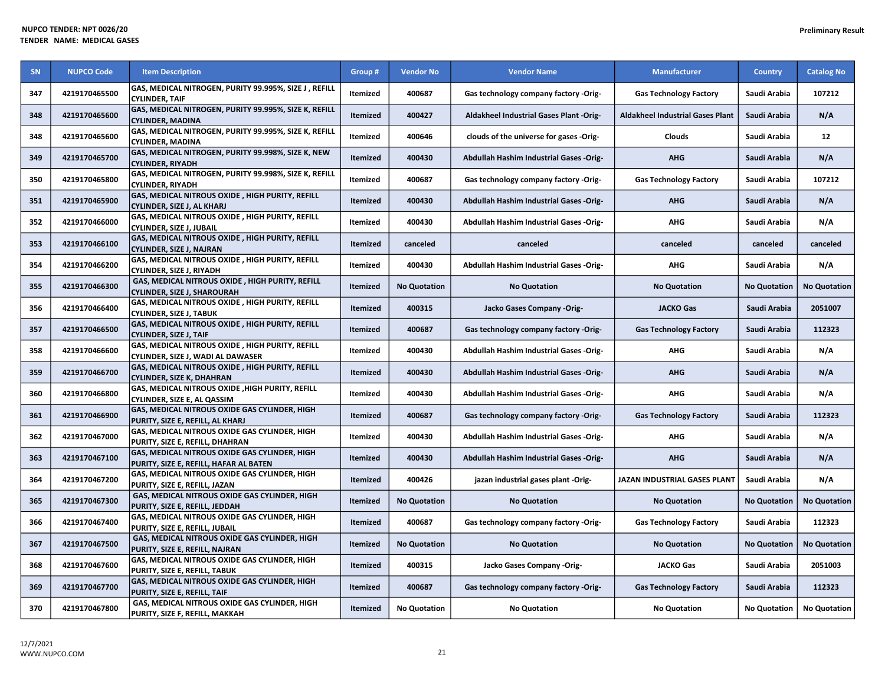| <b>SN</b> | <b>NUPCO Code</b> | <b>Item Description</b>                                                                   | Group #         | <b>Vendor No</b>    | <b>Vendor Name</b>                             | <b>Manufacturer</b>                     | <b>Country</b>      | <b>Catalog No</b>   |
|-----------|-------------------|-------------------------------------------------------------------------------------------|-----------------|---------------------|------------------------------------------------|-----------------------------------------|---------------------|---------------------|
| 347       | 4219170465500     | GAS, MEDICAL NITROGEN, PURITY 99.995%, SIZE J, REFILL<br><b>CYLINDER, TAIF</b>            | Itemized        | 400687              | Gas technology company factory -Orig-          | <b>Gas Technology Factory</b>           | Saudi Arabia        | 107212              |
| 348       | 4219170465600     | GAS, MEDICAL NITROGEN, PURITY 99.995%, SIZE K, REFILL<br><b>CYLINDER, MADINA</b>          | Itemized        | 400427              | Aldakheel Industrial Gases Plant -Orig-        | <b>Aldakheel Industrial Gases Plant</b> | Saudi Arabia        | N/A                 |
| 348       | 4219170465600     | GAS, MEDICAL NITROGEN, PURITY 99.995%, SIZE K, REFILL<br><b>CYLINDER, MADINA</b>          | Itemized        | 400646              | clouds of the universe for gases -Orig-        | Clouds                                  | Saudi Arabia        | 12                  |
| 349       | 4219170465700     | GAS, MEDICAL NITROGEN, PURITY 99.998%, SIZE K, NEW<br><b>CYLINDER, RIYADH</b>             | Itemized        | 400430              | Abdullah Hashim Industrial Gases -Orig-        | <b>AHG</b>                              | Saudi Arabia        | N/A                 |
| 350       | 4219170465800     | GAS, MEDICAL NITROGEN, PURITY 99.998%, SIZE K, REFILL<br><b>CYLINDER, RIYADH</b>          | Itemized        | 400687              | Gas technology company factory -Orig-          | <b>Gas Technology Factory</b>           | Saudi Arabia        | 107212              |
| 351       | 4219170465900     | GAS, MEDICAL NITROUS OXIDE, HIGH PURITY, REFILL<br>CYLINDER, SIZE J, AL KHARJ             | Itemized        | 400430              | Abdullah Hashim Industrial Gases -Orig-        | <b>AHG</b>                              | Saudi Arabia        | N/A                 |
| 352       | 4219170466000     | GAS, MEDICAL NITROUS OXIDE, HIGH PURITY, REFILL<br>CYLINDER, SIZE J, JUBAIL               | Itemized        | 400430              | Abdullah Hashim Industrial Gases -Orig-        | AHG                                     | Saudi Arabia        | N/A                 |
| 353       | 4219170466100     | GAS, MEDICAL NITROUS OXIDE, HIGH PURITY, REFILL<br><b>CYLINDER, SIZE J, NAJRAN</b>        | <b>Itemized</b> | canceled            | canceled                                       | canceled                                | canceled            | canceled            |
| 354       | 4219170466200     | GAS, MEDICAL NITROUS OXIDE, HIGH PURITY, REFILL<br>CYLINDER, SIZE J, RIYADH               | Itemized        | 400430              | <b>Abdullah Hashim Industrial Gases -Orig-</b> | AHG                                     | Saudi Arabia        | N/A                 |
| 355       | 4219170466300     | GAS, MEDICAL NITROUS OXIDE, HIGH PURITY, REFILL<br><b>CYLINDER, SIZE J, SHAROURAH</b>     | <b>Itemized</b> | <b>No Quotation</b> | <b>No Quotation</b>                            | <b>No Quotation</b>                     | <b>No Quotation</b> | <b>No Quotation</b> |
| 356       | 4219170466400     | <b>GAS, MEDICAL NITROUS OXIDE , HIGH PURITY, REFILL</b><br><b>CYLINDER, SIZE J, TABUK</b> | Itemized        | 400315              | Jacko Gases Company -Orig-                     | <b>JACKO Gas</b>                        | Saudi Arabia        | 2051007             |
| 357       | 4219170466500     | GAS, MEDICAL NITROUS OXIDE, HIGH PURITY, REFILL<br><b>CYLINDER, SIZE J, TAIF</b>          | Itemized        | 400687              | Gas technology company factory -Orig-          | <b>Gas Technology Factory</b>           | Saudi Arabia        | 112323              |
| 358       | 4219170466600     | GAS, MEDICAL NITROUS OXIDE, HIGH PURITY, REFILL<br>CYLINDER, SIZE J, WADI AL DAWASER      | Itemized        | 400430              | Abdullah Hashim Industrial Gases -Orig-        | AHG                                     | Saudi Arabia        | N/A                 |
| 359       | 4219170466700     | GAS, MEDICAL NITROUS OXIDE, HIGH PURITY, REFILL<br><b>CYLINDER, SIZE K, DHAHRAN</b>       | <b>Itemized</b> | 400430              | <b>Abdullah Hashim Industrial Gases -Orig-</b> | <b>AHG</b>                              | Saudi Arabia        | N/A                 |
| 360       | 4219170466800     | GAS, MEDICAL NITROUS OXIDE , HIGH PURITY, REFILL<br>CYLINDER, SIZE E, AL QASSIM           | Itemized        | 400430              | Abdullah Hashim Industrial Gases -Orig-        | AHG                                     | Saudi Arabia        | N/A                 |
| 361       | 4219170466900     | GAS, MEDICAL NITROUS OXIDE GAS CYLINDER, HIGH<br>PURITY, SIZE E, REFILL, AL KHARJ         | Itemized        | 400687              | Gas technology company factory -Orig-          | <b>Gas Technology Factory</b>           | Saudi Arabia        | 112323              |
| 362       | 4219170467000     | GAS, MEDICAL NITROUS OXIDE GAS CYLINDER, HIGH<br>PURITY, SIZE E, REFILL, DHAHRAN          | Itemized        | 400430              | Abdullah Hashim Industrial Gases -Orig-        | <b>AHG</b>                              | Saudi Arabia        | N/A                 |
| 363       | 4219170467100     | GAS, MEDICAL NITROUS OXIDE GAS CYLINDER, HIGH<br>PURITY, SIZE E, REFILL, HAFAR AL BATEN   | Itemized        | 400430              | Abdullah Hashim Industrial Gases -Orig-        | <b>AHG</b>                              | Saudi Arabia        | N/A                 |
| 364       | 4219170467200     | GAS, MEDICAL NITROUS OXIDE GAS CYLINDER, HIGH<br>PURITY, SIZE E, REFILL, JAZAN            | <b>Itemized</b> | 400426              | jazan industrial gases plant -Orig-            | JAZAN INDUSTRIAL GASES PLANT            | Saudi Arabia        | N/A                 |
| 365       | 4219170467300     | GAS, MEDICAL NITROUS OXIDE GAS CYLINDER, HIGH<br>PURITY, SIZE E, REFILL, JEDDAH           | Itemized        | <b>No Quotation</b> | <b>No Quotation</b>                            | <b>No Quotation</b>                     | <b>No Quotation</b> | <b>No Quotation</b> |
| 366       | 4219170467400     | GAS, MEDICAL NITROUS OXIDE GAS CYLINDER, HIGH<br>PURITY, SIZE E. REFILL, JUBAIL           | <b>Itemized</b> | 400687              | Gas technology company factory -Orig-          | <b>Gas Technology Factory</b>           | Saudi Arabia        | 112323              |
| 367       | 4219170467500     | GAS, MEDICAL NITROUS OXIDE GAS CYLINDER, HIGH<br>PURITY, SIZE E, REFILL, NAJRAN           | Itemized        | <b>No Quotation</b> | <b>No Quotation</b>                            | <b>No Quotation</b>                     | <b>No Quotation</b> | <b>No Quotation</b> |
| 368       | 4219170467600     | GAS, MEDICAL NITROUS OXIDE GAS CYLINDER, HIGH<br>PURITY, SIZE E, REFILL, TABUK            | Itemized        | 400315              | Jacko Gases Company -Orig-                     | <b>JACKO Gas</b>                        | Saudi Arabia        | 2051003             |
| 369       | 4219170467700     | GAS, MEDICAL NITROUS OXIDE GAS CYLINDER, HIGH<br>PURITY, SIZE E, REFILL, TAIF             | <b>Itemized</b> | 400687              | Gas technology company factory -Orig-          | <b>Gas Technology Factory</b>           | Saudi Arabia        | 112323              |
| 370       | 4219170467800     | GAS, MEDICAL NITROUS OXIDE GAS CYLINDER, HIGH<br>PURITY, SIZE F, REFILL, MAKKAH           | Itemized        | <b>No Quotation</b> | <b>No Quotation</b>                            | <b>No Quotation</b>                     | <b>No Quotation</b> | <b>No Quotation</b> |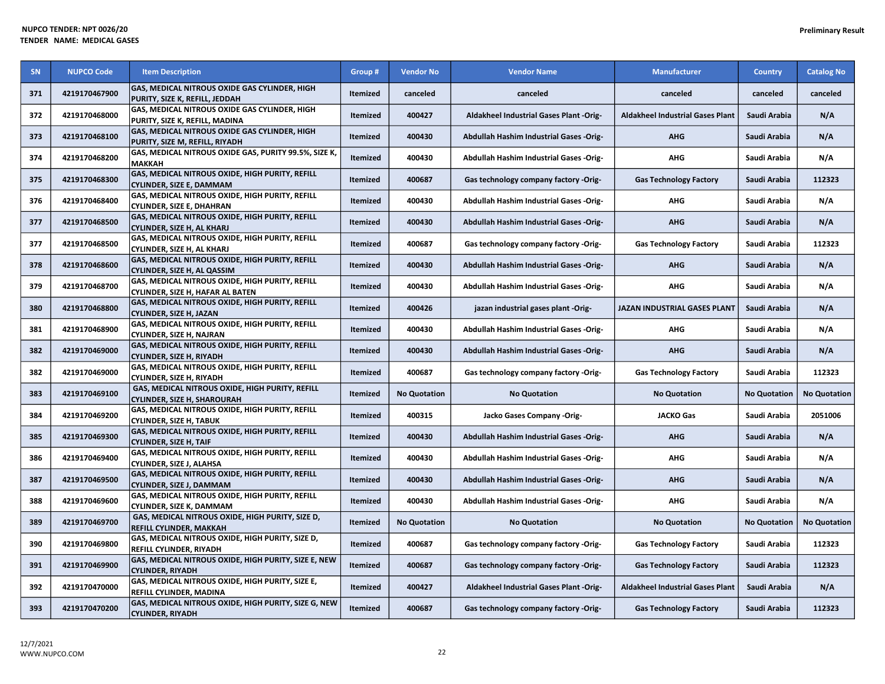| <b>SN</b> | <b>NUPCO Code</b> | <b>Item Description</b>                                                             | Group #         | <b>Vendor No</b>    | <b>Vendor Name</b>                             | <b>Manufacturer</b>                     | <b>Country</b>      | <b>Catalog No</b>   |
|-----------|-------------------|-------------------------------------------------------------------------------------|-----------------|---------------------|------------------------------------------------|-----------------------------------------|---------------------|---------------------|
| 371       | 4219170467900     | GAS, MEDICAL NITROUS OXIDE GAS CYLINDER, HIGH<br>PURITY, SIZE K, REFILL, JEDDAH     | <b>Itemized</b> | canceled            | canceled                                       | canceled                                | canceled            | canceled            |
| 372       | 4219170468000     | GAS, MEDICAL NITROUS OXIDE GAS CYLINDER, HIGH<br>PURITY, SIZE K, REFILL, MADINA     | <b>Itemized</b> | 400427              | Aldakheel Industrial Gases Plant -Orig-        | <b>Aldakheel Industrial Gases Plant</b> | Saudi Arabia        | N/A                 |
| 373       | 4219170468100     | GAS, MEDICAL NITROUS OXIDE GAS CYLINDER, HIGH<br>PURITY, SIZE M, REFILL, RIYADH     | <b>Itemized</b> | 400430              | Abdullah Hashim Industrial Gases -Orig-        | <b>AHG</b>                              | Saudi Arabia        | N/A                 |
| 374       | 4219170468200     | GAS, MEDICAL NITROUS OXIDE GAS, PURITY 99.5%, SIZE K,<br><b>MAKKAH</b>              | <b>Itemized</b> | 400430              | Abdullah Hashim Industrial Gases -Orig-        | <b>AHG</b>                              | Saudi Arabia        | N/A                 |
| 375       | 4219170468300     | GAS, MEDICAL NITROUS OXIDE, HIGH PURITY, REFILL<br>CYLINDER, SIZE E, DAMMAM         | Itemized        | 400687              | Gas technology company factory -Orig-          | <b>Gas Technology Factory</b>           | Saudi Arabia        | 112323              |
| 376       | 4219170468400     | GAS, MEDICAL NITROUS OXIDE, HIGH PURITY, REFILL<br>CYLINDER, SIZE E, DHAHRAN        | <b>Itemized</b> | 400430              | Abdullah Hashim Industrial Gases -Orig-        | <b>AHG</b>                              | Saudi Arabia        | N/A                 |
| 377       | 4219170468500     | GAS, MEDICAL NITROUS OXIDE, HIGH PURITY, REFILL<br>CYLINDER, SIZE H, AL KHARJ       | Itemized        | 400430              | <b>Abdullah Hashim Industrial Gases -Orig-</b> | <b>AHG</b>                              | Saudi Arabia        | N/A                 |
| 377       | 4219170468500     | GAS, MEDICAL NITROUS OXIDE, HIGH PURITY, REFILL<br>CYLINDER, SIZE H, AL KHARJ       | <b>Itemized</b> | 400687              | Gas technology company factory -Orig-          | <b>Gas Technology Factory</b>           | Saudi Arabia        | 112323              |
| 378       | 4219170468600     | GAS, MEDICAL NITROUS OXIDE, HIGH PURITY, REFILL<br>CYLINDER, SIZE H, AL QASSIM      | Itemized        | 400430              | <b>Abdullah Hashim Industrial Gases -Orig-</b> | <b>AHG</b>                              | Saudi Arabia        | N/A                 |
| 379       | 4219170468700     | GAS, MEDICAL NITROUS OXIDE, HIGH PURITY, REFILL<br>CYLINDER, SIZE H, HAFAR AL BATEN | <b>Itemized</b> | 400430              | <b>Abdullah Hashim Industrial Gases -Orig-</b> | <b>AHG</b>                              | Saudi Arabia        | N/A                 |
| 380       | 4219170468800     | GAS, MEDICAL NITROUS OXIDE, HIGH PURITY, REFILL<br>CYLINDER, SIZE H, JAZAN          | <b>Itemized</b> | 400426              | jazan industrial gases plant -Orig-            | JAZAN INDUSTRIAL GASES PLANT            | Saudi Arabia        | N/A                 |
| 381       | 4219170468900     | GAS, MEDICAL NITROUS OXIDE, HIGH PURITY, REFILL<br>CYLINDER, SIZE H, NAJRAN         | <b>Itemized</b> | 400430              | Abdullah Hashim Industrial Gases -Orig-        | <b>AHG</b>                              | Saudi Arabia        | N/A                 |
| 382       | 4219170469000     | GAS, MEDICAL NITROUS OXIDE, HIGH PURITY, REFILL<br>CYLINDER, SIZE H, RIYADH         | <b>Itemized</b> | 400430              | Abdullah Hashim Industrial Gases -Orig-        | <b>AHG</b>                              | Saudi Arabia        | N/A                 |
| 382       | 4219170469000     | GAS, MEDICAL NITROUS OXIDE, HIGH PURITY, REFILL<br>CYLINDER, SIZE H, RIYADH         | <b>Itemized</b> | 400687              | Gas technology company factory -Orig-          | <b>Gas Technology Factory</b>           | Saudi Arabia        | 112323              |
| 383       | 4219170469100     | GAS, MEDICAL NITROUS OXIDE, HIGH PURITY, REFILL<br>CYLINDER, SIZE H, SHAROURAH      | <b>Itemized</b> | <b>No Quotation</b> | <b>No Quotation</b>                            | <b>No Quotation</b>                     | <b>No Quotation</b> | <b>No Quotation</b> |
| 384       | 4219170469200     | GAS, MEDICAL NITROUS OXIDE, HIGH PURITY, REFILL<br><b>CYLINDER, SIZE H, TABUK</b>   | Itemized        | 400315              | Jacko Gases Company -Orig-                     | <b>JACKO Gas</b>                        | Saudi Arabia        | 2051006             |
| 385       | 4219170469300     | GAS, MEDICAL NITROUS OXIDE, HIGH PURITY, REFILL<br>CYLINDER, SIZE H, TAIF           | <b>Itemized</b> | 400430              | Abdullah Hashim Industrial Gases -Orig-        | <b>AHG</b>                              | Saudi Arabia        | N/A                 |
| 386       | 4219170469400     | GAS, MEDICAL NITROUS OXIDE, HIGH PURITY, REFILL<br>CYLINDER, SIZE J, ALAHSA         | Itemized        | 400430              | Abdullah Hashim Industrial Gases -Orig-        | AHG                                     | Saudi Arabia        | N/A                 |
| 387       | 4219170469500     | GAS, MEDICAL NITROUS OXIDE, HIGH PURITY, REFILL<br>CYLINDER, SIZE J, DAMMAM         | Itemized        | 400430              | Abdullah Hashim Industrial Gases -Orig-        | <b>AHG</b>                              | Saudi Arabia        | N/A                 |
| 388       | 4219170469600     | GAS, MEDICAL NITROUS OXIDE, HIGH PURITY, REFILL<br>CYLINDER, SIZE K, DAMMAM         | Itemized        | 400430              | Abdullah Hashim Industrial Gases -Orig-        | <b>AHG</b>                              | Saudi Arabia        | N/A                 |
| 389       | 4219170469700     | GAS, MEDICAL NITROUS OXIDE, HIGH PURITY, SIZE D,<br><b>REFILL CYLINDER, MAKKAH</b>  | Itemized        | <b>No Quotation</b> | <b>No Quotation</b>                            | <b>No Quotation</b>                     | <b>No Quotation</b> | <b>No Quotation</b> |
| 390       | 4219170469800     | GAS, MEDICAL NITROUS OXIDE, HIGH PURITY, SIZE D,<br>REFILL CYLINDER, RIYADH         | Itemized        | 400687              | Gas technology company factory -Orig-          | <b>Gas Technology Factory</b>           | Saudi Arabia        | 112323              |
| 391       | 4219170469900     | GAS, MEDICAL NITROUS OXIDE, HIGH PURITY, SIZE E, NEW<br><b>CYLINDER, RIYADH</b>     | <b>Itemized</b> | 400687              | Gas technology company factory -Orig-          | <b>Gas Technology Factory</b>           | Saudi Arabia        | 112323              |
| 392       | 4219170470000     | GAS, MEDICAL NITROUS OXIDE, HIGH PURITY, SIZE E,<br>REFILL CYLINDER, MADINA         | <b>Itemized</b> | 400427              | Aldakheel Industrial Gases Plant -Orig-        | <b>Aldakheel Industrial Gases Plant</b> | Saudi Arabia        | N/A                 |
| 393       | 4219170470200     | GAS, MEDICAL NITROUS OXIDE, HIGH PURITY, SIZE G, NEW<br><b>CYLINDER, RIYADH</b>     | <b>Itemized</b> | 400687              | Gas technology company factory -Orig-          | <b>Gas Technology Factory</b>           | Saudi Arabia        | 112323              |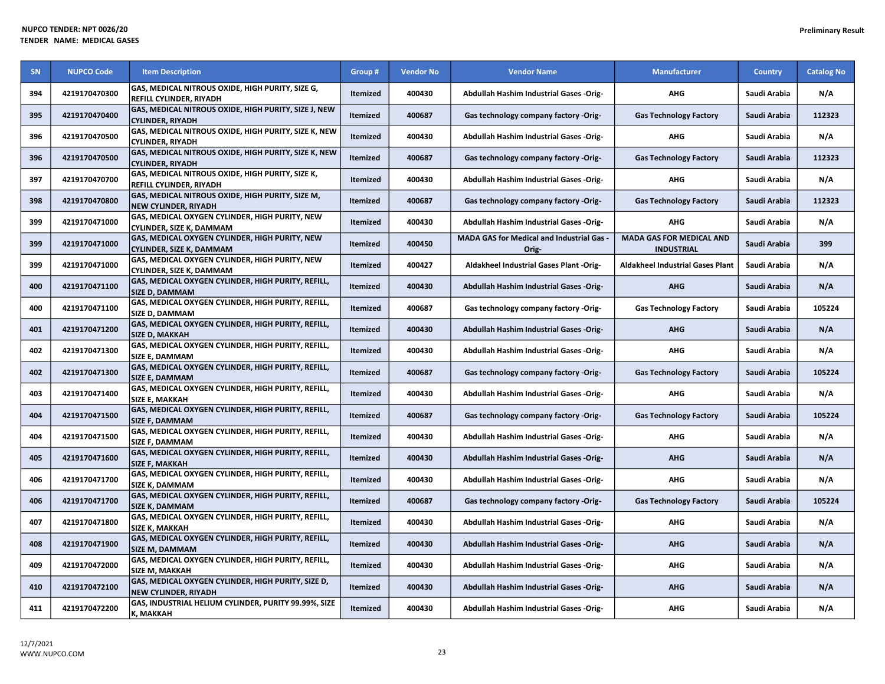| <b>SN</b> | <b>NUPCO Code</b> | <b>Item Description</b>                                                           | Group #         | <b>Vendor No</b> | <b>Vendor Name</b>                                        | <b>Manufacturer</b>                                  | <b>Country</b> | <b>Catalog No</b> |
|-----------|-------------------|-----------------------------------------------------------------------------------|-----------------|------------------|-----------------------------------------------------------|------------------------------------------------------|----------------|-------------------|
| 394       | 4219170470300     | GAS, MEDICAL NITROUS OXIDE, HIGH PURITY, SIZE G,<br>REFILL CYLINDER, RIYADH       | <b>Itemized</b> | 400430           | Abdullah Hashim Industrial Gases -Orig-                   | AHG                                                  | Saudi Arabia   | N/A               |
| 395       | 4219170470400     | GAS, MEDICAL NITROUS OXIDE, HIGH PURITY, SIZE J, NEW<br><b>CYLINDER, RIYADH</b>   | Itemized        | 400687           | Gas technology company factory -Orig-                     | <b>Gas Technology Factory</b>                        | Saudi Arabia   | 112323            |
| 396       | 4219170470500     | GAS, MEDICAL NITROUS OXIDE, HIGH PURITY, SIZE K, NEW<br><b>CYLINDER, RIYADH</b>   | <b>Itemized</b> | 400430           | Abdullah Hashim Industrial Gases -Orig-                   | AHG                                                  | Saudi Arabia   | N/A               |
| 396       | 4219170470500     | GAS, MEDICAL NITROUS OXIDE, HIGH PURITY, SIZE K, NEW<br><b>CYLINDER, RIYADH</b>   | <b>Itemized</b> | 400687           | Gas technology company factory -Orig-                     | <b>Gas Technology Factory</b>                        | Saudi Arabia   | 112323            |
| 397       | 4219170470700     | GAS, MEDICAL NITROUS OXIDE, HIGH PURITY, SIZE K,<br>REFILL CYLINDER, RIYADH       | Itemized        | 400430           | Abdullah Hashim Industrial Gases -Orig-                   | <b>AHG</b>                                           | Saudi Arabia   | N/A               |
| 398       | 4219170470800     | GAS, MEDICAL NITROUS OXIDE, HIGH PURITY, SIZE M,<br><b>NEW CYLINDER, RIYADH</b>   | <b>Itemized</b> | 400687           | Gas technology company factory -Orig-                     | <b>Gas Technology Factory</b>                        | Saudi Arabia   | 112323            |
| 399       | 4219170471000     | GAS, MEDICAL OXYGEN CYLINDER, HIGH PURITY, NEW<br>CYLINDER, SIZE K, DAMMAM        | <b>Itemized</b> | 400430           | Abdullah Hashim Industrial Gases -Orig-                   | <b>AHG</b>                                           | Saudi Arabia   | N/A               |
| 399       | 4219170471000     | GAS, MEDICAL OXYGEN CYLINDER, HIGH PURITY, NEW<br><b>CYLINDER, SIZE K, DAMMAM</b> | <b>Itemized</b> | 400450           | <b>MADA GAS for Medical and Industrial Gas -</b><br>Orig- | <b>MADA GAS FOR MEDICAL AND</b><br><b>INDUSTRIAL</b> | Saudi Arabia   | 399               |
| 399       | 4219170471000     | GAS, MEDICAL OXYGEN CYLINDER, HIGH PURITY, NEW<br>CYLINDER, SIZE K, DAMMAM        | <b>Itemized</b> | 400427           | Aldakheel Industrial Gases Plant -Orig-                   | <b>Aldakheel Industrial Gases Plant</b>              | Saudi Arabia   | N/A               |
| 400       | 4219170471100     | GAS, MEDICAL OXYGEN CYLINDER, HIGH PURITY, REFILL,<br><b>SIZE D. DAMMAM</b>       | <b>Itemized</b> | 400430           | Abdullah Hashim Industrial Gases -Orig-                   | <b>AHG</b>                                           | Saudi Arabia   | N/A               |
| 400       | 4219170471100     | GAS, MEDICAL OXYGEN CYLINDER, HIGH PURITY, REFILL,<br>SIZE D, DAMMAM              | <b>Itemized</b> | 400687           | Gas technology company factory -Orig-                     | <b>Gas Technology Factory</b>                        | Saudi Arabia   | 105224            |
| 401       | 4219170471200     | GAS, MEDICAL OXYGEN CYLINDER, HIGH PURITY, REFILL,<br><b>SIZE D, MAKKAH</b>       | <b>Itemized</b> | 400430           | Abdullah Hashim Industrial Gases -Orig-                   | <b>AHG</b>                                           | Saudi Arabia   | N/A               |
| 402       | 4219170471300     | GAS, MEDICAL OXYGEN CYLINDER, HIGH PURITY, REFILL,<br>SIZE E, DAMMAM              | <b>Itemized</b> | 400430           | Abdullah Hashim Industrial Gases -Orig-                   | <b>AHG</b>                                           | Saudi Arabia   | N/A               |
| 402       | 4219170471300     | GAS, MEDICAL OXYGEN CYLINDER, HIGH PURITY, REFILL,<br><b>SIZE E, DAMMAM</b>       | <b>Itemized</b> | 400687           | Gas technology company factory -Orig-                     | <b>Gas Technology Factory</b>                        | Saudi Arabia   | 105224            |
| 403       | 4219170471400     | GAS, MEDICAL OXYGEN CYLINDER, HIGH PURITY, REFILL,<br>SIZE E, MAKKAH              | <b>Itemized</b> | 400430           | <b>Abdullah Hashim Industrial Gases -Orig-</b>            | <b>AHG</b>                                           | Saudi Arabia   | N/A               |
| 404       | 4219170471500     | GAS, MEDICAL OXYGEN CYLINDER, HIGH PURITY, REFILL,<br><b>SIZE F, DAMMAM</b>       | Itemized        | 400687           | Gas technology company factory -Orig-                     | <b>Gas Technology Factory</b>                        | Saudi Arabia   | 105224            |
| 404       | 4219170471500     | GAS, MEDICAL OXYGEN CYLINDER, HIGH PURITY, REFILL,<br><b>SIZE F. DAMMAM</b>       | <b>Itemized</b> | 400430           | <b>Abdullah Hashim Industrial Gases -Orig-</b>            | <b>AHG</b>                                           | Saudi Arabia   | N/A               |
| 405       | 4219170471600     | GAS, MEDICAL OXYGEN CYLINDER, HIGH PURITY, REFILL,<br><b>SIZE F, MAKKAH</b>       | Itemized        | 400430           | Abdullah Hashim Industrial Gases -Orig-                   | <b>AHG</b>                                           | Saudi Arabia   | N/A               |
| 406       | 4219170471700     | GAS, MEDICAL OXYGEN CYLINDER, HIGH PURITY, REFILL,<br>SIZE K, DAMMAM              | <b>Itemized</b> | 400430           | Abdullah Hashim Industrial Gases -Orig-                   | AHG                                                  | Saudi Arabia   | N/A               |
| 406       | 4219170471700     | GAS, MEDICAL OXYGEN CYLINDER, HIGH PURITY, REFILL,<br><b>SIZE K, DAMMAM</b>       | <b>Itemized</b> | 400687           | Gas technology company factory -Orig-                     | <b>Gas Technology Factory</b>                        | Saudi Arabia   | 105224            |
| 407       | 4219170471800     | GAS, MEDICAL OXYGEN CYLINDER, HIGH PURITY, REFILL,<br>SIZE K, MAKKAH              | <b>Itemized</b> | 400430           | Abdullah Hashim Industrial Gases -Orig-                   | AHG                                                  | Saudi Arabia   | N/A               |
| 408       | 4219170471900     | GAS, MEDICAL OXYGEN CYLINDER, HIGH PURITY, REFILL,<br><b>SIZE M, DAMMAM</b>       | <b>Itemized</b> | 400430           | Abdullah Hashim Industrial Gases -Orig-                   | <b>AHG</b>                                           | Saudi Arabia   | N/A               |
| 409       | 4219170472000     | GAS, MEDICAL OXYGEN CYLINDER, HIGH PURITY, REFILL,<br><b>SIZE M, MAKKAH</b>       | Itemized        | 400430           | Abdullah Hashim Industrial Gases -Orig-                   | <b>AHG</b>                                           | Saudi Arabia   | N/A               |
| 410       | 4219170472100     | GAS, MEDICAL OXYGEN CYLINDER, HIGH PURITY, SIZE D,<br><b>NEW CYLINDER, RIYADH</b> | Itemized        | 400430           | Abdullah Hashim Industrial Gases -Orig-                   | <b>AHG</b>                                           | Saudi Arabia   | N/A               |
| 411       | 4219170472200     | GAS, INDUSTRIAL HELIUM CYLINDER, PURITY 99.99%, SIZE<br>K, MAKKAH                 | <b>Itemized</b> | 400430           | Abdullah Hashim Industrial Gases -Orig-                   | AHG                                                  | Saudi Arabia   | N/A               |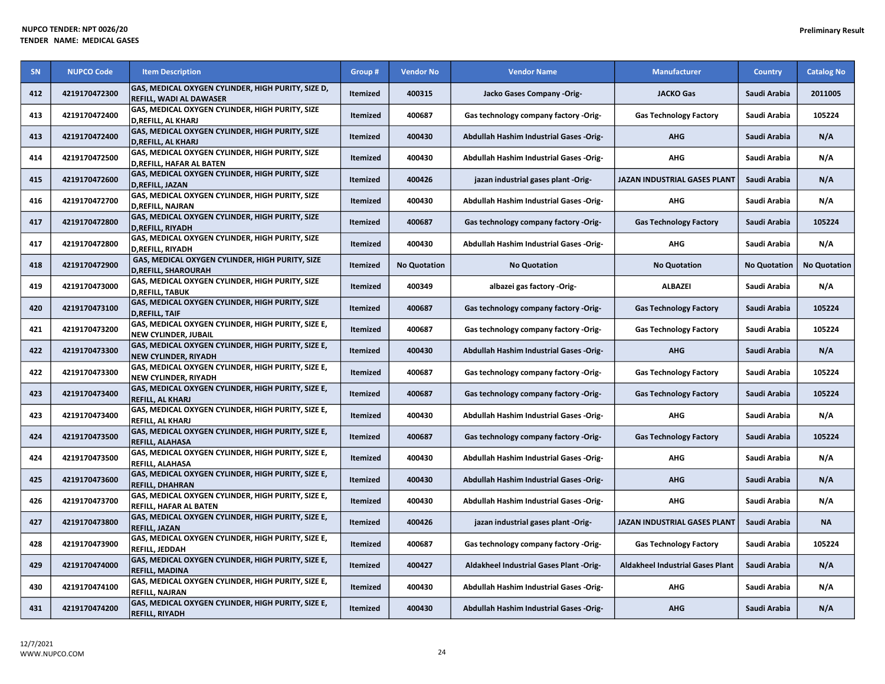| <b>SN</b> | <b>NUPCO Code</b> | <b>Item Description</b>                                                              | Group #         | <b>Vendor No</b>    | <b>Vendor Name</b>                      | <b>Manufacturer</b>                     | <b>Country</b>      | <b>Catalog No</b>   |
|-----------|-------------------|--------------------------------------------------------------------------------------|-----------------|---------------------|-----------------------------------------|-----------------------------------------|---------------------|---------------------|
| 412       | 4219170472300     | GAS, MEDICAL OXYGEN CYLINDER, HIGH PURITY, SIZE D,<br><b>REFILL, WADI AL DAWASER</b> | Itemized        | 400315              | Jacko Gases Company -Orig-              | <b>JACKO Gas</b>                        | Saudi Arabia        | 2011005             |
| 413       | 4219170472400     | GAS, MEDICAL OXYGEN CYLINDER, HIGH PURITY, SIZE<br>D, REFILL, AL KHARJ               | <b>Itemized</b> | 400687              | Gas technology company factory -Orig-   | <b>Gas Technology Factory</b>           | Saudi Arabia        | 105224              |
| 413       | 4219170472400     | GAS, MEDICAL OXYGEN CYLINDER, HIGH PURITY, SIZE<br><b>D, REFILL, AL KHARJ</b>        | <b>Itemized</b> | 400430              | Abdullah Hashim Industrial Gases -Orig- | <b>AHG</b>                              | Saudi Arabia        | N/A                 |
| 414       | 4219170472500     | GAS, MEDICAL OXYGEN CYLINDER, HIGH PURITY, SIZE<br><b>D, REFILL, HAFAR AL BATEN</b>  | <b>Itemized</b> | 400430              | Abdullah Hashim Industrial Gases -Orig- | <b>AHG</b>                              | Saudi Arabia        | N/A                 |
| 415       | 4219170472600     | GAS, MEDICAL OXYGEN CYLINDER, HIGH PURITY, SIZE<br>D, REFILL, JAZAN                  | Itemized        | 400426              | jazan industrial gases plant -Orig-     | JAZAN INDUSTRIAL GASES PLANT            | Saudi Arabia        | N/A                 |
| 416       | 4219170472700     | GAS, MEDICAL OXYGEN CYLINDER, HIGH PURITY, SIZE<br>D.REFILL. NAJRAN                  | <b>Itemized</b> | 400430              | Abdullah Hashim Industrial Gases -Orig- | <b>AHG</b>                              | Saudi Arabia        | N/A                 |
| 417       | 4219170472800     | GAS, MEDICAL OXYGEN CYLINDER, HIGH PURITY, SIZE<br>D, REFILL, RIYADH                 | Itemized        | 400687              | Gas technology company factory -Orig-   | <b>Gas Technology Factory</b>           | Saudi Arabia        | 105224              |
| 417       | 4219170472800     | GAS, MEDICAL OXYGEN CYLINDER, HIGH PURITY, SIZE<br>D,REFILL, RIYADH                  | <b>Itemized</b> | 400430              | Abdullah Hashim Industrial Gases -Orig- | <b>AHG</b>                              | Saudi Arabia        | N/A                 |
| 418       | 4219170472900     | GAS, MEDICAL OXYGEN CYLINDER, HIGH PURITY, SIZE<br><b>D,REFILL, SHAROURAH</b>        | Itemized        | <b>No Quotation</b> | <b>No Quotation</b>                     | <b>No Quotation</b>                     | <b>No Quotation</b> | <b>No Quotation</b> |
| 419       | 4219170473000     | GAS, MEDICAL OXYGEN CYLINDER, HIGH PURITY, SIZE<br><b>D,REFILL, TABUK</b>            | <b>Itemized</b> | 400349              | albazei gas factory -Orig-              | <b>ALBAZEI</b>                          | Saudi Arabia        | N/A                 |
| 420       | 4219170473100     | GAS, MEDICAL OXYGEN CYLINDER, HIGH PURITY, SIZE<br><b>D,REFILL, TAIF</b>             | Itemized        | 400687              | Gas technology company factory -Orig-   | <b>Gas Technology Factory</b>           | Saudi Arabia        | 105224              |
| 421       | 4219170473200     | GAS, MEDICAL OXYGEN CYLINDER, HIGH PURITY, SIZE E,<br>NEW CYLINDER, JUBAIL           | <b>Itemized</b> | 400687              | Gas technology company factory -Orig-   | <b>Gas Technology Factory</b>           | Saudi Arabia        | 105224              |
| 422       | 4219170473300     | GAS, MEDICAL OXYGEN CYLINDER, HIGH PURITY, SIZE E,<br>NEW CYLINDER, RIYADH           | Itemized        | 400430              | Abdullah Hashim Industrial Gases -Orig- | <b>AHG</b>                              | Saudi Arabia        | N/A                 |
| 422       | 4219170473300     | GAS, MEDICAL OXYGEN CYLINDER, HIGH PURITY, SIZE E,<br>NEW CYLINDER, RIYADH           | <b>Itemized</b> | 400687              | Gas technology company factory -Orig-   | <b>Gas Technology Factory</b>           | Saudi Arabia        | 105224              |
| 423       | 4219170473400     | GAS, MEDICAL OXYGEN CYLINDER, HIGH PURITY, SIZE E,<br>REFILL, AL KHARJ               | Itemized        | 400687              | Gas technology company factory -Orig-   | <b>Gas Technology Factory</b>           | Saudi Arabia        | 105224              |
| 423       | 4219170473400     | GAS, MEDICAL OXYGEN CYLINDER, HIGH PURITY, SIZE E,<br><b>REFILL, AL KHARJ</b>        | Itemized        | 400430              | Abdullah Hashim Industrial Gases -Orig- | AHG                                     | Saudi Arabia        | N/A                 |
| 424       | 4219170473500     | GAS, MEDICAL OXYGEN CYLINDER, HIGH PURITY, SIZE E,<br><b>REFILL, ALAHASA</b>         | Itemized        | 400687              | Gas technology company factory -Orig-   | <b>Gas Technology Factory</b>           | Saudi Arabia        | 105224              |
| 424       | 4219170473500     | GAS, MEDICAL OXYGEN CYLINDER, HIGH PURITY, SIZE E,<br><b>REFILL, ALAHASA</b>         | Itemized        | 400430              | Abdullah Hashim Industrial Gases -Orig- | AHG                                     | Saudi Arabia        | N/A                 |
| 425       | 4219170473600     | GAS, MEDICAL OXYGEN CYLINDER, HIGH PURITY, SIZE E,<br>REFILL, DHAHRAN                | Itemized        | 400430              | Abdullah Hashim Industrial Gases -Orig- | <b>AHG</b>                              | Saudi Arabia        | N/A                 |
| 426       | 4219170473700     | GAS, MEDICAL OXYGEN CYLINDER, HIGH PURITY, SIZE E,<br>REFILL, HAFAR AL BATEN         | Itemized        | 400430              | Abdullah Hashim Industrial Gases -Orig- | <b>AHG</b>                              | Saudi Arabia        | N/A                 |
| 427       | 4219170473800     | GAS, MEDICAL OXYGEN CYLINDER, HIGH PURITY, SIZE E,<br>REFILL, JAZAN                  | Itemized        | 400426              | jazan industrial gases plant -Orig-     | JAZAN INDUSTRIAL GASES PLANT            | Saudi Arabia        | <b>NA</b>           |
| 428       | 4219170473900     | GAS, MEDICAL OXYGEN CYLINDER, HIGH PURITY, SIZE E,<br>REFILL, JEDDAH                 | Itemized        | 400687              | Gas technology company factory -Orig-   | <b>Gas Technology Factory</b>           | Saudi Arabia        | 105224              |
| 429       | 4219170474000     | GAS, MEDICAL OXYGEN CYLINDER, HIGH PURITY, SIZE E,<br><b>REFILL, MADINA</b>          | <b>Itemized</b> | 400427              | Aldakheel Industrial Gases Plant -Orig- | <b>Aldakheel Industrial Gases Plant</b> | Saudi Arabia        | N/A                 |
| 430       | 4219170474100     | GAS, MEDICAL OXYGEN CYLINDER, HIGH PURITY, SIZE E,<br>REFILL, NAJRAN                 | <b>Itemized</b> | 400430              | Abdullah Hashim Industrial Gases -Orig- | <b>AHG</b>                              | Saudi Arabia        | N/A                 |
| 431       | 4219170474200     | GAS, MEDICAL OXYGEN CYLINDER, HIGH PURITY, SIZE E,<br><b>REFILL, RIYADH</b>          | Itemized        | 400430              | Abdullah Hashim Industrial Gases -Orig- | <b>AHG</b>                              | Saudi Arabia        | N/A                 |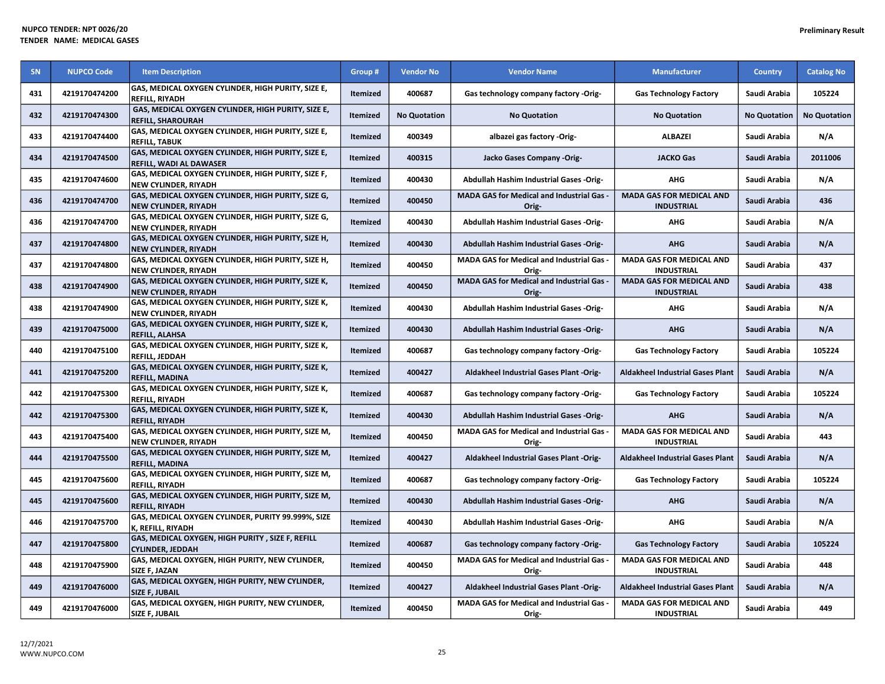| <b>SN</b> | <b>NUPCO Code</b> | <b>Item Description</b>                                                           | Group #         | <b>Vendor No</b>    | <b>Vendor Name</b>                                        | <b>Manufacturer</b>                                  | <b>Country</b>      | <b>Catalog No</b>   |
|-----------|-------------------|-----------------------------------------------------------------------------------|-----------------|---------------------|-----------------------------------------------------------|------------------------------------------------------|---------------------|---------------------|
| 431       | 4219170474200     | GAS, MEDICAL OXYGEN CYLINDER, HIGH PURITY, SIZE E,<br>REFILL, RIYADH              | <b>Itemized</b> | 400687              | Gas technology company factory -Orig-                     | <b>Gas Technology Factory</b>                        | Saudi Arabia        | 105224              |
| 432       | 4219170474300     | GAS, MEDICAL OXYGEN CYLINDER, HIGH PURITY, SIZE E,<br><b>REFILL, SHAROURAH</b>    | <b>Itemized</b> | <b>No Quotation</b> | <b>No Quotation</b>                                       | <b>No Quotation</b>                                  | <b>No Quotation</b> | <b>No Quotation</b> |
| 433       | 4219170474400     | GAS, MEDICAL OXYGEN CYLINDER, HIGH PURITY, SIZE E,<br><b>REFILL, TABUK</b>        | <b>Itemized</b> | 400349              | albazei gas factory -Orig-                                | <b>ALBAZEI</b>                                       | Saudi Arabia        | N/A                 |
| 434       | 4219170474500     | GAS, MEDICAL OXYGEN CYLINDER, HIGH PURITY, SIZE E,<br>REFILL, WADI AL DAWASER     | <b>Itemized</b> | 400315              | Jacko Gases Company -Orig-                                | <b>JACKO Gas</b>                                     | Saudi Arabia        | 2011006             |
| 435       | 4219170474600     | GAS, MEDICAL OXYGEN CYLINDER, HIGH PURITY, SIZE F,<br><b>NEW CYLINDER, RIYADH</b> | Itemized        | 400430              | <b>Abdullah Hashim Industrial Gases -Orig-</b>            | <b>AHG</b>                                           | Saudi Arabia        | N/A                 |
| 436       | 4219170474700     | GAS, MEDICAL OXYGEN CYLINDER, HIGH PURITY, SIZE G,<br><b>NEW CYLINDER, RIYADH</b> | <b>Itemized</b> | 400450              | <b>MADA GAS for Medical and Industrial Gas -</b><br>Orig- | <b>MADA GAS FOR MEDICAL AND</b><br><b>INDUSTRIAL</b> | Saudi Arabia        | 436                 |
| 436       | 4219170474700     | GAS, MEDICAL OXYGEN CYLINDER, HIGH PURITY, SIZE G,<br>NEW CYLINDER, RIYADH        | <b>Itemized</b> | 400430              | <b>Abdullah Hashim Industrial Gases -Orig-</b>            | AHG                                                  | Saudi Arabia        | N/A                 |
| 437       | 4219170474800     | GAS, MEDICAL OXYGEN CYLINDER, HIGH PURITY, SIZE H,<br><b>NEW CYLINDER, RIYADH</b> | <b>Itemized</b> | 400430              | Abdullah Hashim Industrial Gases -Orig-                   | <b>AHG</b>                                           | Saudi Arabia        | N/A                 |
| 437       | 4219170474800     | GAS, MEDICAL OXYGEN CYLINDER, HIGH PURITY, SIZE H,<br><b>NEW CYLINDER, RIYADH</b> | <b>Itemized</b> | 400450              | <b>MADA GAS for Medical and Industrial Gas -</b><br>Orig- | MADA GAS FOR MEDICAL AND<br><b>INDUSTRIAL</b>        | Saudi Arabia        | 437                 |
| 438       | 4219170474900     | GAS, MEDICAL OXYGEN CYLINDER, HIGH PURITY, SIZE K,<br><b>NEW CYLINDER, RIYADH</b> | <b>Itemized</b> | 400450              | MADA GAS for Medical and Industrial Gas -<br>Orig-        | <b>MADA GAS FOR MEDICAL AND</b><br><b>INDUSTRIAL</b> | Saudi Arabia        | 438                 |
| 438       | 4219170474900     | GAS, MEDICAL OXYGEN CYLINDER, HIGH PURITY, SIZE K,<br>NEW CYLINDER, RIYADH        | Itemized        | 400430              | Abdullah Hashim Industrial Gases -Orig-                   | AHG                                                  | Saudi Arabia        | N/A                 |
| 439       | 4219170475000     | GAS, MEDICAL OXYGEN CYLINDER, HIGH PURITY, SIZE K,<br>REFILL, ALAHSA              | Itemized        | 400430              | Abdullah Hashim Industrial Gases -Orig-                   | <b>AHG</b>                                           | Saudi Arabia        | N/A                 |
| 440       | 4219170475100     | GAS, MEDICAL OXYGEN CYLINDER, HIGH PURITY, SIZE K,<br>REFILL. JEDDAH              | <b>Itemized</b> | 400687              | Gas technology company factory -Orig-                     | <b>Gas Technology Factory</b>                        | Saudi Arabia        | 105224              |
| 441       | 4219170475200     | GAS, MEDICAL OXYGEN CYLINDER, HIGH PURITY, SIZE K,<br><b>REFILL, MADINA</b>       | Itemized        | 400427              | Aldakheel Industrial Gases Plant -Orig-                   | <b>Aldakheel Industrial Gases Plant</b>              | Saudi Arabia        | N/A                 |
| 442       | 4219170475300     | GAS, MEDICAL OXYGEN CYLINDER, HIGH PURITY, SIZE K,<br>REFILL, RIYADH              | <b>Itemized</b> | 400687              | Gas technology company factory -Orig-                     | <b>Gas Technology Factory</b>                        | Saudi Arabia        | 105224              |
| 442       | 4219170475300     | GAS, MEDICAL OXYGEN CYLINDER, HIGH PURITY, SIZE K,<br><b>REFILL, RIYADH</b>       | Itemized        | 400430              | Abdullah Hashim Industrial Gases -Orig-                   | <b>AHG</b>                                           | Saudi Arabia        | N/A                 |
| 443       | 4219170475400     | GAS, MEDICAL OXYGEN CYLINDER, HIGH PURITY, SIZE M,<br>NEW CYLINDER, RIYADH        | Itemized        | 400450              | <b>MADA GAS for Medical and Industrial Gas -</b><br>Orig- | <b>MADA GAS FOR MEDICAL AND</b><br><b>INDUSTRIAL</b> | Saudi Arabia        | 443                 |
| 444       | 4219170475500     | GAS, MEDICAL OXYGEN CYLINDER, HIGH PURITY, SIZE M,<br><b>REFILL, MADINA</b>       | Itemized        | 400427              | Aldakheel Industrial Gases Plant -Orig-                   | <b>Aldakheel Industrial Gases Plant</b>              | Saudi Arabia        | N/A                 |
| 445       | 4219170475600     | GAS, MEDICAL OXYGEN CYLINDER, HIGH PURITY, SIZE M,<br>REFILL, RIYADH              | Itemized        | 400687              | Gas technology company factory -Orig-                     | <b>Gas Technology Factory</b>                        | Saudi Arabia        | 105224              |
| 445       | 4219170475600     | GAS, MEDICAL OXYGEN CYLINDER, HIGH PURITY, SIZE M,<br><b>REFILL, RIYADH</b>       | <b>Itemized</b> | 400430              | Abdullah Hashim Industrial Gases -Orig-                   | <b>AHG</b>                                           | Saudi Arabia        | N/A                 |
| 446       | 4219170475700     | GAS, MEDICAL OXYGEN CYLINDER, PURITY 99.999%, SIZE<br>K. REFILL. RIYADH           | <b>Itemized</b> | 400430              | <b>Abdullah Hashim Industrial Gases -Orig-</b>            | <b>AHG</b>                                           | Saudi Arabia        | N/A                 |
| 447       | 4219170475800     | GAS, MEDICAL OXYGEN, HIGH PURITY, SIZE F, REFILL<br><b>CYLINDER, JEDDAH</b>       | Itemized        | 400687              | Gas technology company factory -Orig-                     | <b>Gas Technology Factory</b>                        | Saudi Arabia        | 105224              |
| 448       | 4219170475900     | GAS, MEDICAL OXYGEN, HIGH PURITY, NEW CYLINDER,<br>SIZE F, JAZAN                  | <b>Itemized</b> | 400450              | <b>MADA GAS for Medical and Industrial Gas -</b><br>Orig- | <b>MADA GAS FOR MEDICAL AND</b><br><b>INDUSTRIAL</b> | Saudi Arabia        | 448                 |
| 449       | 4219170476000     | GAS, MEDICAL OXYGEN, HIGH PURITY, NEW CYLINDER,<br><b>SIZE F, JUBAIL</b>          | <b>Itemized</b> | 400427              | Aldakheel Industrial Gases Plant -Orig-                   | <b>Aldakheel Industrial Gases Plant</b>              | Saudi Arabia        | N/A                 |
| 449       | 4219170476000     | GAS, MEDICAL OXYGEN, HIGH PURITY, NEW CYLINDER,<br><b>SIZE F, JUBAIL</b>          | <b>Itemized</b> | 400450              | MADA GAS for Medical and Industrial Gas -<br>Orig-        | <b>MADA GAS FOR MEDICAL AND</b><br><b>INDUSTRIAL</b> | Saudi Arabia        | 449                 |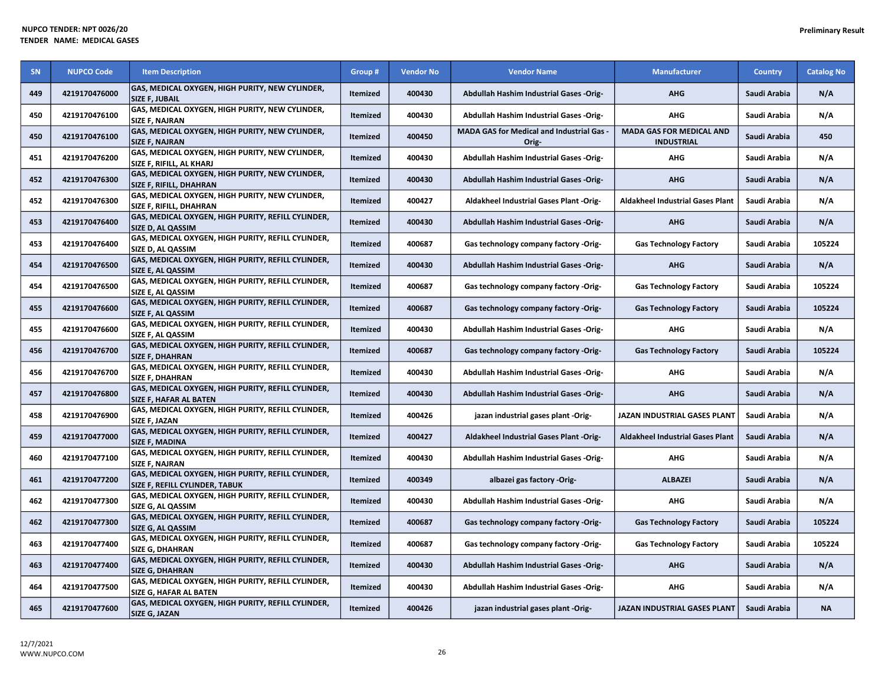| SN  | <b>NUPCO Code</b> | <b>Item Description</b>                                                              | Group #         | <b>Vendor No</b> | <b>Vendor Name</b>                                 | <b>Manufacturer</b>                                  | <b>Country</b> | <b>Catalog No</b> |
|-----|-------------------|--------------------------------------------------------------------------------------|-----------------|------------------|----------------------------------------------------|------------------------------------------------------|----------------|-------------------|
| 449 | 4219170476000     | GAS, MEDICAL OXYGEN, HIGH PURITY, NEW CYLINDER,<br><b>SIZE F, JUBAIL</b>             | Itemized        | 400430           | Abdullah Hashim Industrial Gases -Orig-            | <b>AHG</b>                                           | Saudi Arabia   | N/A               |
| 450 | 4219170476100     | GAS, MEDICAL OXYGEN, HIGH PURITY, NEW CYLINDER,<br><b>SIZE F, NAJRAN</b>             | <b>Itemized</b> | 400430           | Abdullah Hashim Industrial Gases -Orig-            | AHG                                                  | Saudi Arabia   | N/A               |
| 450 | 4219170476100     | GAS, MEDICAL OXYGEN, HIGH PURITY, NEW CYLINDER,<br><b>SIZE F, NAJRAN</b>             | Itemized        | 400450           | MADA GAS for Medical and Industrial Gas -<br>Orig- | <b>MADA GAS FOR MEDICAL AND</b><br><b>INDUSTRIAL</b> | Saudi Arabia   | 450               |
| 451 | 4219170476200     | GAS, MEDICAL OXYGEN, HIGH PURITY, NEW CYLINDER,<br>SIZE F, RIFILL, AL KHARJ          | <b>Itemized</b> | 400430           | Abdullah Hashim Industrial Gases -Orig-            | AHG                                                  | Saudi Arabia   | N/A               |
| 452 | 4219170476300     | GAS, MEDICAL OXYGEN, HIGH PURITY, NEW CYLINDER,<br>SIZE F, RIFILL, DHAHRAN           | <b>Itemized</b> | 400430           | Abdullah Hashim Industrial Gases -Orig-            | <b>AHG</b>                                           | Saudi Arabia   | N/A               |
| 452 | 4219170476300     | GAS, MEDICAL OXYGEN, HIGH PURITY, NEW CYLINDER,<br>SIZE F, RIFILL, DHAHRAN           | <b>Itemized</b> | 400427           | Aldakheel Industrial Gases Plant -Orig-            | <b>Aldakheel Industrial Gases Plant</b>              | Saudi Arabia   | N/A               |
| 453 | 4219170476400     | GAS, MEDICAL OXYGEN, HIGH PURITY, REFILL CYLINDER,<br>SIZE D, AL QASSIM              | Itemized        | 400430           | Abdullah Hashim Industrial Gases -Orig-            | <b>AHG</b>                                           | Saudi Arabia   | N/A               |
| 453 | 4219170476400     | GAS, MEDICAL OXYGEN, HIGH PURITY, REFILL CYLINDER,<br>SIZE D, AL QASSIM              | Itemized        | 400687           | Gas technology company factory -Orig-              | <b>Gas Technology Factory</b>                        | Saudi Arabia   | 105224            |
| 454 | 4219170476500     | GAS, MEDICAL OXYGEN, HIGH PURITY, REFILL CYLINDER,<br>SIZE E, AL QASSIM              | Itemized        | 400430           | Abdullah Hashim Industrial Gases -Orig-            | <b>AHG</b>                                           | Saudi Arabia   | N/A               |
| 454 | 4219170476500     | GAS, MEDICAL OXYGEN, HIGH PURITY, REFILL CYLINDER,<br>SIZE E, AL QASSIM              | Itemized        | 400687           | Gas technology company factory -Orig-              | <b>Gas Technology Factory</b>                        | Saudi Arabia   | 105224            |
| 455 | 4219170476600     | GAS, MEDICAL OXYGEN, HIGH PURITY, REFILL CYLINDER,<br>SIZE F, AL QASSIM              | Itemized        | 400687           | Gas technology company factory -Orig-              | <b>Gas Technology Factory</b>                        | Saudi Arabia   | 105224            |
| 455 | 4219170476600     | GAS, MEDICAL OXYGEN, HIGH PURITY, REFILL CYLINDER,<br>SIZE F, AL QASSIM              | <b>Itemized</b> | 400430           | Abdullah Hashim Industrial Gases -Orig-            | AHG                                                  | Saudi Arabia   | N/A               |
| 456 | 4219170476700     | GAS, MEDICAL OXYGEN, HIGH PURITY, REFILL CYLINDER,<br><b>SIZE F. DHAHRAN</b>         | Itemized        | 400687           | Gas technology company factory -Orig-              | <b>Gas Technology Factory</b>                        | Saudi Arabia   | 105224            |
| 456 | 4219170476700     | GAS, MEDICAL OXYGEN, HIGH PURITY, REFILL CYLINDER,<br><b>SIZE F, DHAHRAN</b>         | <b>Itemized</b> | 400430           | Abdullah Hashim Industrial Gases -Orig-            | <b>AHG</b>                                           | Saudi Arabia   | N/A               |
| 457 | 4219170476800     | GAS, MEDICAL OXYGEN, HIGH PURITY, REFILL CYLINDER,<br><b>SIZE F, HAFAR AL BATEN</b>  | Itemized        | 400430           | Abdullah Hashim Industrial Gases -Orig-            | <b>AHG</b>                                           | Saudi Arabia   | N/A               |
| 458 | 4219170476900     | GAS, MEDICAL OXYGEN, HIGH PURITY, REFILL CYLINDER,<br><b>SIZE F, JAZAN</b>           | Itemized        | 400426           | jazan industrial gases plant -Orig-                | JAZAN INDUSTRIAL GASES PLANT                         | Saudi Arabia   | N/A               |
| 459 | 4219170477000     | GAS, MEDICAL OXYGEN, HIGH PURITY, REFILL CYLINDER,<br><b>SIZE F, MADINA</b>          | Itemized        | 400427           | <b>Aldakheel Industrial Gases Plant -Orig-</b>     | <b>Aldakheel Industrial Gases Plant</b>              | Saudi Arabia   | N/A               |
| 460 | 4219170477100     | GAS, MEDICAL OXYGEN, HIGH PURITY, REFILL CYLINDER,<br><b>SIZE F, NAJRAN</b>          | Itemized        | 400430           | Abdullah Hashim Industrial Gases -Orig-            | <b>AHG</b>                                           | Saudi Arabia   | N/A               |
| 461 | 4219170477200     | GAS, MEDICAL OXYGEN, HIGH PURITY, REFILL CYLINDER,<br>SIZE F, REFILL CYLINDER, TABUK | Itemized        | 400349           | albazei gas factory -Orig-                         | <b>ALBAZEI</b>                                       | Saudi Arabia   | N/A               |
| 462 | 4219170477300     | GAS, MEDICAL OXYGEN, HIGH PURITY, REFILL CYLINDER,<br>SIZE G, AL QASSIM              | <b>Itemized</b> | 400430           | Abdullah Hashim Industrial Gases -Orig-            | <b>AHG</b>                                           | Saudi Arabia   | N/A               |
| 462 | 4219170477300     | GAS, MEDICAL OXYGEN, HIGH PURITY, REFILL CYLINDER,<br>SIZE G, AL QASSIM              | Itemized        | 400687           | Gas technology company factory -Orig-              | <b>Gas Technology Factory</b>                        | Saudi Arabia   | 105224            |
| 463 | 4219170477400     | GAS, MEDICAL OXYGEN, HIGH PURITY, REFILL CYLINDER,<br><b>SIZE G, DHAHRAN</b>         | <b>Itemized</b> | 400687           | Gas technology company factory -Orig-              | <b>Gas Technology Factory</b>                        | Saudi Arabia   | 105224            |
| 463 | 4219170477400     | GAS, MEDICAL OXYGEN, HIGH PURITY, REFILL CYLINDER,<br><b>SIZE G. DHAHRAN</b>         | Itemized        | 400430           | Abdullah Hashim Industrial Gases -Orig-            | <b>AHG</b>                                           | Saudi Arabia   | N/A               |
| 464 | 4219170477500     | GAS, MEDICAL OXYGEN, HIGH PURITY, REFILL CYLINDER,<br>SIZE G, HAFAR AL BATEN         | Itemized        | 400430           | Abdullah Hashim Industrial Gases -Orig-            | <b>AHG</b>                                           | Saudi Arabia   | N/A               |
| 465 | 4219170477600     | GAS, MEDICAL OXYGEN, HIGH PURITY, REFILL CYLINDER,<br>SIZE G, JAZAN                  | Itemized        | 400426           | jazan industrial gases plant -Orig-                | JAZAN INDUSTRIAL GASES PLANT                         | Saudi Arabia   | <b>NA</b>         |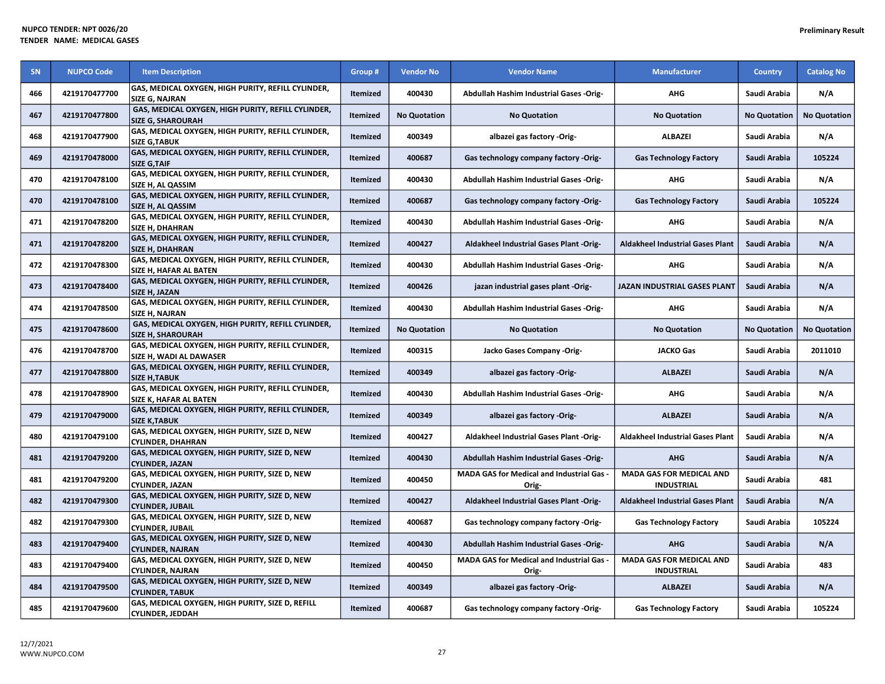| SN  | <b>NUPCO Code</b> | <b>Item Description</b>                                                             | Group #         | <b>Vendor No</b>    | <b>Vendor Name</b>                                 | <b>Manufacturer</b>                                  | <b>Country</b>      | <b>Catalog No</b>   |
|-----|-------------------|-------------------------------------------------------------------------------------|-----------------|---------------------|----------------------------------------------------|------------------------------------------------------|---------------------|---------------------|
| 466 | 4219170477700     | GAS, MEDICAL OXYGEN, HIGH PURITY, REFILL CYLINDER,<br><b>SIZE G, NAJRAN</b>         | <b>Itemized</b> | 400430              | Abdullah Hashim Industrial Gases -Orig-            | <b>AHG</b>                                           | Saudi Arabia        | N/A                 |
| 467 | 4219170477800     | GAS, MEDICAL OXYGEN, HIGH PURITY, REFILL CYLINDER,<br><b>SIZE G, SHAROURAH</b>      | <b>Itemized</b> | <b>No Quotation</b> | <b>No Quotation</b>                                | <b>No Quotation</b>                                  | <b>No Quotation</b> | <b>No Quotation</b> |
| 468 | 4219170477900     | GAS, MEDICAL OXYGEN, HIGH PURITY, REFILL CYLINDER,<br><b>SIZE G,TABUK</b>           | <b>Itemized</b> | 400349              | albazei gas factory -Orig-                         | <b>ALBAZEI</b>                                       | Saudi Arabia        | N/A                 |
| 469 | 4219170478000     | GAS, MEDICAL OXYGEN, HIGH PURITY, REFILL CYLINDER,<br><b>SIZE G.TAIF</b>            | <b>Itemized</b> | 400687              | Gas technology company factory -Orig-              | <b>Gas Technology Factory</b>                        | Saudi Arabia        | 105224              |
| 470 | 4219170478100     | GAS, MEDICAL OXYGEN, HIGH PURITY, REFILL CYLINDER,<br>SIZE H, AL QASSIM             | <b>Itemized</b> | 400430              | Abdullah Hashim Industrial Gases -Orig-            | <b>AHG</b>                                           | Saudi Arabia        | N/A                 |
| 470 | 4219170478100     | GAS, MEDICAL OXYGEN, HIGH PURITY, REFILL CYLINDER,<br>SIZE H, AL QASSIM             | <b>Itemized</b> | 400687              | Gas technology company factory -Orig-              | <b>Gas Technology Factory</b>                        | Saudi Arabia        | 105224              |
| 471 | 4219170478200     | GAS, MEDICAL OXYGEN, HIGH PURITY, REFILL CYLINDER,<br>SIZE H, DHAHRAN               | <b>Itemized</b> | 400430              | Abdullah Hashim Industrial Gases -Orig-            | <b>AHG</b>                                           | Saudi Arabia        | N/A                 |
| 471 | 4219170478200     | GAS, MEDICAL OXYGEN, HIGH PURITY, REFILL CYLINDER,<br><b>SIZE H, DHAHRAN</b>        | Itemized        | 400427              | Aldakheel Industrial Gases Plant -Orig-            | <b>Aldakheel Industrial Gases Plant</b>              | Saudi Arabia        | N/A                 |
| 472 | 4219170478300     | GAS, MEDICAL OXYGEN, HIGH PURITY, REFILL CYLINDER,<br><b>SIZE H. HAFAR AL BATEN</b> | <b>Itemized</b> | 400430              | Abdullah Hashim Industrial Gases -Orig-            | <b>AHG</b>                                           | Saudi Arabia        | N/A                 |
| 473 | 4219170478400     | GAS, MEDICAL OXYGEN, HIGH PURITY, REFILL CYLINDER,<br>SIZE H, JAZAN                 | Itemized        | 400426              | jazan industrial gases plant -Orig-                | JAZAN INDUSTRIAL GASES PLANT                         | Saudi Arabia        | N/A                 |
| 474 | 4219170478500     | GAS, MEDICAL OXYGEN, HIGH PURITY, REFILL CYLINDER,<br>SIZE H, NAJRAN                | Itemized        | 400430              | Abdullah Hashim Industrial Gases -Orig-            | <b>AHG</b>                                           | Saudi Arabia        | N/A                 |
| 475 | 4219170478600     | GAS, MEDICAL OXYGEN, HIGH PURITY, REFILL CYLINDER,<br><b>SIZE H, SHAROURAH</b>      | Itemized        | <b>No Quotation</b> | <b>No Quotation</b>                                | <b>No Quotation</b>                                  | <b>No Quotation</b> | <b>No Quotation</b> |
| 476 | 4219170478700     | GAS, MEDICAL OXYGEN, HIGH PURITY, REFILL CYLINDER,<br>SIZE H, WADI AL DAWASER       | <b>Itemized</b> | 400315              | Jacko Gases Company -Orig-                         | <b>JACKO Gas</b>                                     | Saudi Arabia        | 2011010             |
| 477 | 4219170478800     | GAS, MEDICAL OXYGEN, HIGH PURITY, REFILL CYLINDER,<br><b>SIZE H, TABUK</b>          | <b>Itemized</b> | 400349              | albazei gas factory -Orig-                         | <b>ALBAZEI</b>                                       | Saudi Arabia        | N/A                 |
| 478 | 4219170478900     | GAS, MEDICAL OXYGEN, HIGH PURITY, REFILL CYLINDER,<br>SIZE K, HAFAR AL BATEN        | <b>Itemized</b> | 400430              | Abdullah Hashim Industrial Gases -Orig-            | AHG                                                  | Saudi Arabia        | N/A                 |
| 479 | 4219170479000     | GAS, MEDICAL OXYGEN, HIGH PURITY, REFILL CYLINDER,<br><b>SIZE K.TABUK</b>           | <b>Itemized</b> | 400349              | albazei gas factory -Orig-                         | <b>ALBAZEI</b>                                       | Saudi Arabia        | N/A                 |
| 480 | 4219170479100     | GAS, MEDICAL OXYGEN, HIGH PURITY, SIZE D, NEW<br><b>CYLINDER, DHAHRAN</b>           | <b>Itemized</b> | 400427              | Aldakheel Industrial Gases Plant -Orig-            | <b>Aldakheel Industrial Gases Plant</b>              | Saudi Arabia        | N/A                 |
| 481 | 4219170479200     | <b>GAS, MEDICAL OXYGEN, HIGH PURITY, SIZE D, NEW</b><br><b>CYLINDER, JAZAN</b>      | Itemized        | 400430              | Abdullah Hashim Industrial Gases -Orig-            | <b>AHG</b>                                           | Saudi Arabia        | N/A                 |
| 481 | 4219170479200     | GAS, MEDICAL OXYGEN, HIGH PURITY, SIZE D, NEW<br><b>CYLINDER, JAZAN</b>             | <b>Itemized</b> | 400450              | MADA GAS for Medical and Industrial Gas -<br>Orig- | <b>MADA GAS FOR MEDICAL AND</b><br><b>INDUSTRIAL</b> | Saudi Arabia        | 481                 |
| 482 | 4219170479300     | GAS, MEDICAL OXYGEN, HIGH PURITY, SIZE D, NEW<br><b>CYLINDER, JUBAIL</b>            | <b>Itemized</b> | 400427              | Aldakheel Industrial Gases Plant -Orig-            | Aldakheel Industrial Gases Plant                     | Saudi Arabia        | N/A                 |
| 482 | 4219170479300     | GAS, MEDICAL OXYGEN, HIGH PURITY, SIZE D, NEW<br><b>CYLINDER, JUBAIL</b>            | <b>Itemized</b> | 400687              | Gas technology company factory -Orig-              | <b>Gas Technology Factory</b>                        | Saudi Arabia        | 105224              |
| 483 | 4219170479400     | GAS, MEDICAL OXYGEN, HIGH PURITY, SIZE D, NEW<br><b>CYLINDER, NAJRAN</b>            | <b>Itemized</b> | 400430              | Abdullah Hashim Industrial Gases -Orig-            | <b>AHG</b>                                           | Saudi Arabia        | N/A                 |
| 483 | 4219170479400     | GAS, MEDICAL OXYGEN, HIGH PURITY, SIZE D, NEW<br><b>CYLINDER, NAJRAN</b>            | <b>Itemized</b> | 400450              | MADA GAS for Medical and Industrial Gas -<br>Orig- | <b>MADA GAS FOR MEDICAL AND</b><br><b>INDUSTRIAL</b> | Saudi Arabia        | 483                 |
| 484 | 4219170479500     | GAS, MEDICAL OXYGEN, HIGH PURITY, SIZE D, NEW<br><b>CYLINDER, TABUK</b>             | Itemized        | 400349              | albazei gas factory -Orig-                         | <b>ALBAZEI</b>                                       | Saudi Arabia        | N/A                 |
| 485 | 4219170479600     | GAS, MEDICAL OXYGEN, HIGH PURITY, SIZE D, REFILL<br><b>CYLINDER, JEDDAH</b>         | <b>Itemized</b> | 400687              | Gas technology company factory -Orig-              | <b>Gas Technology Factory</b>                        | Saudi Arabia        | 105224              |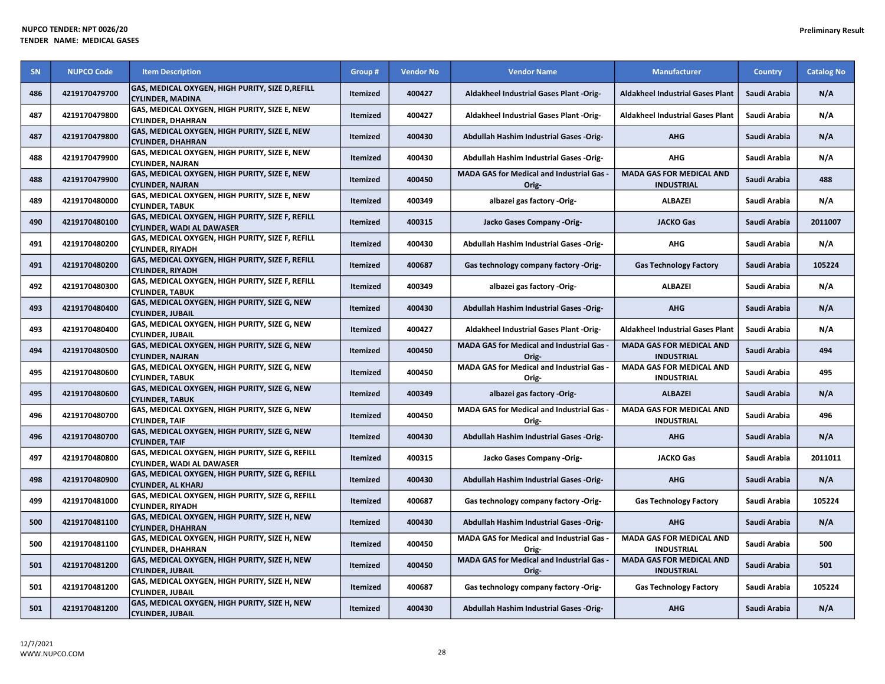| SN  | <b>NUPCO Code</b> | <b>Item Description</b>                                                              | Group #         | <b>Vendor No</b> | <b>Vendor Name</b>                                        | <b>Manufacturer</b>                                  | <b>Country</b> | <b>Catalog No</b> |
|-----|-------------------|--------------------------------------------------------------------------------------|-----------------|------------------|-----------------------------------------------------------|------------------------------------------------------|----------------|-------------------|
| 486 | 4219170479700     | GAS, MEDICAL OXYGEN, HIGH PURITY, SIZE D, REFILL<br><b>CYLINDER, MADINA</b>          | Itemized        | 400427           | Aldakheel Industrial Gases Plant -Orig-                   | <b>Aldakheel Industrial Gases Plant</b>              | Saudi Arabia   | N/A               |
| 487 | 4219170479800     | GAS, MEDICAL OXYGEN, HIGH PURITY, SIZE E, NEW<br><b>CYLINDER, DHAHRAN</b>            | <b>Itemized</b> | 400427           | Aldakheel Industrial Gases Plant -Orig-                   | <b>Aldakheel Industrial Gases Plant</b>              | Saudi Arabia   | N/A               |
| 487 | 4219170479800     | GAS, MEDICAL OXYGEN, HIGH PURITY, SIZE E, NEW<br><b>CYLINDER, DHAHRAN</b>            | Itemized        | 400430           | Abdullah Hashim Industrial Gases -Orig-                   | <b>AHG</b>                                           | Saudi Arabia   | N/A               |
| 488 | 4219170479900     | GAS, MEDICAL OXYGEN, HIGH PURITY, SIZE E, NEW<br><b>CYLINDER, NAJRAN</b>             | Itemized        | 400430           | Abdullah Hashim Industrial Gases -Orig-                   | <b>AHG</b>                                           | Saudi Arabia   | N/A               |
| 488 | 4219170479900     | GAS, MEDICAL OXYGEN, HIGH PURITY, SIZE E, NEW<br><b>CYLINDER, NAJRAN</b>             | Itemized        | 400450           | MADA GAS for Medical and Industrial Gas -<br>Orig-        | <b>MADA GAS FOR MEDICAL AND</b><br><b>INDUSTRIAL</b> | Saudi Arabia   | 488               |
| 489 | 4219170480000     | GAS, MEDICAL OXYGEN, HIGH PURITY, SIZE E, NEW<br><b>CYLINDER, TABUK</b>              | <b>Itemized</b> | 400349           | albazei gas factory -Orig-                                | <b>ALBAZEI</b>                                       | Saudi Arabia   | N/A               |
| 490 | 4219170480100     | GAS, MEDICAL OXYGEN, HIGH PURITY, SIZE F, REFILL<br><b>CYLINDER, WADI AL DAWASER</b> | Itemized        | 400315           | Jacko Gases Company -Orig-                                | <b>JACKO Gas</b>                                     | Saudi Arabia   | 2011007           |
| 491 | 4219170480200     | GAS, MEDICAL OXYGEN, HIGH PURITY, SIZE F, REFILL<br><b>CYLINDER, RIYADH</b>          | <b>Itemized</b> | 400430           | <b>Abdullah Hashim Industrial Gases -Orig-</b>            | <b>AHG</b>                                           | Saudi Arabia   | N/A               |
| 491 | 4219170480200     | GAS, MEDICAL OXYGEN, HIGH PURITY, SIZE F, REFILL<br><b>CYLINDER, RIYADH</b>          | Itemized        | 400687           | Gas technology company factory -Orig-                     | <b>Gas Technology Factory</b>                        | Saudi Arabia   | 105224            |
| 492 | 4219170480300     | GAS, MEDICAL OXYGEN, HIGH PURITY, SIZE F, REFILL<br><b>CYLINDER, TABUK</b>           | <b>Itemized</b> | 400349           | albazei gas factory -Orig-                                | <b>ALBAZEI</b>                                       | Saudi Arabia   | N/A               |
| 493 | 4219170480400     | GAS, MEDICAL OXYGEN, HIGH PURITY, SIZE G, NEW<br><b>CYLINDER, JUBAIL</b>             | Itemized        | 400430           | Abdullah Hashim Industrial Gases -Orig-                   | <b>AHG</b>                                           | Saudi Arabia   | N/A               |
| 493 | 4219170480400     | GAS, MEDICAL OXYGEN, HIGH PURITY, SIZE G, NEW<br><b>CYLINDER, JUBAIL</b>             | <b>Itemized</b> | 400427           | Aldakheel Industrial Gases Plant -Orig-                   | <b>Aldakheel Industrial Gases Plant</b>              | Saudi Arabia   | N/A               |
| 494 | 4219170480500     | GAS, MEDICAL OXYGEN, HIGH PURITY, SIZE G, NEW<br><b>CYLINDER, NAJRAN</b>             | Itemized        | 400450           | MADA GAS for Medical and Industrial Gas -<br>Orig-        | <b>MADA GAS FOR MEDICAL AND</b><br><b>INDUSTRIAL</b> | Saudi Arabia   | 494               |
| 495 | 4219170480600     | GAS, MEDICAL OXYGEN, HIGH PURITY, SIZE G, NEW<br><b>CYLINDER, TABUK</b>              | <b>Itemized</b> | 400450           | MADA GAS for Medical and Industrial Gas -<br>Orig-        | <b>MADA GAS FOR MEDICAL AND</b><br><b>INDUSTRIAL</b> | Saudi Arabia   | 495               |
| 495 | 4219170480600     | GAS, MEDICAL OXYGEN, HIGH PURITY, SIZE G, NEW<br><b>CYLINDER, TABUK</b>              | Itemized        | 400349           | albazei gas factory -Orig-                                | <b>ALBAZEI</b>                                       | Saudi Arabia   | N/A               |
| 496 | 4219170480700     | GAS, MEDICAL OXYGEN, HIGH PURITY, SIZE G, NEW<br><b>CYLINDER, TAIF</b>               | <b>Itemized</b> | 400450           | MADA GAS for Medical and Industrial Gas -<br>Orig-        | MADA GAS FOR MEDICAL AND<br><b>INDUSTRIAL</b>        | Saudi Arabia   | 496               |
| 496 | 4219170480700     | GAS, MEDICAL OXYGEN, HIGH PURITY, SIZE G, NEW<br><b>CYLINDER, TAIF</b>               | Itemized        | 400430           | Abdullah Hashim Industrial Gases -Orig-                   | <b>AHG</b>                                           | Saudi Arabia   | N/A               |
| 497 | 4219170480800     | GAS, MEDICAL OXYGEN, HIGH PURITY, SIZE G, REFILL<br><b>CYLINDER, WADI AL DAWASER</b> | <b>Itemized</b> | 400315           | Jacko Gases Company -Orig-                                | <b>JACKO Gas</b>                                     | Saudi Arabia   | 2011011           |
| 498 | 4219170480900     | GAS, MEDICAL OXYGEN, HIGH PURITY, SIZE G, REFILL<br><b>CYLINDER, AL KHARJ</b>        | <b>Itemized</b> | 400430           | Abdullah Hashim Industrial Gases -Orig-                   | <b>AHG</b>                                           | Saudi Arabia   | N/A               |
| 499 | 4219170481000     | GAS, MEDICAL OXYGEN, HIGH PURITY, SIZE G, REFILL<br><b>CYLINDER, RIYADH</b>          | <b>Itemized</b> | 400687           | Gas technology company factory -Orig-                     | <b>Gas Technology Factory</b>                        | Saudi Arabia   | 105224            |
| 500 | 4219170481100     | GAS, MEDICAL OXYGEN, HIGH PURITY, SIZE H, NEW<br><b>CYLINDER, DHAHRAN</b>            | Itemized        | 400430           | <b>Abdullah Hashim Industrial Gases -Orig-</b>            | <b>AHG</b>                                           | Saudi Arabia   | N/A               |
| 500 | 4219170481100     | GAS, MEDICAL OXYGEN, HIGH PURITY, SIZE H, NEW<br><b>CYLINDER, DHAHRAN</b>            | <b>Itemized</b> | 400450           | <b>MADA GAS for Medical and Industrial Gas -</b><br>Orig- | <b>MADA GAS FOR MEDICAL AND</b><br><b>INDUSTRIAL</b> | Saudi Arabia   | 500               |
| 501 | 4219170481200     | GAS, MEDICAL OXYGEN, HIGH PURITY, SIZE H, NEW<br><b>CYLINDER, JUBAIL</b>             | Itemized        | 400450           | MADA GAS for Medical and Industrial Gas -<br>Orig-        | <b>MADA GAS FOR MEDICAL AND</b><br><b>INDUSTRIAL</b> | Saudi Arabia   | 501               |
| 501 | 4219170481200     | GAS, MEDICAL OXYGEN, HIGH PURITY, SIZE H, NEW<br><b>CYLINDER, JUBAIL</b>             | <b>Itemized</b> | 400687           | Gas technology company factory -Orig-                     | <b>Gas Technology Factory</b>                        | Saudi Arabia   | 105224            |
| 501 | 4219170481200     | GAS, MEDICAL OXYGEN, HIGH PURITY, SIZE H, NEW<br><b>CYLINDER, JUBAIL</b>             | Itemized        | 400430           | Abdullah Hashim Industrial Gases -Orig-                   | <b>AHG</b>                                           | Saudi Arabia   | N/A               |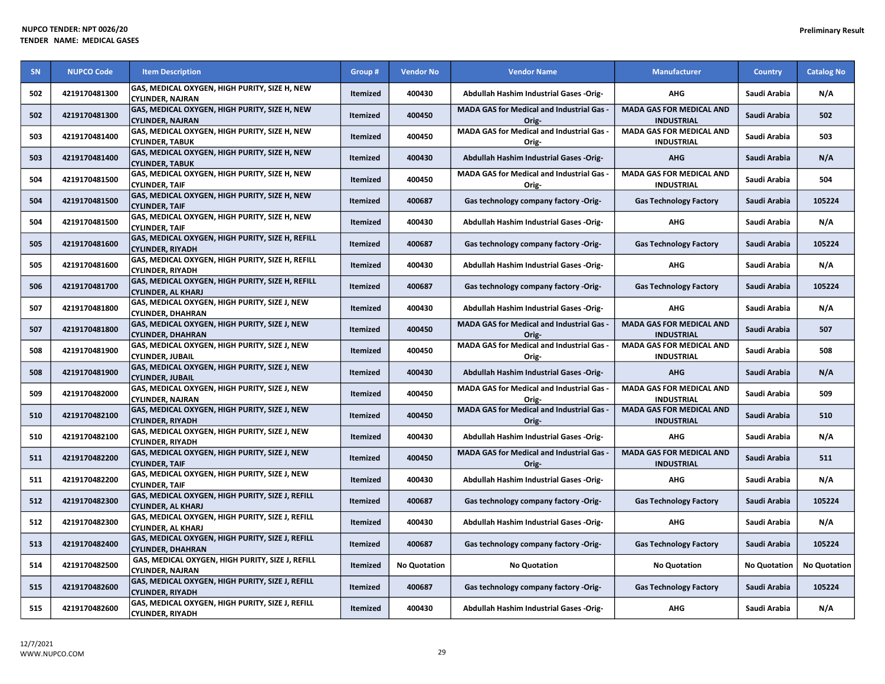| SN  | <b>NUPCO Code</b> | <b>Item Description</b>                                                            | Group #         | <b>Vendor No</b>    | <b>Vendor Name</b>                                        | <b>Manufacturer</b>                                  | <b>Country</b>      | <b>Catalog No</b>   |
|-----|-------------------|------------------------------------------------------------------------------------|-----------------|---------------------|-----------------------------------------------------------|------------------------------------------------------|---------------------|---------------------|
| 502 | 4219170481300     | GAS, MEDICAL OXYGEN, HIGH PURITY, SIZE H, NEW<br><b>CYLINDER, NAJRAN</b>           | Itemized        | 400430              | Abdullah Hashim Industrial Gases -Orig-                   | <b>AHG</b>                                           | Saudi Arabia        | N/A                 |
| 502 | 4219170481300     | <b>GAS, MEDICAL OXYGEN, HIGH PURITY, SIZE H, NEW</b><br><b>CYLINDER, NAJRAN</b>    | Itemized        | 400450              | <b>MADA GAS for Medical and Industrial Gas -</b><br>Orig- | <b>MADA GAS FOR MEDICAL AND</b><br><b>INDUSTRIAL</b> | Saudi Arabia        | 502                 |
| 503 | 4219170481400     | <b>GAS, MEDICAL OXYGEN, HIGH PURITY, SIZE H, NEW</b><br><b>CYLINDER, TABUK</b>     | <b>Itemized</b> | 400450              | MADA GAS for Medical and Industrial Gas -<br>Orig-        | <b>MADA GAS FOR MEDICAL AND</b><br><b>INDUSTRIAL</b> | Saudi Arabia        | 503                 |
| 503 | 4219170481400     | GAS, MEDICAL OXYGEN, HIGH PURITY, SIZE H, NEW<br><b>CYLINDER, TABUK</b>            | Itemized        | 400430              | Abdullah Hashim Industrial Gases -Orig-                   | <b>AHG</b>                                           | Saudi Arabia        | N/A                 |
| 504 | 4219170481500     | GAS, MEDICAL OXYGEN, HIGH PURITY, SIZE H, NEW<br><b>CYLINDER, TAIF</b>             | <b>Itemized</b> | 400450              | MADA GAS for Medical and Industrial Gas -<br>Orig-        | <b>MADA GAS FOR MEDICAL AND</b><br><b>INDUSTRIAL</b> | Saudi Arabia        | 504                 |
| 504 | 4219170481500     | <b>GAS, MEDICAL OXYGEN, HIGH PURITY, SIZE H, NEW</b><br><b>CYLINDER, TAIF</b>      | Itemized        | 400687              | Gas technology company factory -Orig-                     | <b>Gas Technology Factory</b>                        | Saudi Arabia        | 105224              |
| 504 | 4219170481500     | GAS, MEDICAL OXYGEN, HIGH PURITY, SIZE H, NEW<br><b>CYLINDER, TAIF</b>             | <b>Itemized</b> | 400430              | Abdullah Hashim Industrial Gases -Orig-                   | <b>AHG</b>                                           | Saudi Arabia        | N/A                 |
| 505 | 4219170481600     | GAS, MEDICAL OXYGEN, HIGH PURITY, SIZE H, REFILL<br><b>CYLINDER, RIYADH</b>        | Itemized        | 400687              | Gas technology company factory -Orig-                     | <b>Gas Technology Factory</b>                        | Saudi Arabia        | 105224              |
| 505 | 4219170481600     | GAS, MEDICAL OXYGEN, HIGH PURITY, SIZE H, REFILL<br><b>CYLINDER, RIYADH</b>        | Itemized        | 400430              | Abdullah Hashim Industrial Gases -Orig-                   | <b>AHG</b>                                           | Saudi Arabia        | N/A                 |
| 506 | 4219170481700     | GAS, MEDICAL OXYGEN, HIGH PURITY, SIZE H, REFILL<br><b>CYLINDER, AL KHARJ</b>      | Itemized        | 400687              | Gas technology company factory -Orig-                     | <b>Gas Technology Factory</b>                        | Saudi Arabia        | 105224              |
| 507 | 4219170481800     | GAS, MEDICAL OXYGEN, HIGH PURITY, SIZE J, NEW<br><b>CYLINDER, DHAHRAN</b>          | Itemized        | 400430              | Abdullah Hashim Industrial Gases -Orig-                   | <b>AHG</b>                                           | Saudi Arabia        | N/A                 |
| 507 | 4219170481800     | GAS, MEDICAL OXYGEN, HIGH PURITY, SIZE J, NEW<br><b>CYLINDER, DHAHRAN</b>          | Itemized        | 400450              | MADA GAS for Medical and Industrial Gas -<br>Orig-        | <b>MADA GAS FOR MEDICAL AND</b><br><b>INDUSTRIAL</b> | Saudi Arabia        | 507                 |
| 508 | 4219170481900     | GAS, MEDICAL OXYGEN, HIGH PURITY, SIZE J, NEW<br><b>CYLINDER, JUBAIL</b>           | <b>Itemized</b> | 400450              | MADA GAS for Medical and Industrial Gas -<br>Orig-        | <b>MADA GAS FOR MEDICAL AND</b><br><b>INDUSTRIAL</b> | Saudi Arabia        | 508                 |
| 508 | 4219170481900     | <b>GAS, MEDICAL OXYGEN, HIGH PURITY, SIZE J, NEW</b><br><b>CYLINDER, JUBAIL</b>    | Itemized        | 400430              | Abdullah Hashim Industrial Gases -Orig-                   | <b>AHG</b>                                           | Saudi Arabia        | N/A                 |
| 509 | 4219170482000     | GAS, MEDICAL OXYGEN, HIGH PURITY, SIZE J, NEW<br>CYLINDER, NAJRAN                  | <b>Itemized</b> | 400450              | <b>MADA GAS for Medical and Industrial Gas -</b><br>Orig- | <b>MADA GAS FOR MEDICAL AND</b><br><b>INDUSTRIAL</b> | Saudi Arabia        | 509                 |
| 510 | 4219170482100     | GAS, MEDICAL OXYGEN, HIGH PURITY, SIZE J, NEW<br><b>CYLINDER, RIYADH</b>           | Itemized        | 400450              | MADA GAS for Medical and Industrial Gas -<br>Orig-        | <b>MADA GAS FOR MEDICAL AND</b><br><b>INDUSTRIAL</b> | Saudi Arabia        | 510                 |
| 510 | 4219170482100     | <b>GAS, MEDICAL OXYGEN, HIGH PURITY, SIZE J, NEW</b><br><b>CYLINDER, RIYADH</b>    | <b>Itemized</b> | 400430              | Abdullah Hashim Industrial Gases -Orig-                   | <b>AHG</b>                                           | Saudi Arabia        | N/A                 |
| 511 | 4219170482200     | GAS, MEDICAL OXYGEN, HIGH PURITY, SIZE J, NEW<br><b>CYLINDER, TAIF</b>             | Itemized        | 400450              | MADA GAS for Medical and Industrial Gas -<br>Orig-        | <b>MADA GAS FOR MEDICAL AND</b><br><b>INDUSTRIAL</b> | Saudi Arabia        | 511                 |
| 511 | 4219170482200     | <b>GAS, MEDICAL OXYGEN, HIGH PURITY, SIZE J, NEW</b><br><b>CYLINDER, TAIF</b>      | <b>Itemized</b> | 400430              | Abdullah Hashim Industrial Gases -Orig-                   | <b>AHG</b>                                           | Saudi Arabia        | N/A                 |
| 512 | 4219170482300     | GAS, MEDICAL OXYGEN, HIGH PURITY, SIZE J, REFILL<br><b>CYLINDER, AL KHARJ</b>      | Itemized        | 400687              | Gas technology company factory -Orig-                     | <b>Gas Technology Factory</b>                        | Saudi Arabia        | 105224              |
| 512 | 4219170482300     | GAS, MEDICAL OXYGEN, HIGH PURITY, SIZE J, REFILL<br><b>CYLINDER, AL KHARJ</b>      | Itemized        | 400430              | Abdullah Hashim Industrial Gases -Orig-                   | AHG                                                  | Saudi Arabia        | N/A                 |
| 513 | 4219170482400     | GAS, MEDICAL OXYGEN, HIGH PURITY, SIZE J, REFILL<br><b>CYLINDER, DHAHRAN</b>       | Itemized        | 400687              | Gas technology company factory -Orig-                     | <b>Gas Technology Factory</b>                        | Saudi Arabia        | 105224              |
| 514 | 4219170482500     | GAS, MEDICAL OXYGEN, HIGH PURITY, SIZE J, REFILL<br><b>CYLINDER, NAJRAN</b>        | <b>Itemized</b> | <b>No Quotation</b> | <b>No Quotation</b>                                       | <b>No Quotation</b>                                  | <b>No Quotation</b> | <b>No Quotation</b> |
| 515 | 4219170482600     | GAS, MEDICAL OXYGEN, HIGH PURITY, SIZE J, REFILL<br><b>CYLINDER, RIYADH</b>        | Itemized        | 400687              | Gas technology company factory -Orig-                     | <b>Gas Technology Factory</b>                        | Saudi Arabia        | 105224              |
| 515 | 4219170482600     | <b>GAS, MEDICAL OXYGEN, HIGH PURITY, SIZE J, REFILL</b><br><b>CYLINDER, RIYADH</b> | Itemized        | 400430              | Abdullah Hashim Industrial Gases -Orig-                   | <b>AHG</b>                                           | Saudi Arabia        | N/A                 |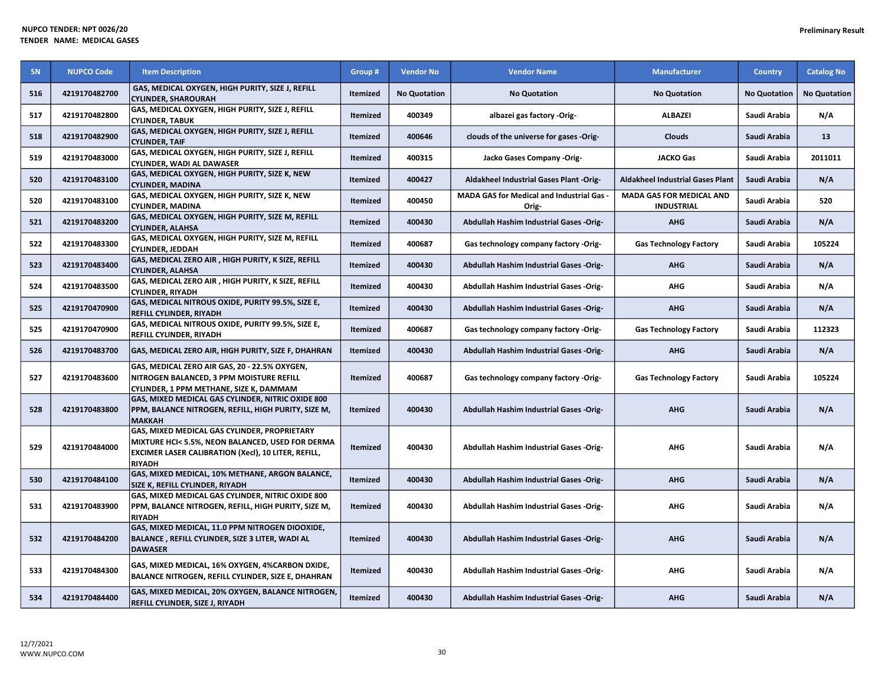| <b>SN</b> | <b>NUPCO Code</b> | <b>Item Description</b>                                                                                  | Group #         | <b>Vendor No</b>    | <b>Vendor Name</b>                                 | <b>Manufacturer</b>                                  | <b>Country</b>      | <b>Catalog No</b>   |
|-----------|-------------------|----------------------------------------------------------------------------------------------------------|-----------------|---------------------|----------------------------------------------------|------------------------------------------------------|---------------------|---------------------|
| 516       | 4219170482700     | GAS, MEDICAL OXYGEN, HIGH PURITY, SIZE J, REFILL<br><b>CYLINDER, SHAROURAH</b>                           | Itemized        | <b>No Quotation</b> | <b>No Quotation</b>                                | <b>No Quotation</b>                                  | <b>No Quotation</b> | <b>No Quotation</b> |
| 517       | 4219170482800     | GAS, MEDICAL OXYGEN, HIGH PURITY, SIZE J, REFILL<br><b>CYLINDER, TABUK</b>                               | Itemized        | 400349              | albazei gas factory -Orig-                         | <b>ALBAZEI</b>                                       | Saudi Arabia        | N/A                 |
| 518       | 4219170482900     | GAS, MEDICAL OXYGEN, HIGH PURITY, SIZE J, REFILL<br><b>CYLINDER, TAIF</b>                                | <b>Itemized</b> | 400646              | clouds of the universe for gases -Orig-            | <b>Clouds</b>                                        | Saudi Arabia        | 13                  |
| 519       | 4219170483000     | GAS, MEDICAL OXYGEN, HIGH PURITY, SIZE J, REFILL<br><b>CYLINDER, WADI AL DAWASER</b>                     | Itemized        | 400315              | Jacko Gases Company -Orig-                         | <b>JACKO Gas</b>                                     | Saudi Arabia        | 2011011             |
| 520       | 4219170483100     | GAS, MEDICAL OXYGEN, HIGH PURITY, SIZE K, NEW<br><b>CYLINDER, MADINA</b>                                 | Itemized        | 400427              | <b>Aldakheel Industrial Gases Plant -Orig-</b>     | <b>Aldakheel Industrial Gases Plant</b>              | Saudi Arabia        | N/A                 |
| 520       | 4219170483100     | GAS, MEDICAL OXYGEN, HIGH PURITY, SIZE K, NEW<br><b>CYLINDER, MADINA</b>                                 | Itemized        | 400450              | MADA GAS for Medical and Industrial Gas -<br>Orig- | <b>MADA GAS FOR MEDICAL AND</b><br><b>INDUSTRIAL</b> | Saudi Arabia        | 520                 |
| 521       | 4219170483200     | GAS, MEDICAL OXYGEN, HIGH PURITY, SIZE M, REFILL<br><b>CYLINDER, ALAHSA</b>                              | <b>Itemized</b> | 400430              | Abdullah Hashim Industrial Gases -Orig-            | <b>AHG</b>                                           | Saudi Arabia        | N/A                 |
| 522       | 4219170483300     | GAS, MEDICAL OXYGEN, HIGH PURITY, SIZE M, REFILL<br><b>CYLINDER, JEDDAH</b>                              | Itemized        | 400687              | Gas technology company factory -Orig-              | <b>Gas Technology Factory</b>                        | Saudi Arabia        | 105224              |
| 523       | 4219170483400     | GAS, MEDICAL ZERO AIR, HIGH PURITY, K SIZE, REFILL<br><b>CYLINDER, ALAHSA</b>                            | <b>Itemized</b> | 400430              | <b>Abdullah Hashim Industrial Gases -Orig-</b>     | <b>AHG</b>                                           | Saudi Arabia        | N/A                 |
| 524       | 4219170483500     | GAS, MEDICAL ZERO AIR, HIGH PURITY, K SIZE, REFILL<br><b>CYLINDER, RIYADH</b>                            | Itemized        | 400430              | Abdullah Hashim Industrial Gases -Orig-            | <b>AHG</b>                                           | Saudi Arabia        | N/A                 |
| 525       | 4219170470900     | GAS, MEDICAL NITROUS OXIDE, PURITY 99.5%, SIZE E,<br><b>REFILL CYLINDER, RIYADH</b>                      | Itemized        | 400430              | <b>Abdullah Hashim Industrial Gases -Orig-</b>     | <b>AHG</b>                                           | Saudi Arabia        | N/A                 |
| 525       | 4219170470900     | <b>GAS, MEDICAL NITROUS OXIDE, PURITY 99.5%, SIZE E,</b><br>REFILL CYLINDER, RIYADH                      | Itemized        | 400687              | Gas technology company factory -Orig-              | <b>Gas Technology Factory</b>                        | Saudi Arabia        | 112323              |
| 526       | 4219170483700     | GAS, MEDICAL ZERO AIR, HIGH PURITY, SIZE F, DHAHRAN                                                      | Itemized        | 400430              | Abdullah Hashim Industrial Gases -Orig-            | <b>AHG</b>                                           | Saudi Arabia        | N/A                 |
| 527       | 4219170483600     | GAS, MEDICAL ZERO AIR GAS, 20 - 22.5% OXYGEN,<br>NITROGEN BALANCED, 3 PPM MOISTURE REFILL                | Itemized        | 400687              | Gas technology company factory -Orig-              | <b>Gas Technology Factory</b>                        | Saudi Arabia        | 105224              |
|           |                   | CYLINDER, 1 PPM METHANE, SIZE K, DAMMAM<br><b>GAS, MIXED MEDICAL GAS CYLINDER, NITRIC OXIDE 800</b>      |                 |                     |                                                    |                                                      |                     |                     |
| 528       | 4219170483800     | PPM, BALANCE NITROGEN, REFILL, HIGH PURITY, SIZE M,<br><b>MAKKAH</b>                                     | <b>Itemized</b> | 400430              | Abdullah Hashim Industrial Gases -Orig-            | <b>AHG</b>                                           | Saudi Arabia        | N/A                 |
| 529       | 4219170484000     | GAS, MIXED MEDICAL GAS CYLINDER, PROPRIETARY<br>MIXTURE HCI< 5.5%, NEON BALANCED, USED FOR DERMA         | <b>Itemized</b> | 400430              | Abdullah Hashim Industrial Gases -Orig-            | <b>AHG</b>                                           | Saudi Arabia        | N/A                 |
|           |                   | EXCIMER LASER CALIBRATION (Xecl), 10 LITER, REFILL,<br><b>RIYADH</b>                                     |                 |                     |                                                    |                                                      |                     |                     |
| 530       | 4219170484100     | GAS, MIXED MEDICAL, 10% METHANE, ARGON BALANCE,<br>SIZE K, REFILL CYLINDER, RIYADH                       | <b>Itemized</b> | 400430              | Abdullah Hashim Industrial Gases -Orig-            | <b>AHG</b>                                           | Saudi Arabia        | N/A                 |
| 531       | 4219170483900     | GAS, MIXED MEDICAL GAS CYLINDER, NITRIC OXIDE 800<br>PPM, BALANCE NITROGEN, REFILL, HIGH PURITY, SIZE M, | Itemized        | 400430              | <b>Abdullah Hashim Industrial Gases -Orig-</b>     | <b>AHG</b>                                           | Saudi Arabia        | N/A                 |
|           |                   | <b>RIYADH</b><br>GAS, MIXED MEDICAL, 11.0 PPM NITROGEN DIOOXIDE,                                         |                 |                     |                                                    |                                                      |                     |                     |
| 532       | 4219170484200     | BALANCE, REFILL CYLINDER, SIZE 3 LITER, WADI AL<br><b>DAWASER</b>                                        | Itemized        | 400430              | Abdullah Hashim Industrial Gases -Orig-            | <b>AHG</b>                                           | Saudi Arabia        | N/A                 |
| 533       | 4219170484300     | GAS, MIXED MEDICAL, 16% OXYGEN, 4%CARBON DXIDE,<br>BALANCE NITROGEN, REFILL CYLINDER, SIZE E, DHAHRAN    | <b>Itemized</b> | 400430              | Abdullah Hashim Industrial Gases -Orig-            | <b>AHG</b>                                           | Saudi Arabia        | N/A                 |
| 534       | 4219170484400     | GAS, MIXED MEDICAL, 20% OXYGEN, BALANCE NITROGEN,<br><b>REFILL CYLINDER, SIZE J, RIYADH</b>              | <b>Itemized</b> | 400430              | Abdullah Hashim Industrial Gases -Orig-            | <b>AHG</b>                                           | Saudi Arabia        | N/A                 |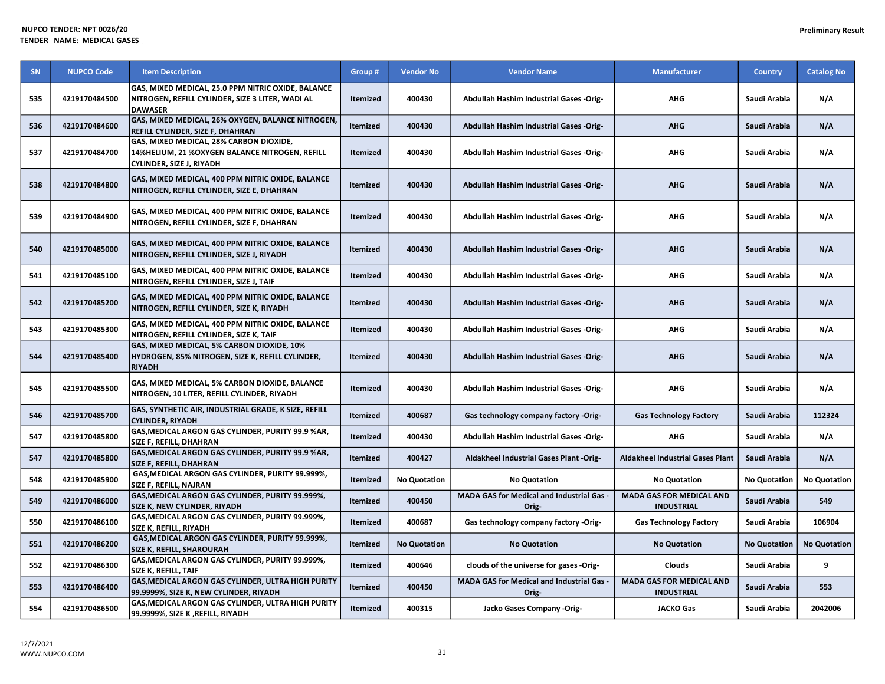| SN  | <b>NUPCO Code</b> | <b>Item Description</b>                                                                                                  | Group #         | <b>Vendor No</b>    | <b>Vendor Name</b>                                        | <b>Manufacturer</b>                                  | <b>Country</b>      | <b>Catalog No</b>   |
|-----|-------------------|--------------------------------------------------------------------------------------------------------------------------|-----------------|---------------------|-----------------------------------------------------------|------------------------------------------------------|---------------------|---------------------|
| 535 | 4219170484500     | GAS, MIXED MEDICAL, 25.0 PPM NITRIC OXIDE, BALANCE<br>NITROGEN, REFILL CYLINDER, SIZE 3 LITER, WADI AL<br><b>DAWASER</b> | <b>Itemized</b> | 400430              | Abdullah Hashim Industrial Gases -Orig-                   | <b>AHG</b>                                           | Saudi Arabia        | N/A                 |
| 536 | 4219170484600     | GAS, MIXED MEDICAL, 26% OXYGEN, BALANCE NITROGEN,<br>REFILL CYLINDER, SIZE F, DHAHRAN                                    | Itemized        | 400430              | <b>Abdullah Hashim Industrial Gases -Orig-</b>            | <b>AHG</b>                                           | Saudi Arabia        | N/A                 |
| 537 | 4219170484700     | GAS, MIXED MEDICAL, 28% CARBON DIOXIDE,<br>14%HELIUM, 21 %OXYGEN BALANCE NITROGEN, REFILL<br>CYLINDER, SIZE J, RIYADH    | <b>Itemized</b> | 400430              | Abdullah Hashim Industrial Gases -Orig-                   | <b>AHG</b>                                           | Saudi Arabia        | N/A                 |
| 538 | 4219170484800     | GAS, MIXED MEDICAL, 400 PPM NITRIC OXIDE, BALANCE<br>NITROGEN, REFILL CYLINDER, SIZE E, DHAHRAN                          | Itemized        | 400430              | Abdullah Hashim Industrial Gases -Orig-                   | <b>AHG</b>                                           | Saudi Arabia        | N/A                 |
| 539 | 4219170484900     | GAS, MIXED MEDICAL, 400 PPM NITRIC OXIDE, BALANCE<br>NITROGEN, REFILL CYLINDER, SIZE F, DHAHRAN                          | <b>Itemized</b> | 400430              | Abdullah Hashim Industrial Gases -Orig-                   | <b>AHG</b>                                           | Saudi Arabia        | N/A                 |
| 540 | 4219170485000     | GAS, MIXED MEDICAL, 400 PPM NITRIC OXIDE, BALANCE<br>NITROGEN, REFILL CYLINDER, SIZE J, RIYADH                           | Itemized        | 400430              | Abdullah Hashim Industrial Gases -Orig-                   | <b>AHG</b>                                           | Saudi Arabia        | N/A                 |
| 541 | 4219170485100     | GAS, MIXED MEDICAL, 400 PPM NITRIC OXIDE, BALANCE<br>NITROGEN, REFILL CYLINDER, SIZE J, TAIF                             | <b>Itemized</b> | 400430              | <b>Abdullah Hashim Industrial Gases -Orig-</b>            | <b>AHG</b>                                           | Saudi Arabia        | N/A                 |
| 542 | 4219170485200     | GAS, MIXED MEDICAL, 400 PPM NITRIC OXIDE, BALANCE<br>NITROGEN, REFILL CYLINDER, SIZE K, RIYADH                           | Itemized        | 400430              | <b>Abdullah Hashim Industrial Gases -Orig-</b>            | <b>AHG</b>                                           | Saudi Arabia        | N/A                 |
| 543 | 4219170485300     | GAS, MIXED MEDICAL, 400 PPM NITRIC OXIDE, BALANCE<br>NITROGEN, REFILL CYLINDER, SIZE K, TAIF                             | <b>Itemized</b> | 400430              | Abdullah Hashim Industrial Gases -Orig-                   | <b>AHG</b>                                           | Saudi Arabia        | N/A                 |
| 544 | 4219170485400     | GAS, MIXED MEDICAL, 5% CARBON DIOXIDE, 10%<br>HYDROGEN, 85% NITROGEN, SIZE K, REFILL CYLINDER,<br><b>RIYADH</b>          | <b>Itemized</b> | 400430              | <b>Abdullah Hashim Industrial Gases -Orig-</b>            | <b>AHG</b>                                           | Saudi Arabia        | N/A                 |
| 545 | 4219170485500     | GAS, MIXED MEDICAL, 5% CARBON DIOXIDE, BALANCE<br>NITROGEN, 10 LITER, REFILL CYLINDER, RIYADH                            | <b>Itemized</b> | 400430              | Abdullah Hashim Industrial Gases -Orig-                   | <b>AHG</b>                                           | Saudi Arabia        | N/A                 |
| 546 | 4219170485700     | GAS, SYNTHETIC AIR, INDUSTRIAL GRADE, K SIZE, REFILL<br><b>CYLINDER, RIYADH</b>                                          | Itemized        | 400687              | Gas technology company factory -Orig-                     | <b>Gas Technology Factory</b>                        | Saudi Arabia        | 112324              |
| 547 | 4219170485800     | GAS, MEDICAL ARGON GAS CYLINDER, PURITY 99.9 %AR,<br>SIZE F, REFILL, DHAHRAN                                             | <b>Itemized</b> | 400430              | Abdullah Hashim Industrial Gases -Orig-                   | <b>AHG</b>                                           | Saudi Arabia        | N/A                 |
| 547 | 4219170485800     | GAS, MEDICAL ARGON GAS CYLINDER, PURITY 99.9 %AR,<br>SIZE F, REFILL, DHAHRAN                                             | Itemized        | 400427              | Aldakheel Industrial Gases Plant -Orig-                   | <b>Aldakheel Industrial Gases Plant</b>              | Saudi Arabia        | N/A                 |
| 548 | 4219170485900     | GAS, MEDICAL ARGON GAS CYLINDER, PURITY 99.999%,<br>SIZE F, REFILL, NAJRAN                                               | <b>Itemized</b> | <b>No Quotation</b> | <b>No Quotation</b>                                       | <b>No Quotation</b>                                  | <b>No Quotation</b> | <b>No Quotation</b> |
| 549 | 4219170486000     | GAS, MEDICAL ARGON GAS CYLINDER, PURITY 99.999%,<br>SIZE K, NEW CYLINDER, RIYADH                                         | Itemized        | 400450              | <b>MADA GAS for Medical and Industrial Gas</b><br>Orig-   | <b>MADA GAS FOR MEDICAL AND</b><br><b>INDUSTRIAL</b> | Saudi Arabia        | 549                 |
| 550 | 4219170486100     | GAS, MEDICAL ARGON GAS CYLINDER, PURITY 99.999%,<br>SIZE K, REFILL, RIYADH                                               | Itemized        | 400687              | Gas technology company factory -Orig-                     | <b>Gas Technology Factory</b>                        | Saudi Arabia        | 106904              |
| 551 | 4219170486200     | GAS, MEDICAL ARGON GAS CYLINDER, PURITY 99.999%,<br>SIZE K, REFILL, SHAROURAH                                            | Itemized        | <b>No Quotation</b> | <b>No Quotation</b>                                       | <b>No Quotation</b>                                  | <b>No Quotation</b> | <b>No Quotation</b> |
| 552 | 4219170486300     | GAS, MEDICAL ARGON GAS CYLINDER, PURITY 99.999%,<br><b>SIZE K. REFILL. TAIF</b>                                          | <b>Itemized</b> | 400646              | clouds of the universe for gases -Orig-                   | Clouds                                               | Saudi Arabia        | 9                   |
| 553 | 4219170486400     | GAS, MEDICAL ARGON GAS CYLINDER, ULTRA HIGH PURITY<br>99.9999%, SIZE K, NEW CYLINDER, RIYADH                             | Itemized        | 400450              | <b>MADA GAS for Medical and Industrial Gas -</b><br>Orig- | <b>MADA GAS FOR MEDICAL AND</b><br><b>INDUSTRIAL</b> | Saudi Arabia        | 553                 |
| 554 | 4219170486500     | GAS, MEDICAL ARGON GAS CYLINDER, ULTRA HIGH PURITY<br>99.9999%, SIZE K ,REFILL, RIYADH                                   | Itemized        | 400315              | Jacko Gases Company -Orig-                                | <b>JACKO Gas</b>                                     | Saudi Arabia        | 2042006             |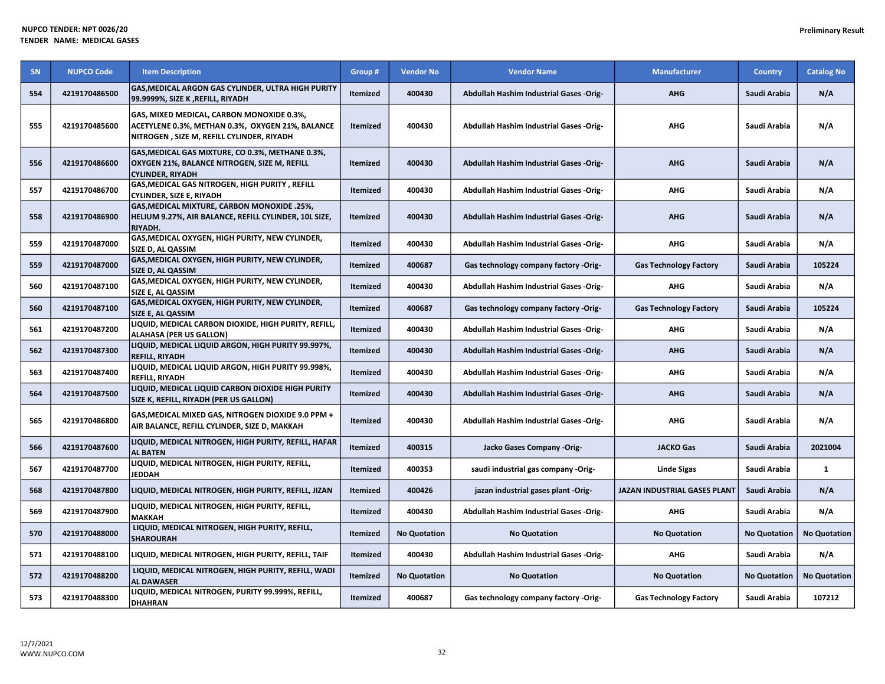| SN  | <b>NUPCO Code</b> | <b>Item Description</b>                                                                                                                     | Group #         | <b>Vendor No</b>    | <b>Vendor Name</b>                             | <b>Manufacturer</b>                 | <b>Country</b>      | <b>Catalog No</b>   |
|-----|-------------------|---------------------------------------------------------------------------------------------------------------------------------------------|-----------------|---------------------|------------------------------------------------|-------------------------------------|---------------------|---------------------|
| 554 | 4219170486500     | GAS, MEDICAL ARGON GAS CYLINDER, ULTRA HIGH PURITY<br>99.9999%, SIZE K, REFILL, RIYADH                                                      | Itemized        | 400430              | Abdullah Hashim Industrial Gases -Orig-        | <b>AHG</b>                          | Saudi Arabia        | N/A                 |
| 555 | 4219170485600     | GAS, MIXED MEDICAL, CARBON MONOXIDE 0.3%,<br>ACETYLENE 0.3%, METHAN 0.3%, OXYGEN 21%, BALANCE<br>NITROGEN , SIZE M, REFILL CYLINDER, RIYADH | <b>Itemized</b> | 400430              | <b>Abdullah Hashim Industrial Gases -Orig-</b> | <b>AHG</b>                          | Saudi Arabia        | N/A                 |
| 556 | 4219170486600     | GAS, MEDICAL GAS MIXTURE, CO 0.3%, METHANE 0.3%,<br>OXYGEN 21%, BALANCE NITROGEN, SIZE M, REFILL<br><b>CYLINDER, RIYADH</b>                 | Itemized        | 400430              | Abdullah Hashim Industrial Gases -Orig-        | <b>AHG</b>                          | Saudi Arabia        | N/A                 |
| 557 | 4219170486700     | GAS, MEDICAL GAS NITROGEN, HIGH PURITY, REFILL<br><b>CYLINDER, SIZE E, RIYADH</b>                                                           | <b>Itemized</b> | 400430              | <b>Abdullah Hashim Industrial Gases -Orig-</b> | AHG                                 | Saudi Arabia        | N/A                 |
| 558 | 4219170486900     | <b>GAS, MEDICAL MIXTURE, CARBON MONOXIDE .25%,</b><br>HELIUM 9.27%, AIR BALANCE, REFILL CYLINDER, 10L SIZE,<br><b>RIYADH.</b>               | Itemized        | 400430              | Abdullah Hashim Industrial Gases -Orig-        | <b>AHG</b>                          | Saudi Arabia        | N/A                 |
| 559 | 4219170487000     | GAS, MEDICAL OXYGEN, HIGH PURITY, NEW CYLINDER,<br>SIZE D, AL QASSIM                                                                        | <b>Itemized</b> | 400430              | Abdullah Hashim Industrial Gases -Orig-        | <b>AHG</b>                          | Saudi Arabia        | N/A                 |
| 559 | 4219170487000     | GAS, MEDICAL OXYGEN, HIGH PURITY, NEW CYLINDER,<br>SIZE D, AL QASSIM                                                                        | Itemized        | 400687              | Gas technology company factory -Orig-          | <b>Gas Technology Factory</b>       | Saudi Arabia        | 105224              |
| 560 | 4219170487100     | GAS, MEDICAL OXYGEN, HIGH PURITY, NEW CYLINDER,<br>SIZE E, AL QASSIM                                                                        | <b>Itemized</b> | 400430              | Abdullah Hashim Industrial Gases -Orig-        | <b>AHG</b>                          | Saudi Arabia        | N/A                 |
| 560 | 4219170487100     | GAS, MEDICAL OXYGEN, HIGH PURITY, NEW CYLINDER,<br>SIZE E, AL QASSIM                                                                        | Itemized        | 400687              | Gas technology company factory -Orig-          | <b>Gas Technology Factory</b>       | Saudi Arabia        | 105224              |
| 561 | 4219170487200     | LIQUID, MEDICAL CARBON DIOXIDE, HIGH PURITY, REFILL,<br><b>ALAHASA (PER US GALLON)</b>                                                      | <b>Itemized</b> | 400430              | <b>Abdullah Hashim Industrial Gases -Orig-</b> | <b>AHG</b>                          | Saudi Arabia        | N/A                 |
| 562 | 4219170487300     | LIQUID, MEDICAL LIQUID ARGON, HIGH PURITY 99.997%,<br><b>REFILL, RIYADH</b>                                                                 | <b>Itemized</b> | 400430              | <b>Abdullah Hashim Industrial Gases -Orig-</b> | <b>AHG</b>                          | Saudi Arabia        | N/A                 |
| 563 | 4219170487400     | LIQUID, MEDICAL LIQUID ARGON, HIGH PURITY 99.998%,<br><b>REFILL, RIYADH</b>                                                                 | Itemized        | 400430              | Abdullah Hashim Industrial Gases -Orig-        | AHG                                 | Saudi Arabia        | N/A                 |
| 564 | 4219170487500     | LIQUID, MEDICAL LIQUID CARBON DIOXIDE HIGH PURITY<br>SIZE K, REFILL, RIYADH (PER US GALLON)                                                 | Itemized        | 400430              | Abdullah Hashim Industrial Gases -Orig-        | <b>AHG</b>                          | Saudi Arabia        | N/A                 |
| 565 | 4219170486800     | GAS, MEDICAL MIXED GAS, NITROGEN DIOXIDE 9.0 PPM +<br>AIR BALANCE, REFILL CYLINDER, SIZE D, MAKKAH                                          | <b>Itemized</b> | 400430              | Abdullah Hashim Industrial Gases -Orig-        | AHG                                 | Saudi Arabia        | N/A                 |
| 566 | 4219170487600     | LIQUID, MEDICAL NITROGEN, HIGH PURITY, REFILL, HAFAR<br><b>AL BATEN</b>                                                                     | Itemized        | 400315              | Jacko Gases Company -Orig-                     | <b>JACKO Gas</b>                    | Saudi Arabia        | 2021004             |
| 567 | 4219170487700     | LIQUID, MEDICAL NITROGEN, HIGH PURITY, REFILL,<br><b>JEDDAH</b>                                                                             | <b>Itemized</b> | 400353              | saudi industrial gas company -Orig-            | <b>Linde Sigas</b>                  | Saudi Arabia        | $\mathbf{1}$        |
| 568 | 4219170487800     | LIQUID, MEDICAL NITROGEN, HIGH PURITY, REFILL, JIZAN                                                                                        | <b>Itemized</b> | 400426              | jazan industrial gases plant -Orig-            | <b>JAZAN INDUSTRIAL GASES PLANT</b> | Saudi Arabia        | N/A                 |
| 569 | 4219170487900     | LIQUID, MEDICAL NITROGEN, HIGH PURITY, REFILL,<br><b>МАККАН</b>                                                                             | <b>Itemized</b> | 400430              | Abdullah Hashim Industrial Gases -Orig-        | <b>AHG</b>                          | Saudi Arabia        | N/A                 |
| 570 | 4219170488000     | LIQUID, MEDICAL NITROGEN, HIGH PURITY, REFILL,<br><b>SHAROURAH</b>                                                                          | Itemized        | <b>No Quotation</b> | <b>No Quotation</b>                            | <b>No Quotation</b>                 | <b>No Quotation</b> | <b>No Quotation</b> |
| 571 | 4219170488100     | LIQUID, MEDICAL NITROGEN, HIGH PURITY, REFILL, TAIF                                                                                         | Itemized        | 400430              | Abdullah Hashim Industrial Gases -Orig-        | <b>AHG</b>                          | Saudi Arabia        | N/A                 |
| 572 | 4219170488200     | LIQUID, MEDICAL NITROGEN, HIGH PURITY, REFILL, WADI<br><b>AL DAWASER</b>                                                                    | Itemized        | <b>No Quotation</b> | <b>No Quotation</b>                            | <b>No Quotation</b>                 | <b>No Quotation</b> | <b>No Quotation</b> |
| 573 | 4219170488300     | LIQUID, MEDICAL NITROGEN, PURITY 99.999%, REFILL,<br><b>DHAHRAN</b>                                                                         | <b>Itemized</b> | 400687              | Gas technology company factory -Orig-          | <b>Gas Technology Factory</b>       | Saudi Arabia        | 107212              |